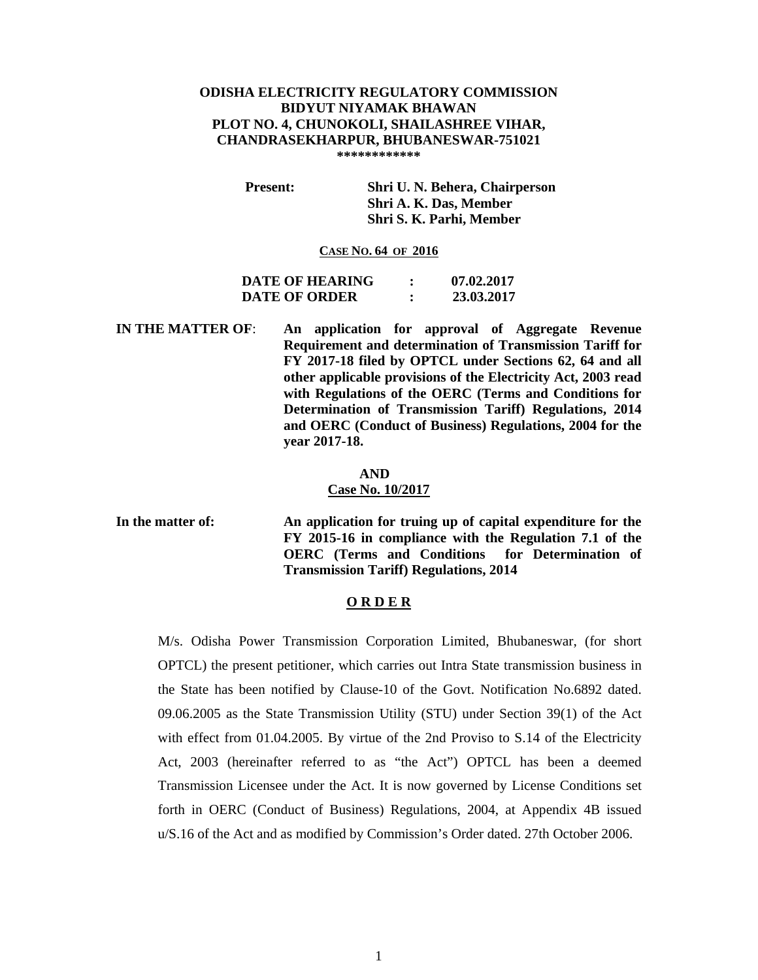## **ODISHA ELECTRICITY REGULATORY COMMISSION BIDYUT NIYAMAK BHAWAN PLOT NO. 4, CHUNOKOLI, SHAILASHREE VIHAR, CHANDRASEKHARPUR, BHUBANESWAR-751021 \*\*\*\*\*\*\*\*\*\*\*\***

 **Present: Shri U. N. Behera, Chairperson Shri A. K. Das, Member Shri S. K. Parhi, Member** 

### **CASE NO. 64 OF 2016**

| <b>DATE OF HEARING</b> |        | 07.02.2017 |
|------------------------|--------|------------|
| DATE OF ORDER          | ٠<br>٠ | 23.03.2017 |

**IN THE MATTER OF**: **An application for approval of Aggregate Revenue Requirement and determination of Transmission Tariff for FY 2017-18 filed by OPTCL under Sections 62, 64 and all other applicable provisions of the Electricity Act, 2003 read with Regulations of the OERC (Terms and Conditions for Determination of Transmission Tariff) Regulations, 2014 and OERC (Conduct of Business) Regulations, 2004 for the year 2017-18.** 

### **AND**

#### **Case No. 10/2017**

**In the matter of: An application for truing up of capital expenditure for the FY 2015-16 in compliance with the Regulation 7.1 of the OERC (Terms and Conditions for Determination of Transmission Tariff) Regulations, 2014** 

## **O R D E R**

M/s. Odisha Power Transmission Corporation Limited, Bhubaneswar, (for short OPTCL) the present petitioner, which carries out Intra State transmission business in the State has been notified by Clause-10 of the Govt. Notification No.6892 dated. 09.06.2005 as the State Transmission Utility (STU) under Section 39(1) of the Act with effect from 01.04.2005. By virtue of the 2nd Proviso to S.14 of the Electricity Act, 2003 (hereinafter referred to as "the Act") OPTCL has been a deemed Transmission Licensee under the Act. It is now governed by License Conditions set forth in OERC (Conduct of Business) Regulations, 2004, at Appendix 4B issued u/S.16 of the Act and as modified by Commission's Order dated. 27th October 2006.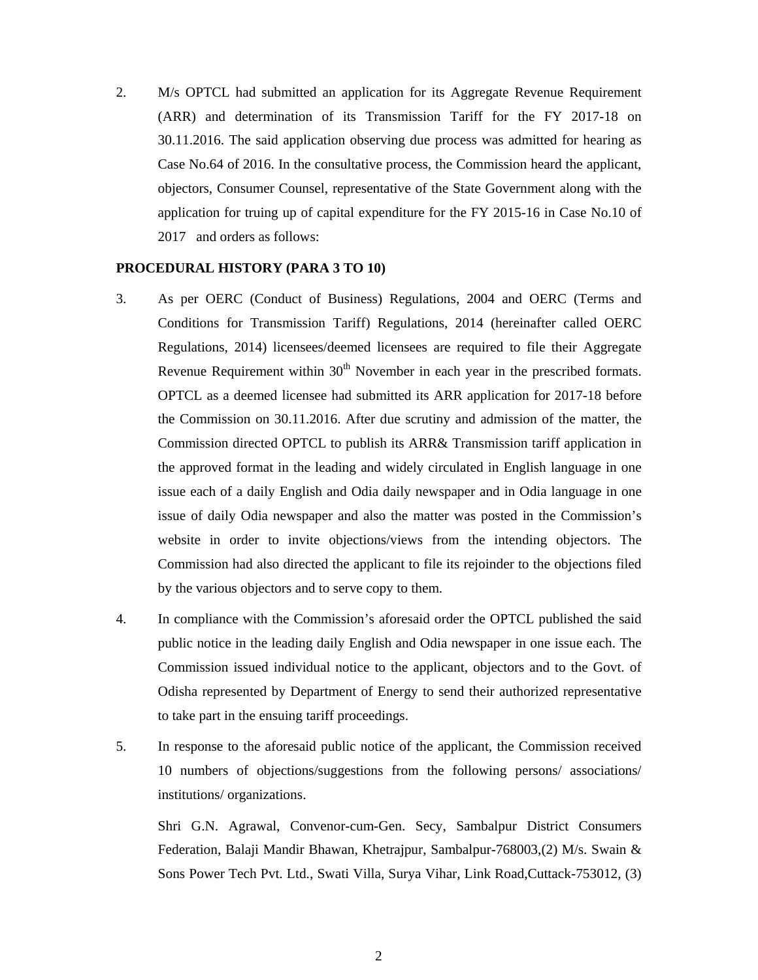2. M/s OPTCL had submitted an application for its Aggregate Revenue Requirement (ARR) and determination of its Transmission Tariff for the FY 2017-18 on 30.11.2016. The said application observing due process was admitted for hearing as Case No.64 of 2016. In the consultative process, the Commission heard the applicant, objectors, Consumer Counsel, representative of the State Government along with the application for truing up of capital expenditure for the FY 2015-16 in Case No.10 of 2017 and orders as follows:

### **PROCEDURAL HISTORY (PARA 3 TO 10)**

- 3. As per OERC (Conduct of Business) Regulations, 2004 and OERC (Terms and Conditions for Transmission Tariff) Regulations, 2014 (hereinafter called OERC Regulations, 2014) licensees/deemed licensees are required to file their Aggregate Revenue Requirement within  $30<sup>th</sup>$  November in each year in the prescribed formats. OPTCL as a deemed licensee had submitted its ARR application for 2017-18 before the Commission on 30.11.2016. After due scrutiny and admission of the matter, the Commission directed OPTCL to publish its ARR& Transmission tariff application in the approved format in the leading and widely circulated in English language in one issue each of a daily English and Odia daily newspaper and in Odia language in one issue of daily Odia newspaper and also the matter was posted in the Commission's website in order to invite objections/views from the intending objectors. The Commission had also directed the applicant to file its rejoinder to the objections filed by the various objectors and to serve copy to them.
- 4. In compliance with the Commission's aforesaid order the OPTCL published the said public notice in the leading daily English and Odia newspaper in one issue each. The Commission issued individual notice to the applicant, objectors and to the Govt. of Odisha represented by Department of Energy to send their authorized representative to take part in the ensuing tariff proceedings.
- 5. In response to the aforesaid public notice of the applicant, the Commission received 10 numbers of objections/suggestions from the following persons/ associations/ institutions/ organizations.

Shri G.N. Agrawal, Convenor-cum-Gen. Secy, Sambalpur District Consumers Federation, Balaji Mandir Bhawan, Khetrajpur, Sambalpur-768003,(2) M/s. Swain & Sons Power Tech Pvt. Ltd., Swati Villa, Surya Vihar, Link Road,Cuttack-753012, (3)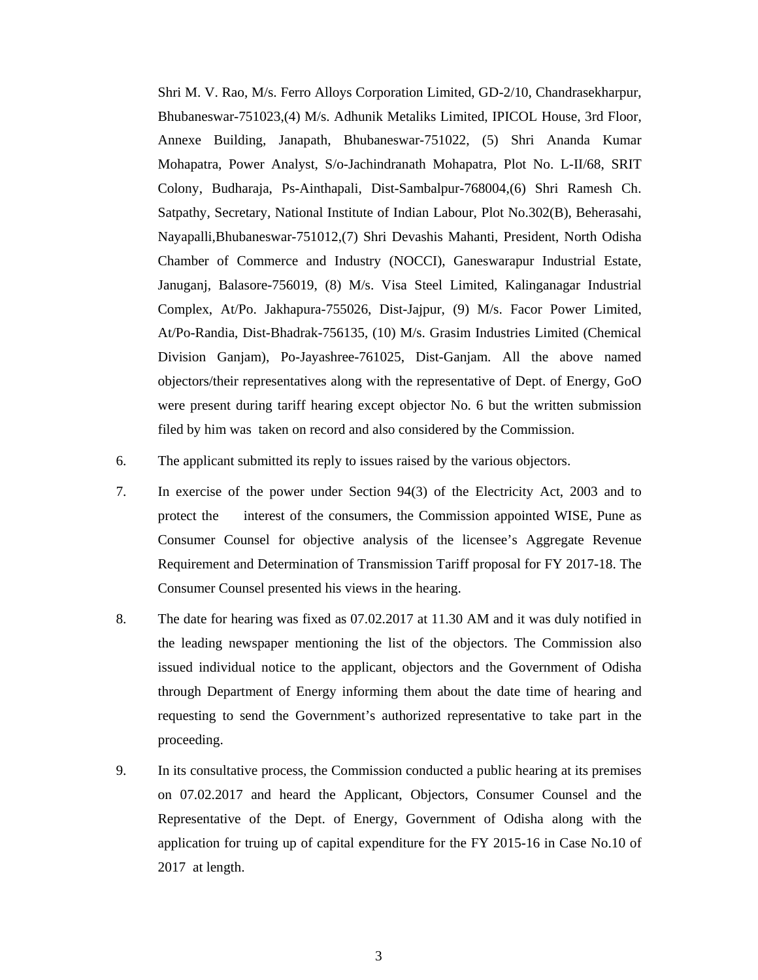Shri M. V. Rao, M/s. Ferro Alloys Corporation Limited, GD-2/10, Chandrasekharpur, Bhubaneswar-751023,(4) M/s. Adhunik Metaliks Limited, IPICOL House, 3rd Floor, Annexe Building, Janapath, Bhubaneswar-751022, (5) Shri Ananda Kumar Mohapatra, Power Analyst, S/o-Jachindranath Mohapatra, Plot No. L-II/68, SRIT Colony, Budharaja, Ps-Ainthapali, Dist-Sambalpur-768004,(6) Shri Ramesh Ch. Satpathy, Secretary, National Institute of Indian Labour, Plot No.302(B), Beherasahi, Nayapalli,Bhubaneswar-751012,(7) Shri Devashis Mahanti, President, North Odisha Chamber of Commerce and Industry (NOCCI), Ganeswarapur Industrial Estate, Januganj, Balasore-756019, (8) M/s. Visa Steel Limited, Kalinganagar Industrial Complex, At/Po. Jakhapura-755026, Dist-Jajpur, (9) M/s. Facor Power Limited, At/Po-Randia, Dist-Bhadrak-756135, (10) M/s. Grasim Industries Limited (Chemical Division Ganjam), Po-Jayashree-761025, Dist-Ganjam. All the above named objectors/their representatives along with the representative of Dept. of Energy, GoO were present during tariff hearing except objector No. 6 but the written submission filed by him was taken on record and also considered by the Commission.

- 6. The applicant submitted its reply to issues raised by the various objectors.
- 7. In exercise of the power under Section 94(3) of the Electricity Act, 2003 and to protect the interest of the consumers, the Commission appointed WISE, Pune as Consumer Counsel for objective analysis of the licensee's Aggregate Revenue Requirement and Determination of Transmission Tariff proposal for FY 2017-18. The Consumer Counsel presented his views in the hearing.
- 8. The date for hearing was fixed as 07.02.2017 at 11.30 AM and it was duly notified in the leading newspaper mentioning the list of the objectors. The Commission also issued individual notice to the applicant, objectors and the Government of Odisha through Department of Energy informing them about the date time of hearing and requesting to send the Government's authorized representative to take part in the proceeding.
- 9. In its consultative process, the Commission conducted a public hearing at its premises on 07.02.2017 and heard the Applicant, Objectors, Consumer Counsel and the Representative of the Dept. of Energy, Government of Odisha along with the application for truing up of capital expenditure for the FY 2015-16 in Case No.10 of 2017 at length.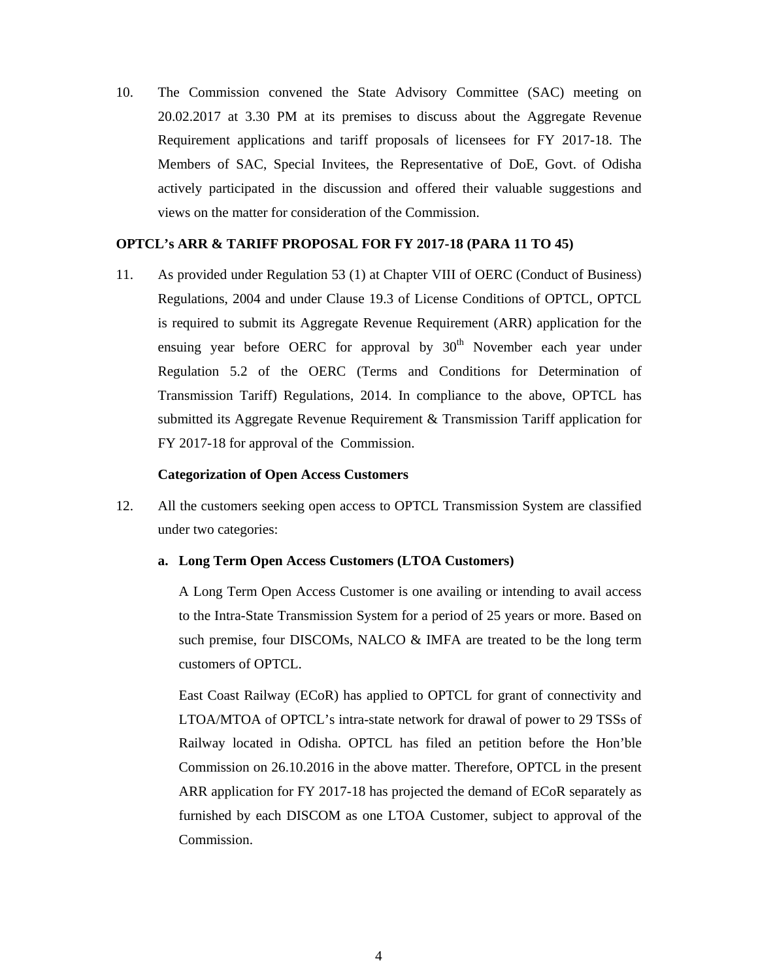10. The Commission convened the State Advisory Committee (SAC) meeting on 20.02.2017 at 3.30 PM at its premises to discuss about the Aggregate Revenue Requirement applications and tariff proposals of licensees for FY 2017-18. The Members of SAC, Special Invitees, the Representative of DoE, Govt. of Odisha actively participated in the discussion and offered their valuable suggestions and views on the matter for consideration of the Commission.

## **OPTCL's ARR & TARIFF PROPOSAL FOR FY 2017-18 (PARA 11 TO 45)**

11. As provided under Regulation 53 (1) at Chapter VIII of OERC (Conduct of Business) Regulations, 2004 and under Clause 19.3 of License Conditions of OPTCL, OPTCL is required to submit its Aggregate Revenue Requirement (ARR) application for the ensuing year before OERC for approval by  $30<sup>th</sup>$  November each year under Regulation 5.2 of the OERC (Terms and Conditions for Determination of Transmission Tariff) Regulations, 2014. In compliance to the above, OPTCL has submitted its Aggregate Revenue Requirement & Transmission Tariff application for FY 2017-18 for approval of the Commission.

### **Categorization of Open Access Customers**

12. All the customers seeking open access to OPTCL Transmission System are classified under two categories:

### **a. Long Term Open Access Customers (LTOA Customers)**

A Long Term Open Access Customer is one availing or intending to avail access to the Intra-State Transmission System for a period of 25 years or more. Based on such premise, four DISCOMs, NALCO & IMFA are treated to be the long term customers of OPTCL.

East Coast Railway (ECoR) has applied to OPTCL for grant of connectivity and LTOA/MTOA of OPTCL's intra-state network for drawal of power to 29 TSSs of Railway located in Odisha. OPTCL has filed an petition before the Hon'ble Commission on 26.10.2016 in the above matter. Therefore, OPTCL in the present ARR application for FY 2017-18 has projected the demand of ECoR separately as furnished by each DISCOM as one LTOA Customer, subject to approval of the Commission.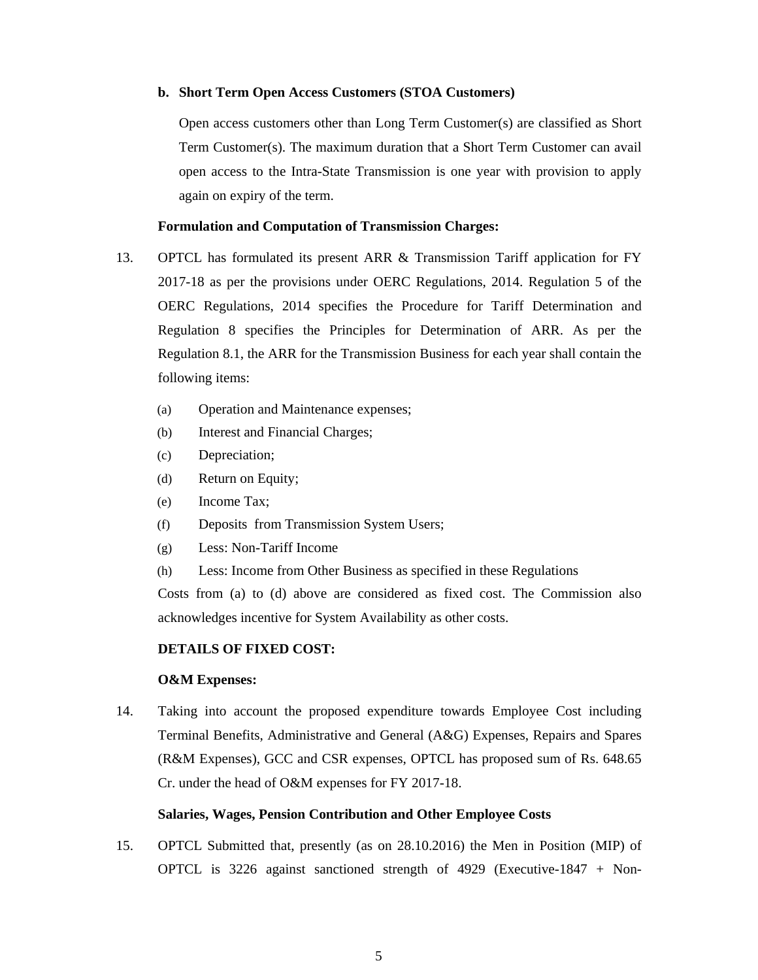### **b. Short Term Open Access Customers (STOA Customers)**

Open access customers other than Long Term Customer(s) are classified as Short Term Customer(s). The maximum duration that a Short Term Customer can avail open access to the Intra-State Transmission is one year with provision to apply again on expiry of the term.

## **Formulation and Computation of Transmission Charges:**

- 13. OPTCL has formulated its present ARR & Transmission Tariff application for FY 2017-18 as per the provisions under OERC Regulations, 2014. Regulation 5 of the OERC Regulations, 2014 specifies the Procedure for Tariff Determination and Regulation 8 specifies the Principles for Determination of ARR. As per the Regulation 8.1, the ARR for the Transmission Business for each year shall contain the following items:
	- (a) Operation and Maintenance expenses;
	- (b) Interest and Financial Charges;
	- (c) Depreciation;
	- (d) Return on Equity;
	- (e) Income Tax;
	- (f) Deposits from Transmission System Users;
	- (g) Less: Non-Tariff Income
	- (h) Less: Income from Other Business as specified in these Regulations

Costs from (a) to (d) above are considered as fixed cost. The Commission also acknowledges incentive for System Availability as other costs.

## **DETAILS OF FIXED COST:**

### **O&M Expenses:**

14. Taking into account the proposed expenditure towards Employee Cost including Terminal Benefits, Administrative and General (A&G) Expenses, Repairs and Spares (R&M Expenses), GCC and CSR expenses, OPTCL has proposed sum of Rs. 648.65 Cr. under the head of O&M expenses for FY 2017-18.

## **Salaries, Wages, Pension Contribution and Other Employee Costs**

15. OPTCL Submitted that, presently (as on 28.10.2016) the Men in Position (MIP) of OPTCL is 3226 against sanctioned strength of 4929 (Executive-1847 + Non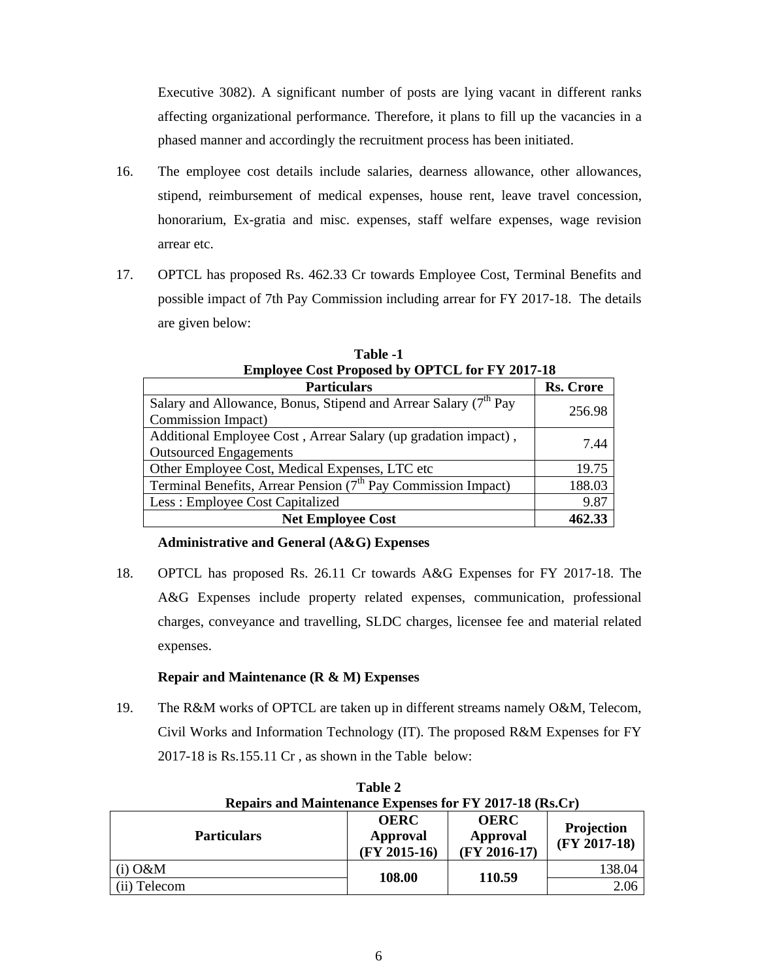Executive 3082). A significant number of posts are lying vacant in different ranks affecting organizational performance. Therefore, it plans to fill up the vacancies in a phased manner and accordingly the recruitment process has been initiated.

- 16. The employee cost details include salaries, dearness allowance, other allowances, stipend, reimbursement of medical expenses, house rent, leave travel concession, honorarium, Ex-gratia and misc. expenses, staff welfare expenses, wage revision arrear etc.
- 17. OPTCL has proposed Rs. 462.33 Cr towards Employee Cost, Terminal Benefits and possible impact of 7th Pay Commission including arrear for FY 2017-18. The details are given below:

**Table -1** 

| .                                                                |           |
|------------------------------------------------------------------|-----------|
| <b>Employee Cost Proposed by OPTCL for FY 2017-18</b>            |           |
| <b>Particulars</b>                                               | Rs. Crore |
| Allowance, Bonus, Stipend and Arrear Salary (7 <sup>th</sup> Pay | 27.00     |

| Particulars                                                                 | <b>KS. Crore</b> |
|-----------------------------------------------------------------------------|------------------|
| Salary and Allowance, Bonus, Stipend and Arrear Salary (7 <sup>th</sup> Pay | 256.98           |
| Commission Impact)                                                          |                  |
| Additional Employee Cost, Arrear Salary (up gradation impact),              | 7.44             |
| <b>Outsourced Engagements</b>                                               |                  |
| Other Employee Cost, Medical Expenses, LTC etc                              | 19.75            |
| Terminal Benefits, Arrear Pension $(7th$ Pay Commission Impact)             | 188.03           |
| Less: Employee Cost Capitalized                                             | 9.87             |
| <b>Net Employee Cost</b>                                                    | 462.33           |

# **Administrative and General (A&G) Expenses**

 $\Gamma$ 

18. OPTCL has proposed Rs. 26.11 Cr towards A&G Expenses for FY 2017-18. The A&G Expenses include property related expenses, communication, professional charges, conveyance and travelling, SLDC charges, licensee fee and material related expenses.

# **Repair and Maintenance (R & M) Expenses**

19. The R&M works of OPTCL are taken up in different streams namely O&M, Telecom, Civil Works and Information Technology (IT). The proposed R&M Expenses for FY 2017-18 is Rs.155.11 Cr , as shown in the Table below:

| Table 2                                                 |                                           |                                           |                                     |  |
|---------------------------------------------------------|-------------------------------------------|-------------------------------------------|-------------------------------------|--|
| Repairs and Maintenance Expenses for FY 2017-18 (Rs.Cr) |                                           |                                           |                                     |  |
| <b>Particulars</b>                                      | <b>OERC</b><br>Approval<br>$(FY 2015-16)$ | <b>OERC</b><br>Approval<br>$(FY 2016-17)$ | <b>Projection</b><br>$(FY 2017-18)$ |  |
| $(i)$ O&M                                               | 108.00                                    | 110.59                                    | 138.04                              |  |
| (ii) Telecom                                            |                                           |                                           | 2.06                                |  |

**Table 2**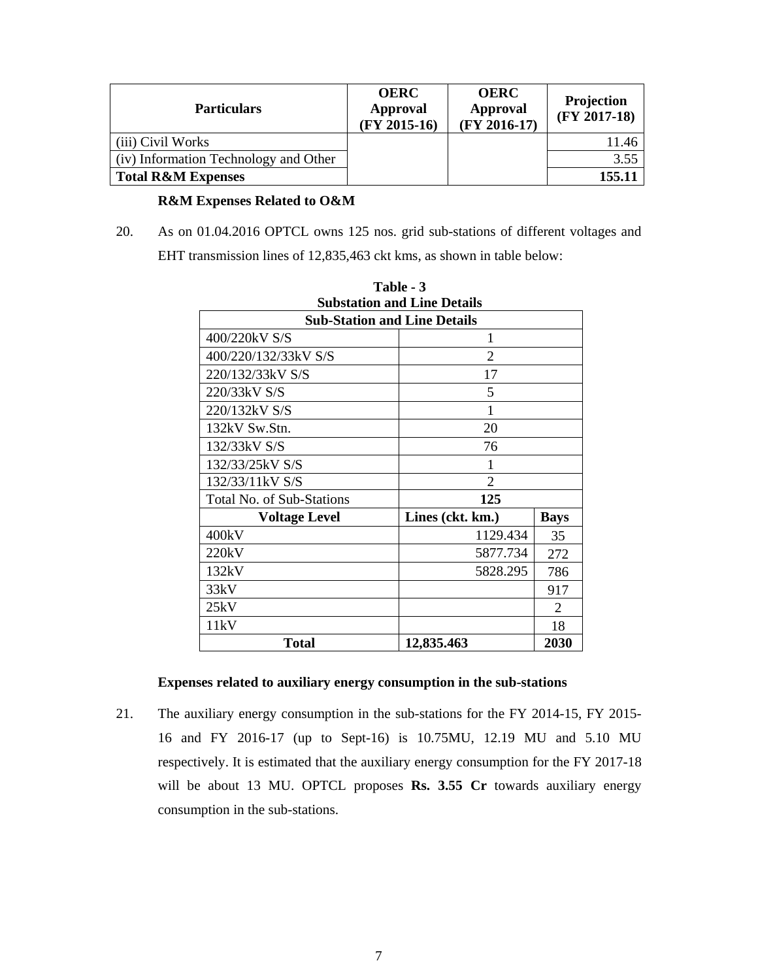| <b>Particulars</b>                    | <b>OERC</b><br><b>Approval</b><br>$(FY 2015-16)$ | <b>OERC</b><br><b>Approval</b><br>$(FY 2016-17)$ | <b>Projection</b><br>$(FY 2017-18)$ |
|---------------------------------------|--------------------------------------------------|--------------------------------------------------|-------------------------------------|
| (iii) Civil Works                     |                                                  |                                                  | 11.46                               |
| (iv) Information Technology and Other |                                                  |                                                  | 3.55                                |
| <b>Total R&amp;M Expenses</b>         |                                                  |                                                  | 155.11                              |

# **R&M Expenses Related to O&M**

20. As on 01.04.2016 OPTCL owns 125 nos. grid sub-stations of different voltages and EHT transmission lines of 12,835,463 ckt kms, as shown in table below:

| <b>Substation and Line Details</b>  |                                 |     |  |  |
|-------------------------------------|---------------------------------|-----|--|--|
| <b>Sub-Station and Line Details</b> |                                 |     |  |  |
| 400/220kV S/S                       | 1                               |     |  |  |
| 400/220/132/33kV S/S                | $\overline{2}$                  |     |  |  |
| 220/132/33kV S/S                    | 17                              |     |  |  |
| 220/33kV S/S                        | 5                               |     |  |  |
| 220/132kV S/S                       | 1                               |     |  |  |
| 132kV Sw.Stn.                       | 20                              |     |  |  |
| 132/33kV S/S                        | 76                              |     |  |  |
| 132/33/25kV S/S                     | 1                               |     |  |  |
| 132/33/11kV S/S                     | 2                               |     |  |  |
| <b>Total No. of Sub-Stations</b>    | 125                             |     |  |  |
| <b>Voltage Level</b>                | Lines (ckt. km.)<br><b>Bays</b> |     |  |  |
| 400kV                               | 1129.434                        | 35  |  |  |
| 220kV                               | 5877.734                        | 272 |  |  |
| 132kV                               | 5828.295                        | 786 |  |  |
| 33kV                                |                                 | 917 |  |  |
| 25kV                                |                                 | 2   |  |  |
| 11kV                                |                                 | 18  |  |  |
| 2030<br>Total<br>12,835.463         |                                 |     |  |  |

**Table - 3** 

# **Expenses related to auxiliary energy consumption in the sub-stations**

21. The auxiliary energy consumption in the sub-stations for the FY 2014-15, FY 2015- 16 and FY 2016-17 (up to Sept-16) is 10.75MU, 12.19 MU and 5.10 MU respectively. It is estimated that the auxiliary energy consumption for the FY 2017-18 will be about 13 MU. OPTCL proposes **Rs. 3.55 Cr** towards auxiliary energy consumption in the sub-stations.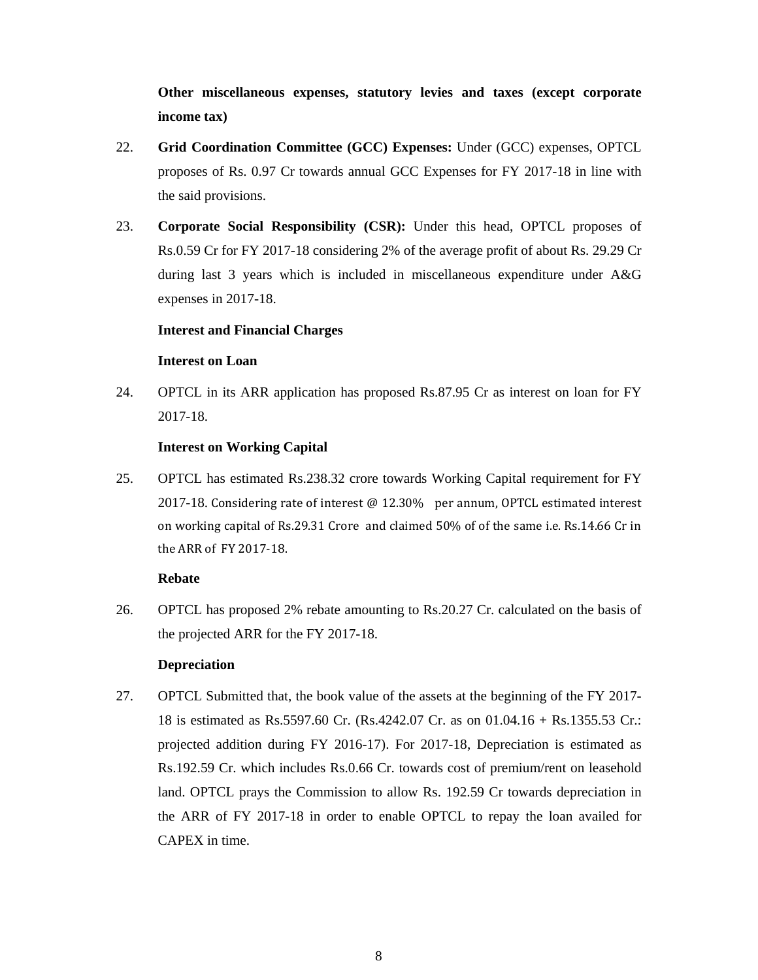**Other miscellaneous expenses, statutory levies and taxes (except corporate income tax)** 

- 22. **Grid Coordination Committee (GCC) Expenses:** Under (GCC) expenses, OPTCL proposes of Rs. 0.97 Cr towards annual GCC Expenses for FY 2017-18 in line with the said provisions.
- 23. **Corporate Social Responsibility (CSR):** Under this head, OPTCL proposes of Rs.0.59 Cr for FY 2017-18 considering 2% of the average profit of about Rs. 29.29 Cr during last 3 years which is included in miscellaneous expenditure under A&G expenses in 2017-18.

## **Interest and Financial Charges**

## **Interest on Loan**

24. OPTCL in its ARR application has proposed Rs.87.95 Cr as interest on loan for FY 2017-18.

## **Interest on Working Capital**

25. OPTCL has estimated Rs.238.32 crore towards Working Capital requirement for FY 2017-18. Considering rate of interest @ 12.30% per annum, OPTCL estimated interest on working capital of Rs.29.31 Crore and claimed 50% of of the same i.e. Rs.14.66 Cr in the ARR of FY 2017‐18.

## **Rebate**

26. OPTCL has proposed 2% rebate amounting to Rs.20.27 Cr. calculated on the basis of the projected ARR for the FY 2017-18.

## **Depreciation**

27. OPTCL Submitted that, the book value of the assets at the beginning of the FY 2017- 18 is estimated as Rs.5597.60 Cr. (Rs.4242.07 Cr. as on 01.04.16 + Rs.1355.53 Cr.: projected addition during FY 2016-17). For 2017-18, Depreciation is estimated as Rs.192.59 Cr. which includes Rs.0.66 Cr. towards cost of premium/rent on leasehold land. OPTCL prays the Commission to allow Rs. 192.59 Cr towards depreciation in the ARR of FY 2017-18 in order to enable OPTCL to repay the loan availed for CAPEX in time.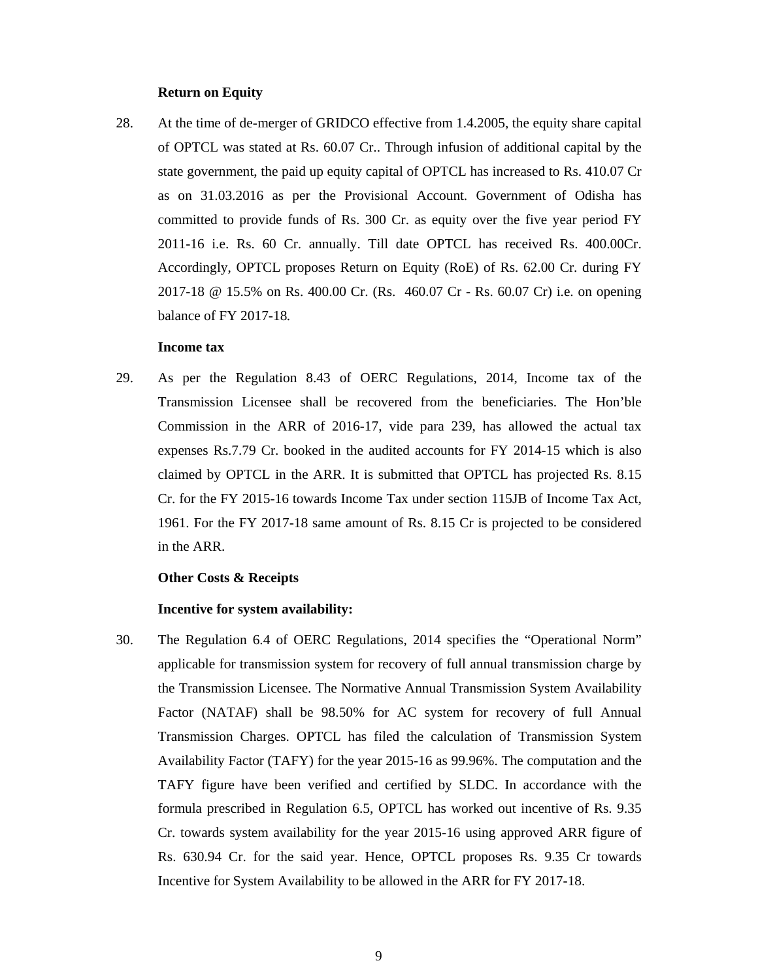## **Return on Equity**

28. At the time of de-merger of GRIDCO effective from 1.4.2005, the equity share capital of OPTCL was stated at Rs. 60.07 Cr.. Through infusion of additional capital by the state government, the paid up equity capital of OPTCL has increased to Rs. 410.07 Cr as on 31.03.2016 as per the Provisional Account. Government of Odisha has committed to provide funds of Rs. 300 Cr. as equity over the five year period FY 2011-16 i.e. Rs. 60 Cr. annually. Till date OPTCL has received Rs. 400.00Cr. Accordingly, OPTCL proposes Return on Equity (RoE) of Rs. 62.00 Cr. during FY 2017-18 @ 15.5% on Rs. 400.00 Cr. (Rs. 460.07 Cr - Rs. 60.07 Cr) i.e. on opening balance of FY 2017-18*.*

## **Income tax**

29. As per the Regulation 8.43 of OERC Regulations, 2014, Income tax of the Transmission Licensee shall be recovered from the beneficiaries. The Hon'ble Commission in the ARR of 2016-17, vide para 239, has allowed the actual tax expenses Rs.7.79 Cr. booked in the audited accounts for FY 2014-15 which is also claimed by OPTCL in the ARR. It is submitted that OPTCL has projected Rs. 8.15 Cr. for the FY 2015-16 towards Income Tax under section 115JB of Income Tax Act, 1961. For the FY 2017-18 same amount of Rs. 8.15 Cr is projected to be considered in the ARR.

#### **Other Costs & Receipts**

#### **Incentive for system availability:**

30. The Regulation 6.4 of OERC Regulations, 2014 specifies the "Operational Norm" applicable for transmission system for recovery of full annual transmission charge by the Transmission Licensee. The Normative Annual Transmission System Availability Factor (NATAF) shall be 98.50% for AC system for recovery of full Annual Transmission Charges. OPTCL has filed the calculation of Transmission System Availability Factor (TAFY) for the year 2015-16 as 99.96%. The computation and the TAFY figure have been verified and certified by SLDC. In accordance with the formula prescribed in Regulation 6.5, OPTCL has worked out incentive of Rs. 9.35 Cr. towards system availability for the year 2015-16 using approved ARR figure of Rs. 630.94 Cr. for the said year. Hence, OPTCL proposes Rs. 9.35 Cr towards Incentive for System Availability to be allowed in the ARR for FY 2017-18.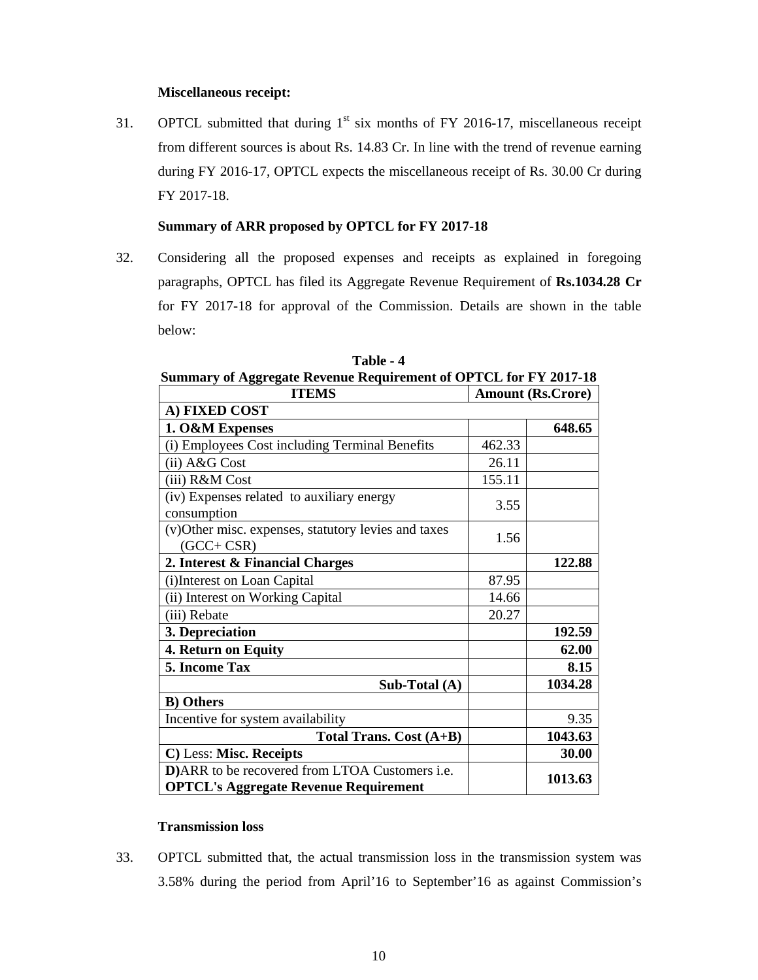# **Miscellaneous receipt:**

31. OPTCL submitted that during  $1<sup>st</sup>$  six months of FY 2016-17, miscellaneous receipt from different sources is about Rs. 14.83 Cr. In line with the trend of revenue earning during FY 2016-17, OPTCL expects the miscellaneous receipt of Rs. 30.00 Cr during FY 2017-18.

# **Summary of ARR proposed by OPTCL for FY 2017-18**

32. Considering all the proposed expenses and receipts as explained in foregoing paragraphs, OPTCL has filed its Aggregate Revenue Requirement of **Rs.1034.28 Cr**  for FY 2017-18 for approval of the Commission. Details are shown in the table below:

| $50$ $\ldots$ $11$ $\ldots$ $11$ $\ldots$ $100$ $\ldots$ $100$ $\ldots$ $100$ $\ldots$ $100$ $\ldots$ $100$<br><b>ITEMS</b> |        | <b>Amount (Rs.Crore)</b> |
|-----------------------------------------------------------------------------------------------------------------------------|--------|--------------------------|
| A) FIXED COST                                                                                                               |        |                          |
| 1. O&M Expenses                                                                                                             |        | 648.65                   |
| (i) Employees Cost including Terminal Benefits                                                                              | 462.33 |                          |
| (ii) A&G Cost                                                                                                               | 26.11  |                          |
| (iii) R&M Cost                                                                                                              | 155.11 |                          |
| (iv) Expenses related to auxiliary energy<br>consumption                                                                    | 3.55   |                          |
| (v) Other misc. expenses, statutory levies and taxes<br>$(GCC + CSR)$                                                       | 1.56   |                          |
| 2. Interest & Financial Charges                                                                                             |        | 122.88                   |
| (i)Interest on Loan Capital                                                                                                 | 87.95  |                          |
| (ii) Interest on Working Capital                                                                                            | 14.66  |                          |
| (iii) Rebate                                                                                                                | 20.27  |                          |
| 3. Depreciation                                                                                                             |        | 192.59                   |
| 4. Return on Equity                                                                                                         |        | 62.00                    |
| 5. Income Tax                                                                                                               |        | 8.15                     |
| Sub-Total (A)                                                                                                               |        | 1034.28                  |
| <b>B</b> ) Others                                                                                                           |        |                          |
| Incentive for system availability                                                                                           |        | 9.35                     |
| Total Trans. Cost (A+B)                                                                                                     |        | 1043.63                  |
| C) Less: Misc. Receipts                                                                                                     |        | 30.00                    |
| D)ARR to be recovered from LTOA Customers i.e.                                                                              |        | 1013.63                  |
| <b>OPTCL's Aggregate Revenue Requirement</b>                                                                                |        |                          |

**Table - 4 Summary of Aggregate Revenue Requirement of OPTCL for FY 2017-18** 

# **Transmission loss**

33. OPTCL submitted that, the actual transmission loss in the transmission system was 3.58% during the period from April'16 to September'16 as against Commission's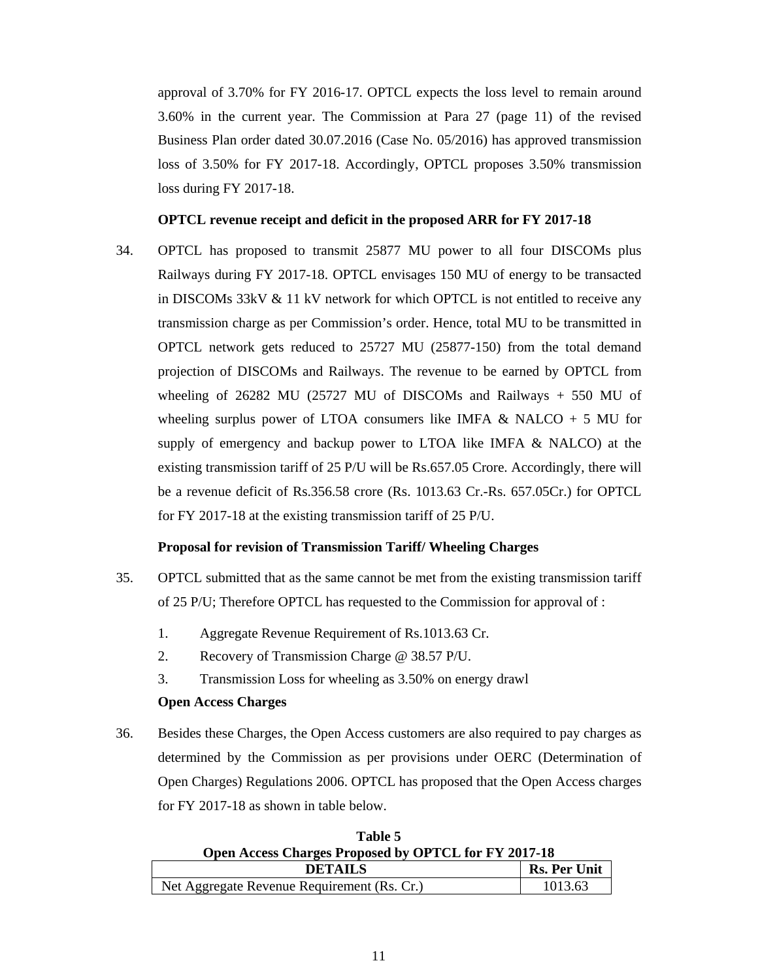approval of 3.70% for FY 2016-17. OPTCL expects the loss level to remain around 3.60% in the current year. The Commission at Para 27 (page 11) of the revised Business Plan order dated 30.07.2016 (Case No. 05/2016) has approved transmission loss of 3.50% for FY 2017-18. Accordingly, OPTCL proposes 3.50% transmission loss during FY 2017-18.

### **OPTCL revenue receipt and deficit in the proposed ARR for FY 2017-18**

34. OPTCL has proposed to transmit 25877 MU power to all four DISCOMs plus Railways during FY 2017-18. OPTCL envisages 150 MU of energy to be transacted in DISCOMs 33kV & 11 kV network for which OPTCL is not entitled to receive any transmission charge as per Commission's order. Hence, total MU to be transmitted in OPTCL network gets reduced to 25727 MU (25877-150) from the total demand projection of DISCOMs and Railways. The revenue to be earned by OPTCL from wheeling of 26282 MU (25727 MU of DISCOMs and Railways + 550 MU of wheeling surplus power of LTOA consumers like IMFA  $\&$  NALCO + 5 MU for supply of emergency and backup power to LTOA like IMFA & NALCO) at the existing transmission tariff of 25 P/U will be Rs.657.05 Crore. Accordingly, there will be a revenue deficit of Rs.356.58 crore (Rs. 1013.63 Cr.-Rs. 657.05Cr.) for OPTCL for FY 2017-18 at the existing transmission tariff of 25 P/U.

## **Proposal for revision of Transmission Tariff/ Wheeling Charges**

- 35. OPTCL submitted that as the same cannot be met from the existing transmission tariff of 25 P/U; Therefore OPTCL has requested to the Commission for approval of :
	- 1. Aggregate Revenue Requirement of Rs.1013.63 Cr.
	- 2. Recovery of Transmission Charge @ 38.57 P/U.
	- 3. Transmission Loss for wheeling as 3.50% on energy drawl

### **Open Access Charges**

36. Besides these Charges, the Open Access customers are also required to pay charges as determined by the Commission as per provisions under OERC (Determination of Open Charges) Regulations 2006. OPTCL has proposed that the Open Access charges for FY 2017-18 as shown in table below.

| 1 apie 5                                             |         |  |
|------------------------------------------------------|---------|--|
| Open Access Charges Proposed by OPTCL for FY 2017-18 |         |  |
| <b>Rs. Per Unit</b><br><b>DETAILS</b>                |         |  |
| Net Aggregate Revenue Requirement (Rs. Cr.)          | 1013.63 |  |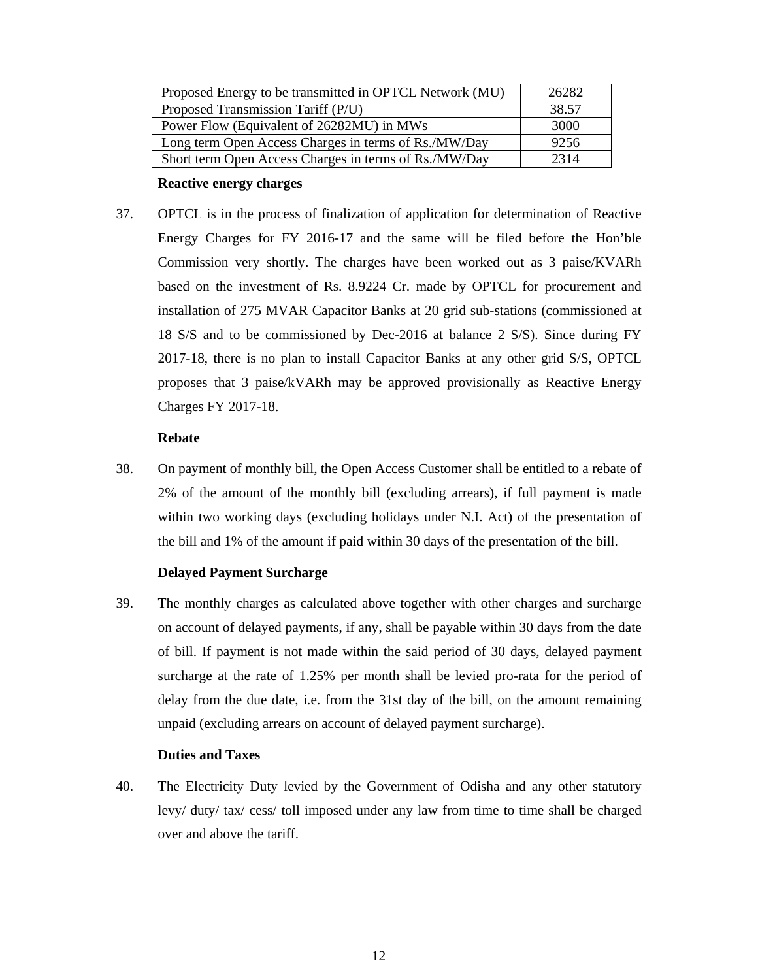| Proposed Energy to be transmitted in OPTCL Network (MU) | 26282 |
|---------------------------------------------------------|-------|
| Proposed Transmission Tariff (P/U)                      | 38.57 |
| Power Flow (Equivalent of 26282MU) in MWs               | 3000  |
| Long term Open Access Charges in terms of Rs./MW/Day    | 9256  |
| Short term Open Access Charges in terms of Rs./MW/Day   | 2314  |

## **Reactive energy charges**

37. OPTCL is in the process of finalization of application for determination of Reactive Energy Charges for FY 2016-17 and the same will be filed before the Hon'ble Commission very shortly. The charges have been worked out as 3 paise/KVARh based on the investment of Rs. 8.9224 Cr. made by OPTCL for procurement and installation of 275 MVAR Capacitor Banks at 20 grid sub-stations (commissioned at 18 S/S and to be commissioned by Dec-2016 at balance 2 S/S). Since during FY 2017-18, there is no plan to install Capacitor Banks at any other grid S/S, OPTCL proposes that 3 paise/kVARh may be approved provisionally as Reactive Energy Charges FY 2017-18.

## **Rebate**

38. On payment of monthly bill, the Open Access Customer shall be entitled to a rebate of 2% of the amount of the monthly bill (excluding arrears), if full payment is made within two working days (excluding holidays under N.I. Act) of the presentation of the bill and 1% of the amount if paid within 30 days of the presentation of the bill.

# **Delayed Payment Surcharge**

39. The monthly charges as calculated above together with other charges and surcharge on account of delayed payments, if any, shall be payable within 30 days from the date of bill. If payment is not made within the said period of 30 days, delayed payment surcharge at the rate of 1.25% per month shall be levied pro-rata for the period of delay from the due date, i.e. from the 31st day of the bill, on the amount remaining unpaid (excluding arrears on account of delayed payment surcharge).

## **Duties and Taxes**

40. The Electricity Duty levied by the Government of Odisha and any other statutory levy/ duty/ tax/ cess/ toll imposed under any law from time to time shall be charged over and above the tariff.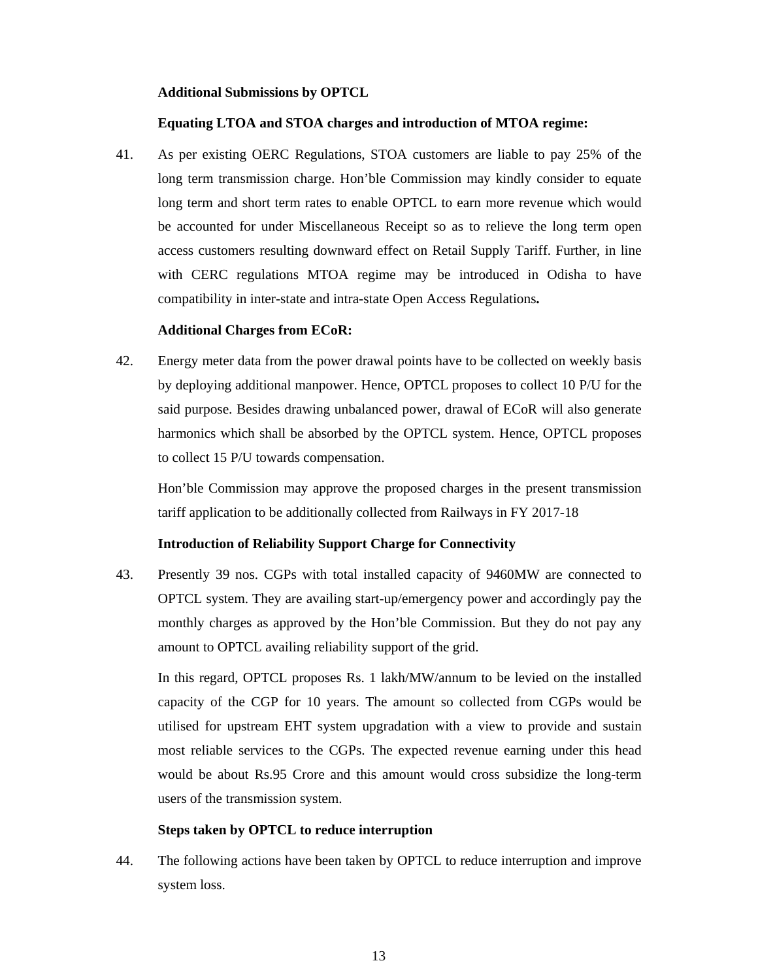## **Additional Submissions by OPTCL**

### **Equating LTOA and STOA charges and introduction of MTOA regime:**

41. As per existing OERC Regulations, STOA customers are liable to pay 25% of the long term transmission charge. Hon'ble Commission may kindly consider to equate long term and short term rates to enable OPTCL to earn more revenue which would be accounted for under Miscellaneous Receipt so as to relieve the long term open access customers resulting downward effect on Retail Supply Tariff. Further, in line with CERC regulations MTOA regime may be introduced in Odisha to have compatibility in inter-state and intra-state Open Access Regulations**.** 

### **Additional Charges from ECoR:**

42. Energy meter data from the power drawal points have to be collected on weekly basis by deploying additional manpower. Hence, OPTCL proposes to collect 10 P/U for the said purpose. Besides drawing unbalanced power, drawal of ECoR will also generate harmonics which shall be absorbed by the OPTCL system. Hence, OPTCL proposes to collect 15 P/U towards compensation.

Hon'ble Commission may approve the proposed charges in the present transmission tariff application to be additionally collected from Railways in FY 2017-18

## **Introduction of Reliability Support Charge for Connectivity**

43. Presently 39 nos. CGPs with total installed capacity of 9460MW are connected to OPTCL system. They are availing start-up/emergency power and accordingly pay the monthly charges as approved by the Hon'ble Commission. But they do not pay any amount to OPTCL availing reliability support of the grid.

In this regard, OPTCL proposes Rs. 1 lakh/MW/annum to be levied on the installed capacity of the CGP for 10 years. The amount so collected from CGPs would be utilised for upstream EHT system upgradation with a view to provide and sustain most reliable services to the CGPs. The expected revenue earning under this head would be about Rs.95 Crore and this amount would cross subsidize the long-term users of the transmission system.

## **Steps taken by OPTCL to reduce interruption**

44. The following actions have been taken by OPTCL to reduce interruption and improve system loss.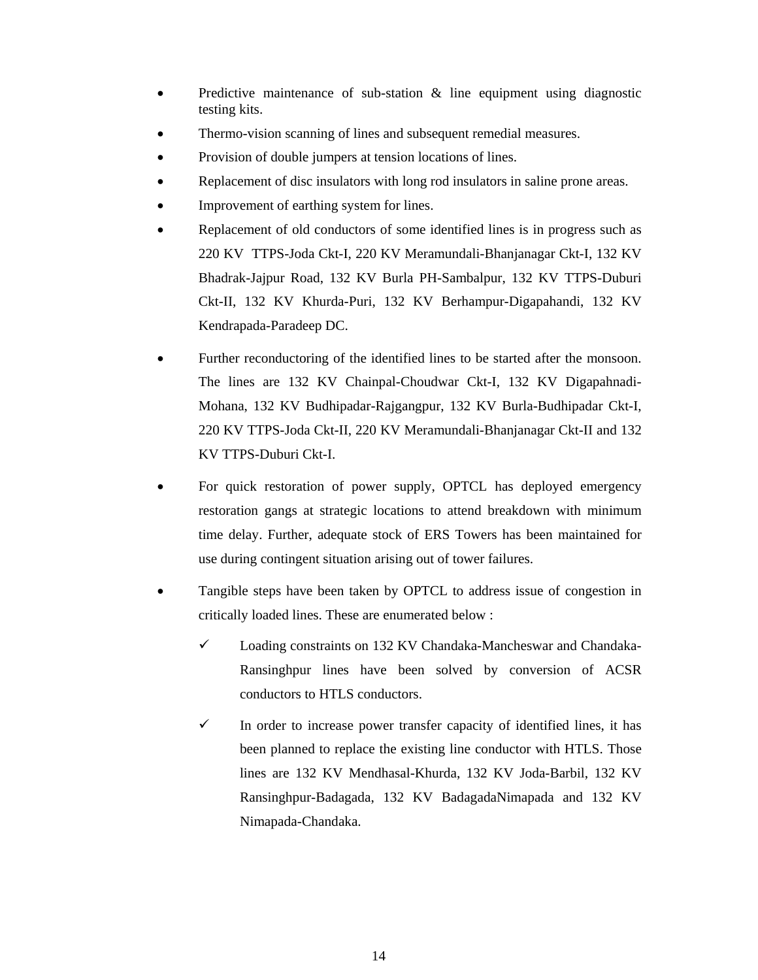- Predictive maintenance of sub-station  $\&$  line equipment using diagnostic testing kits.
- Thermo-vision scanning of lines and subsequent remedial measures.
- Provision of double jumpers at tension locations of lines.
- Replacement of disc insulators with long rod insulators in saline prone areas.
- Improvement of earthing system for lines.
- Replacement of old conductors of some identified lines is in progress such as 220 KV TTPS-Joda Ckt-I, 220 KV Meramundali-Bhanjanagar Ckt-I, 132 KV Bhadrak-Jajpur Road, 132 KV Burla PH-Sambalpur, 132 KV TTPS-Duburi Ckt-II, 132 KV Khurda-Puri, 132 KV Berhampur-Digapahandi, 132 KV Kendrapada-Paradeep DC.
- Further reconductoring of the identified lines to be started after the monsoon. The lines are 132 KV Chainpal-Choudwar Ckt-I, 132 KV Digapahnadi-Mohana, 132 KV Budhipadar-Rajgangpur, 132 KV Burla-Budhipadar Ckt-I, 220 KV TTPS-Joda Ckt-II, 220 KV Meramundali-Bhanjanagar Ckt-II and 132 KV TTPS-Duburi Ckt-I.
- For quick restoration of power supply, OPTCL has deployed emergency restoration gangs at strategic locations to attend breakdown with minimum time delay. Further, adequate stock of ERS Towers has been maintained for use during contingent situation arising out of tower failures.
- Tangible steps have been taken by OPTCL to address issue of congestion in critically loaded lines. These are enumerated below :
	- $\checkmark$  Loading constraints on 132 KV Chandaka-Mancheswar and Chandaka-Ransinghpur lines have been solved by conversion of ACSR conductors to HTLS conductors.
	- $\checkmark$  In order to increase power transfer capacity of identified lines, it has been planned to replace the existing line conductor with HTLS. Those lines are 132 KV Mendhasal-Khurda, 132 KV Joda-Barbil, 132 KV Ransinghpur-Badagada, 132 KV BadagadaNimapada and 132 KV Nimapada-Chandaka.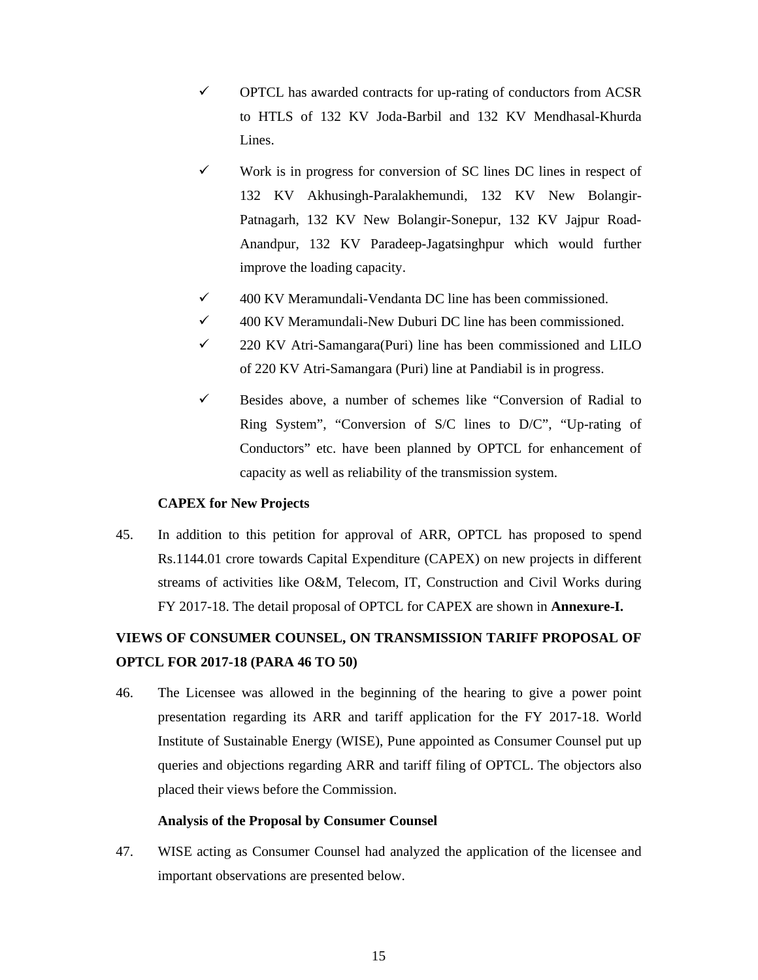- $\checkmark$  OPTCL has awarded contracts for up-rating of conductors from ACSR to HTLS of 132 KV Joda-Barbil and 132 KV Mendhasal-Khurda Lines.
- $\checkmark$  Work is in progress for conversion of SC lines DC lines in respect of 132 KV Akhusingh-Paralakhemundi, 132 KV New Bolangir-Patnagarh, 132 KV New Bolangir-Sonepur, 132 KV Jajpur Road-Anandpur, 132 KV Paradeep-Jagatsinghpur which would further improve the loading capacity.
- $\checkmark$  400 KV Meramundali-Vendanta DC line has been commissioned.
- 9 400 KV Meramundali-New Duburi DC line has been commissioned.
- $\checkmark$  220 KV Atri-Samangara(Puri) line has been commissioned and LILO of 220 KV Atri-Samangara (Puri) line at Pandiabil is in progress.
- $\checkmark$  Besides above, a number of schemes like "Conversion of Radial to Ring System", "Conversion of S/C lines to D/C", "Up-rating of Conductors" etc. have been planned by OPTCL for enhancement of capacity as well as reliability of the transmission system.

## **CAPEX for New Projects**

45. In addition to this petition for approval of ARR, OPTCL has proposed to spend Rs.1144.01 crore towards Capital Expenditure (CAPEX) on new projects in different streams of activities like O&M, Telecom, IT, Construction and Civil Works during FY 2017-18. The detail proposal of OPTCL for CAPEX are shown in **Annexure-I.** 

# **VIEWS OF CONSUMER COUNSEL, ON TRANSMISSION TARIFF PROPOSAL OF OPTCL FOR 2017-18 (PARA 46 TO 50)**

46. The Licensee was allowed in the beginning of the hearing to give a power point presentation regarding its ARR and tariff application for the FY 2017-18. World Institute of Sustainable Energy (WISE), Pune appointed as Consumer Counsel put up queries and objections regarding ARR and tariff filing of OPTCL. The objectors also placed their views before the Commission.

## **Analysis of the Proposal by Consumer Counsel**

47. WISE acting as Consumer Counsel had analyzed the application of the licensee and important observations are presented below.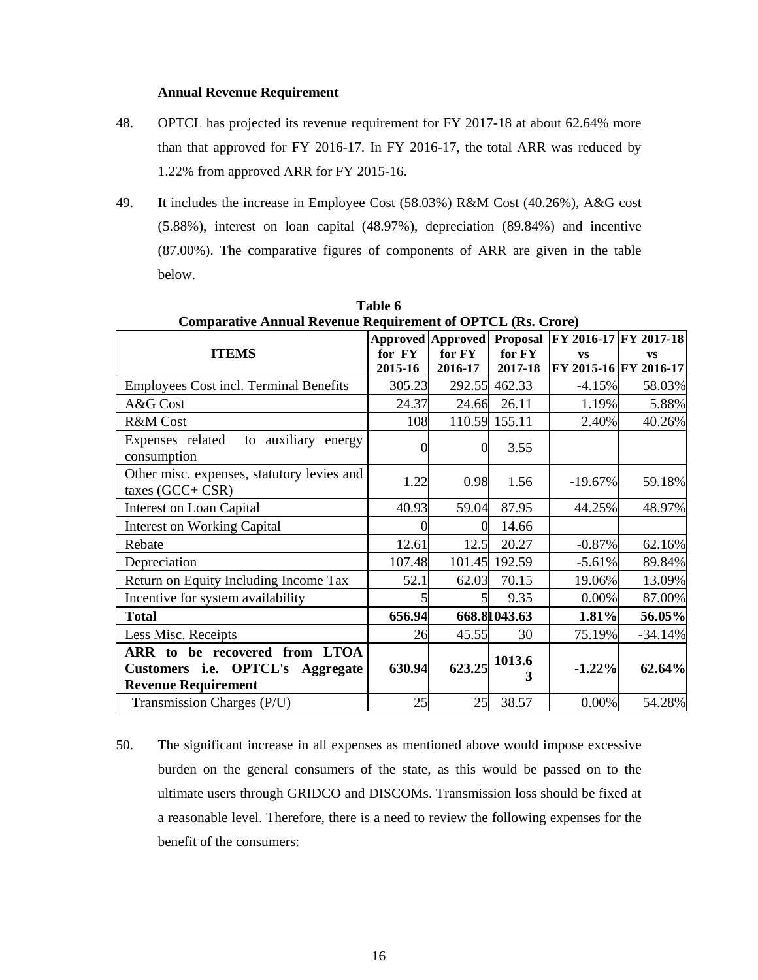### **Annual Revenue Requirement**

- 48. OPTCL has projected its revenue requirement for FY 2017-18 at about 62.64% more than that approved for FY 2016-17. In FY 2016-17, the total ARR was reduced by 1.22% from approved ARR for FY 2015-16.
- 49. It includes the increase in Employee Cost (58.03%) R&M Cost (40.26%), A&G cost (5.88%), interest on loan capital (48.97%), depreciation (89.84%) and incentive (87.00%). The comparative figures of components of ARR are given in the table below.

| Comparative Annual Revenue Requirement of Or FCL (RS. Crore)                                    |         |                                   |               |                       |                       |
|-------------------------------------------------------------------------------------------------|---------|-----------------------------------|---------------|-----------------------|-----------------------|
|                                                                                                 |         | <b>Approved Approved Proposal</b> |               | FY 2016-17 FY 2017-18 |                       |
| <b>ITEMS</b>                                                                                    | for FY  | for FY                            | for FY        | <b>VS</b>             | <b>VS</b>             |
|                                                                                                 | 2015-16 | 2016-17                           | 2017-18       |                       | FY 2015-16 FY 2016-17 |
| <b>Employees Cost incl. Terminal Benefits</b>                                                   | 305.23  |                                   | 292.55 462.33 | $-4.15%$              | 58.03%                |
| A&G Cost                                                                                        | 24.37   | 24.66                             | 26.11         | 1.19%                 | 5.88%                 |
| R&M Cost                                                                                        | 108     |                                   | 110.59 155.11 | 2.40%                 | 40.26%                |
| Expenses related<br>to auxiliary energy<br>consumption                                          |         | 0                                 | 3.55          |                       |                       |
| Other misc. expenses, statutory levies and<br>taxes $(GCC + CSR)$                               | 1.22    | 0.98                              | 1.56          | $-19.67\%$            | 59.18%                |
| Interest on Loan Capital                                                                        | 40.93   | 59.04                             | 87.95         | 44.25%                | 48.97%                |
| <b>Interest on Working Capital</b>                                                              |         |                                   | 14.66         |                       |                       |
| Rebate                                                                                          | 12.61   | 12.5                              | 20.27         | $-0.87%$              | 62.16%                |
| Depreciation                                                                                    | 107.48  | 101.45                            | 192.59        | $-5.61%$              | 89.84%                |
| Return on Equity Including Income Tax                                                           | 52.1    | 62.03                             | 70.15         | 19.06%                | 13.09%                |
| Incentive for system availability                                                               |         |                                   | 9.35          | 0.00%                 | 87.00%                |
| <b>Total</b>                                                                                    | 656.94  |                                   | 668.81043.63  | 1.81%                 | 56.05%                |
| Less Misc. Receipts                                                                             | 26      | 45.55                             | 30            | 75.19%                | $-34.14%$             |
| ARR to be recovered from LTOA<br>Customers i.e. OPTCL's Aggregate<br><b>Revenue Requirement</b> | 630.94  | 623.25                            | 1013.6<br>3   | $-1.22%$              | 62.64%                |
| Transmission Charges (P/U)                                                                      | 25      | 25                                | 38.57         | 0.00%                 | 54.28%                |

Table 6<br>**a Bequirement of OPTCL (Bs. Crore)** Comparative Annual Revenue

50. The significant increase in all expenses as mentioned above would impose excessive burden on the general consumers of the state, as this would be passed on to the ultimate users through GRIDCO and DISCOMs. Transmission loss should be fixed at a reasonable level. Therefore, there is a need to review the following expenses for the benefit of the consumers: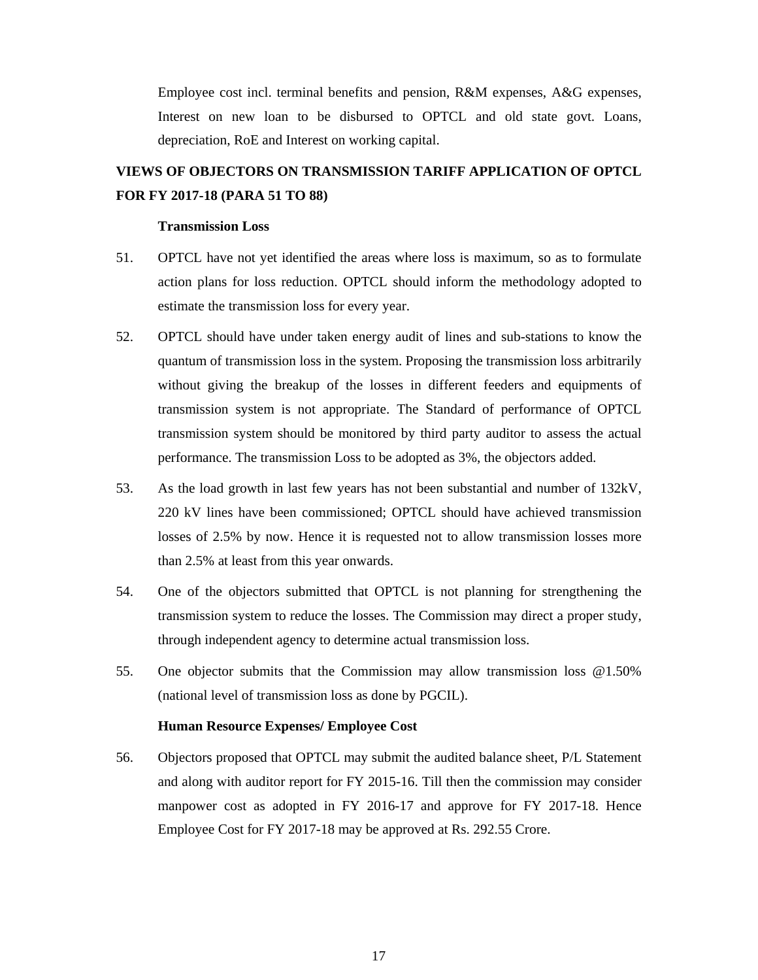Employee cost incl. terminal benefits and pension, R&M expenses, A&G expenses, Interest on new loan to be disbursed to OPTCL and old state govt. Loans, depreciation, RoE and Interest on working capital.

# **VIEWS OF OBJECTORS ON TRANSMISSION TARIFF APPLICATION OF OPTCL FOR FY 2017-18 (PARA 51 TO 88)**

### **Transmission Loss**

- 51. OPTCL have not yet identified the areas where loss is maximum, so as to formulate action plans for loss reduction. OPTCL should inform the methodology adopted to estimate the transmission loss for every year.
- 52. OPTCL should have under taken energy audit of lines and sub-stations to know the quantum of transmission loss in the system. Proposing the transmission loss arbitrarily without giving the breakup of the losses in different feeders and equipments of transmission system is not appropriate. The Standard of performance of OPTCL transmission system should be monitored by third party auditor to assess the actual performance. The transmission Loss to be adopted as 3%, the objectors added.
- 53. As the load growth in last few years has not been substantial and number of 132kV, 220 kV lines have been commissioned; OPTCL should have achieved transmission losses of 2.5% by now. Hence it is requested not to allow transmission losses more than 2.5% at least from this year onwards.
- 54. One of the objectors submitted that OPTCL is not planning for strengthening the transmission system to reduce the losses. The Commission may direct a proper study, through independent agency to determine actual transmission loss.
- 55. One objector submits that the Commission may allow transmission loss @1.50% (national level of transmission loss as done by PGCIL).

### **Human Resource Expenses/ Employee Cost**

56. Objectors proposed that OPTCL may submit the audited balance sheet, P/L Statement and along with auditor report for FY 2015-16. Till then the commission may consider manpower cost as adopted in FY 2016-17 and approve for FY 2017-18. Hence Employee Cost for FY 2017-18 may be approved at Rs. 292.55 Crore.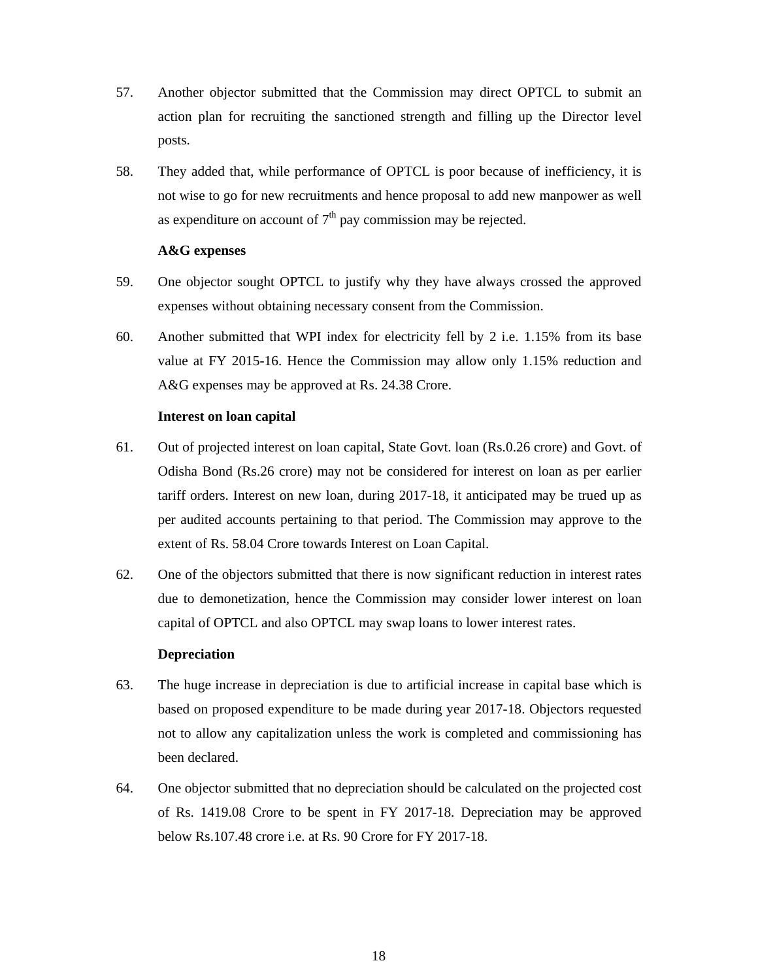- 57. Another objector submitted that the Commission may direct OPTCL to submit an action plan for recruiting the sanctioned strength and filling up the Director level posts.
- 58. They added that, while performance of OPTCL is poor because of inefficiency, it is not wise to go for new recruitments and hence proposal to add new manpower as well as expenditure on account of  $7<sup>th</sup>$  pay commission may be rejected.

### **A&G expenses**

- 59. One objector sought OPTCL to justify why they have always crossed the approved expenses without obtaining necessary consent from the Commission.
- 60. Another submitted that WPI index for electricity fell by 2 i.e. 1.15% from its base value at FY 2015-16. Hence the Commission may allow only 1.15% reduction and A&G expenses may be approved at Rs. 24.38 Crore.

### **Interest on loan capital**

- 61. Out of projected interest on loan capital, State Govt. loan (Rs.0.26 crore) and Govt. of Odisha Bond (Rs.26 crore) may not be considered for interest on loan as per earlier tariff orders. Interest on new loan, during 2017-18, it anticipated may be trued up as per audited accounts pertaining to that period. The Commission may approve to the extent of Rs. 58.04 Crore towards Interest on Loan Capital.
- 62. One of the objectors submitted that there is now significant reduction in interest rates due to demonetization, hence the Commission may consider lower interest on loan capital of OPTCL and also OPTCL may swap loans to lower interest rates.

### **Depreciation**

- 63. The huge increase in depreciation is due to artificial increase in capital base which is based on proposed expenditure to be made during year 2017-18. Objectors requested not to allow any capitalization unless the work is completed and commissioning has been declared.
- 64. One objector submitted that no depreciation should be calculated on the projected cost of Rs. 1419.08 Crore to be spent in FY 2017-18. Depreciation may be approved below Rs.107.48 crore i.e. at Rs. 90 Crore for FY 2017-18.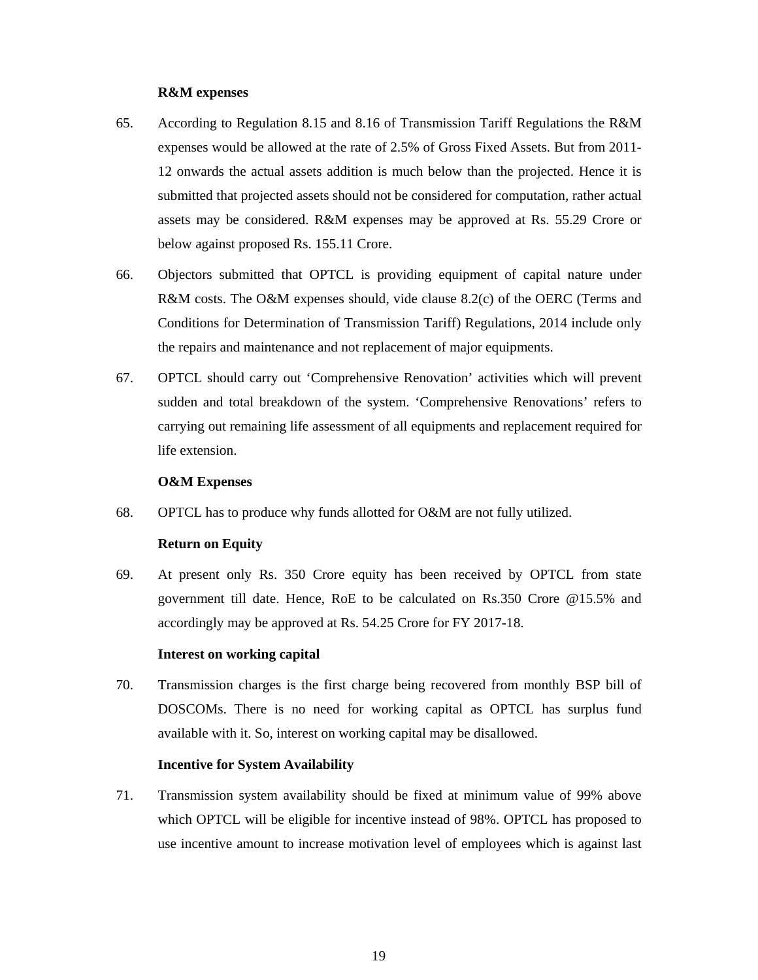## **R&M expenses**

- 65. According to Regulation 8.15 and 8.16 of Transmission Tariff Regulations the R&M expenses would be allowed at the rate of 2.5% of Gross Fixed Assets. But from 2011- 12 onwards the actual assets addition is much below than the projected. Hence it is submitted that projected assets should not be considered for computation, rather actual assets may be considered. R&M expenses may be approved at Rs. 55.29 Crore or below against proposed Rs. 155.11 Crore.
- 66. Objectors submitted that OPTCL is providing equipment of capital nature under R&M costs. The O&M expenses should, vide clause 8.2(c) of the OERC (Terms and Conditions for Determination of Transmission Tariff) Regulations, 2014 include only the repairs and maintenance and not replacement of major equipments.
- 67. OPTCL should carry out 'Comprehensive Renovation' activities which will prevent sudden and total breakdown of the system. 'Comprehensive Renovations' refers to carrying out remaining life assessment of all equipments and replacement required for life extension.

## **O&M Expenses**

68. OPTCL has to produce why funds allotted for O&M are not fully utilized.

## **Return on Equity**

69. At present only Rs. 350 Crore equity has been received by OPTCL from state government till date. Hence, RoE to be calculated on Rs.350 Crore @15.5% and accordingly may be approved at Rs. 54.25 Crore for FY 2017-18.

## **Interest on working capital**

70. Transmission charges is the first charge being recovered from monthly BSP bill of DOSCOMs. There is no need for working capital as OPTCL has surplus fund available with it. So, interest on working capital may be disallowed.

## **Incentive for System Availability**

71. Transmission system availability should be fixed at minimum value of 99% above which OPTCL will be eligible for incentive instead of 98%. OPTCL has proposed to use incentive amount to increase motivation level of employees which is against last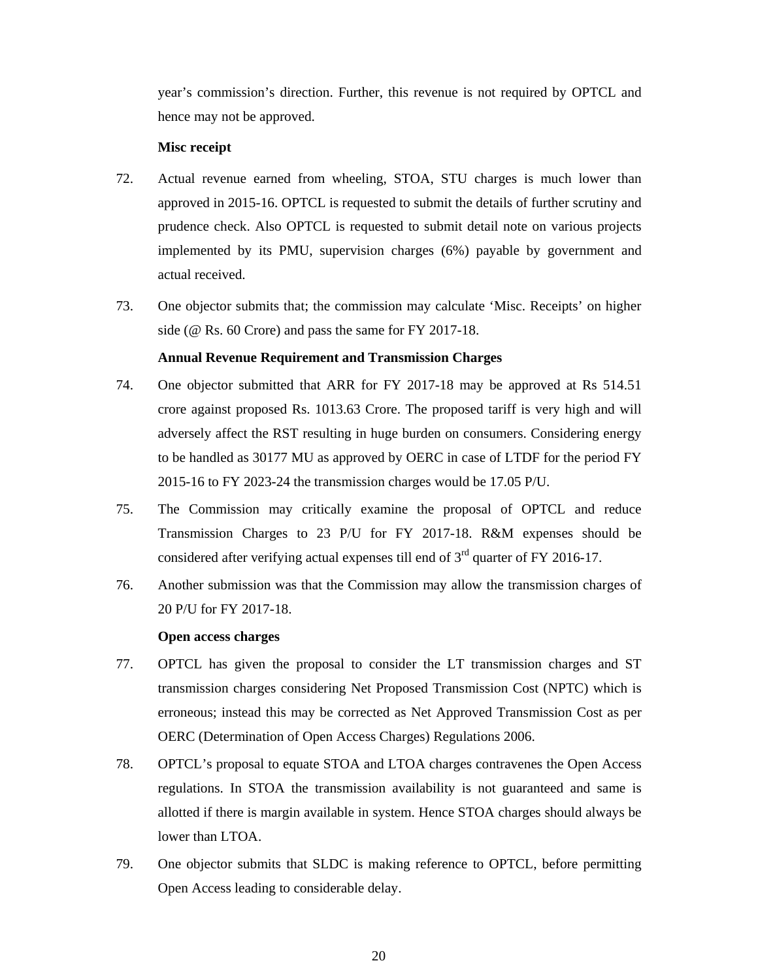year's commission's direction. Further, this revenue is not required by OPTCL and hence may not be approved.

## **Misc receipt**

- 72. Actual revenue earned from wheeling, STOA, STU charges is much lower than approved in 2015-16. OPTCL is requested to submit the details of further scrutiny and prudence check. Also OPTCL is requested to submit detail note on various projects implemented by its PMU, supervision charges (6%) payable by government and actual received.
- 73. One objector submits that; the commission may calculate 'Misc. Receipts' on higher side (@ Rs. 60 Crore) and pass the same for FY 2017-18.

# **Annual Revenue Requirement and Transmission Charges**

- 74. One objector submitted that ARR for FY 2017-18 may be approved at Rs 514.51 crore against proposed Rs. 1013.63 Crore. The proposed tariff is very high and will adversely affect the RST resulting in huge burden on consumers. Considering energy to be handled as 30177 MU as approved by OERC in case of LTDF for the period FY 2015-16 to FY 2023-24 the transmission charges would be 17.05 P/U.
- 75. The Commission may critically examine the proposal of OPTCL and reduce Transmission Charges to 23 P/U for FY 2017-18. R&M expenses should be considered after verifying actual expenses till end of  $3<sup>rd</sup>$  quarter of FY 2016-17.
- 76. Another submission was that the Commission may allow the transmission charges of 20 P/U for FY 2017-18.

## **Open access charges**

- 77. OPTCL has given the proposal to consider the LT transmission charges and ST transmission charges considering Net Proposed Transmission Cost (NPTC) which is erroneous; instead this may be corrected as Net Approved Transmission Cost as per OERC (Determination of Open Access Charges) Regulations 2006.
- 78. OPTCL's proposal to equate STOA and LTOA charges contravenes the Open Access regulations. In STOA the transmission availability is not guaranteed and same is allotted if there is margin available in system. Hence STOA charges should always be lower than LTOA.
- 79. One objector submits that SLDC is making reference to OPTCL, before permitting Open Access leading to considerable delay.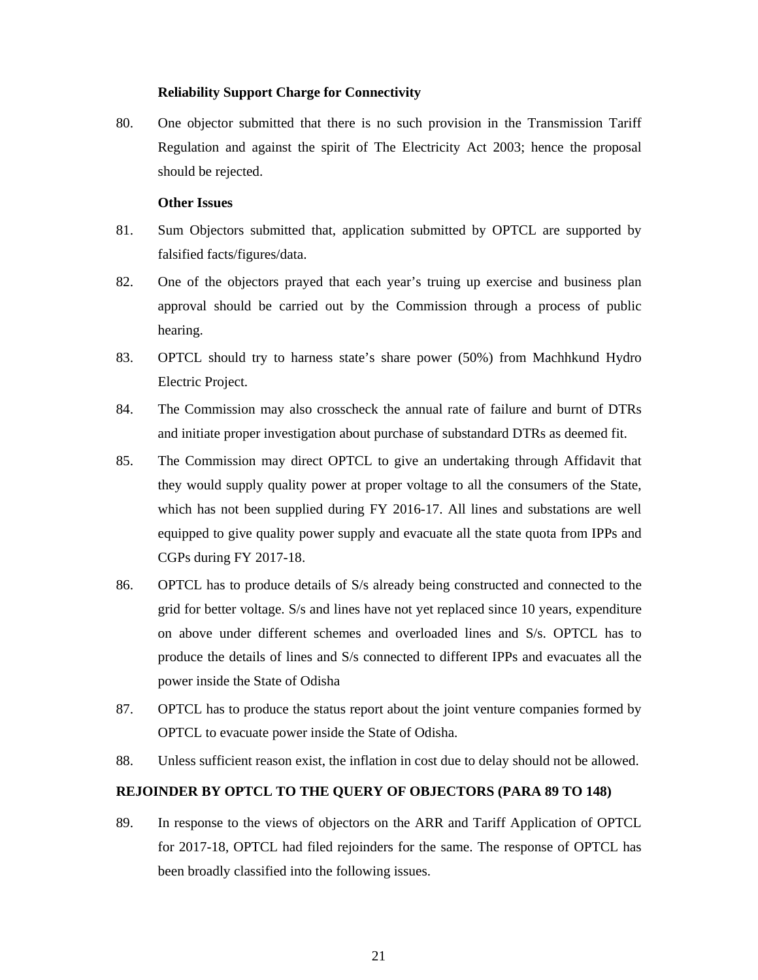## **Reliability Support Charge for Connectivity**

80. One objector submitted that there is no such provision in the Transmission Tariff Regulation and against the spirit of The Electricity Act 2003; hence the proposal should be rejected.

### **Other Issues**

- 81. Sum Objectors submitted that, application submitted by OPTCL are supported by falsified facts/figures/data.
- 82. One of the objectors prayed that each year's truing up exercise and business plan approval should be carried out by the Commission through a process of public hearing.
- 83. OPTCL should try to harness state's share power (50%) from Machhkund Hydro Electric Project.
- 84. The Commission may also crosscheck the annual rate of failure and burnt of DTRs and initiate proper investigation about purchase of substandard DTRs as deemed fit.
- 85. The Commission may direct OPTCL to give an undertaking through Affidavit that they would supply quality power at proper voltage to all the consumers of the State, which has not been supplied during FY 2016-17. All lines and substations are well equipped to give quality power supply and evacuate all the state quota from IPPs and CGPs during FY 2017-18.
- 86. OPTCL has to produce details of S/s already being constructed and connected to the grid for better voltage. S/s and lines have not yet replaced since 10 years, expenditure on above under different schemes and overloaded lines and S/s. OPTCL has to produce the details of lines and S/s connected to different IPPs and evacuates all the power inside the State of Odisha
- 87. OPTCL has to produce the status report about the joint venture companies formed by OPTCL to evacuate power inside the State of Odisha.
- 88. Unless sufficient reason exist, the inflation in cost due to delay should not be allowed.

## **REJOINDER BY OPTCL TO THE QUERY OF OBJECTORS (PARA 89 TO 148)**

89. In response to the views of objectors on the ARR and Tariff Application of OPTCL for 2017-18, OPTCL had filed rejoinders for the same. The response of OPTCL has been broadly classified into the following issues.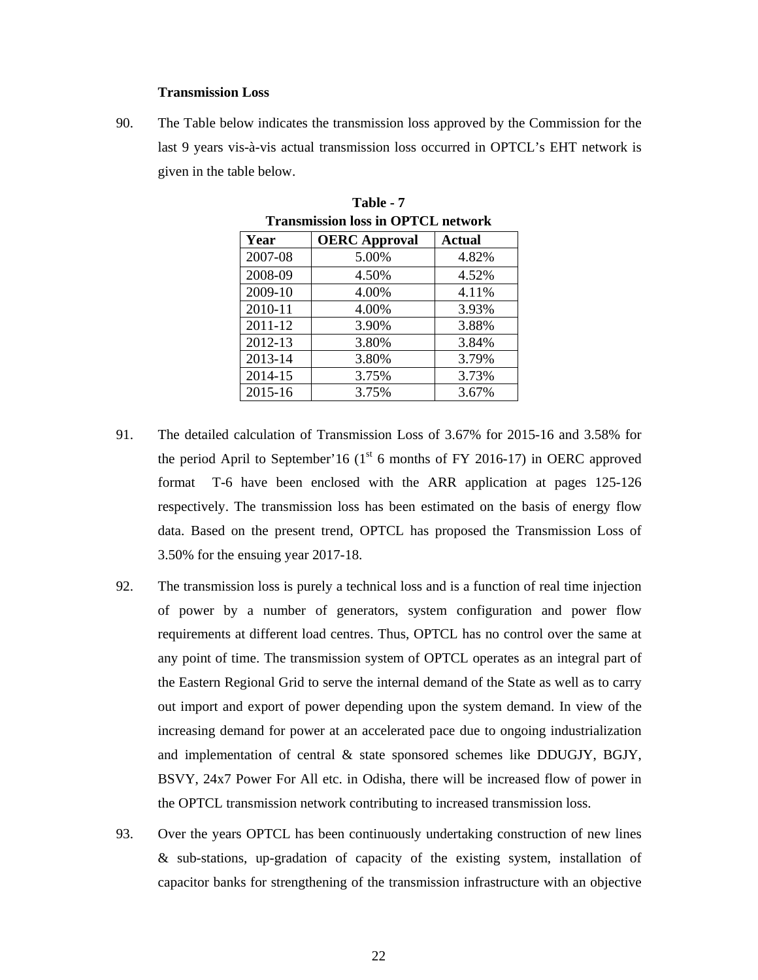### **Transmission Loss**

90. The Table below indicates the transmission loss approved by the Commission for the last 9 years vis-à-vis actual transmission loss occurred in OPTCL's EHT network is given in the table below.

| Transmission loss in Of ICL network |                      |               |  |  |
|-------------------------------------|----------------------|---------------|--|--|
| Year                                | <b>OERC</b> Approval | <b>Actual</b> |  |  |
| 2007-08                             | 5.00%                | 4.82%         |  |  |
| 2008-09                             | 4.50%                | 4.52%         |  |  |
| 2009-10                             | 4.00%                | 4.11%         |  |  |
| 2010-11                             | 4.00%                | 3.93%         |  |  |
| 2011-12                             | 3.90%                | 3.88%         |  |  |
| 2012-13                             | 3.80%                | 3.84%         |  |  |
| 2013-14                             | 3.80%                | 3.79%         |  |  |
| 2014-15                             | 3.75%                | 3.73%         |  |  |
| 2015-16                             | 3.75%                | 3.67%         |  |  |

**Table - 7 Transmission loss in OPTCL network** 

- 91. The detailed calculation of Transmission Loss of 3.67% for 2015-16 and 3.58% for the period April to September'16 ( $1<sup>st</sup>$  6 months of FY 2016-17) in OERC approved format T-6 have been enclosed with the ARR application at pages 125-126 respectively. The transmission loss has been estimated on the basis of energy flow data. Based on the present trend, OPTCL has proposed the Transmission Loss of 3.50% for the ensuing year 2017-18.
- 92. The transmission loss is purely a technical loss and is a function of real time injection of power by a number of generators, system configuration and power flow requirements at different load centres. Thus, OPTCL has no control over the same at any point of time. The transmission system of OPTCL operates as an integral part of the Eastern Regional Grid to serve the internal demand of the State as well as to carry out import and export of power depending upon the system demand. In view of the increasing demand for power at an accelerated pace due to ongoing industrialization and implementation of central & state sponsored schemes like DDUGJY, BGJY, BSVY, 24x7 Power For All etc. in Odisha, there will be increased flow of power in the OPTCL transmission network contributing to increased transmission loss.
- 93. Over the years OPTCL has been continuously undertaking construction of new lines & sub-stations, up-gradation of capacity of the existing system, installation of capacitor banks for strengthening of the transmission infrastructure with an objective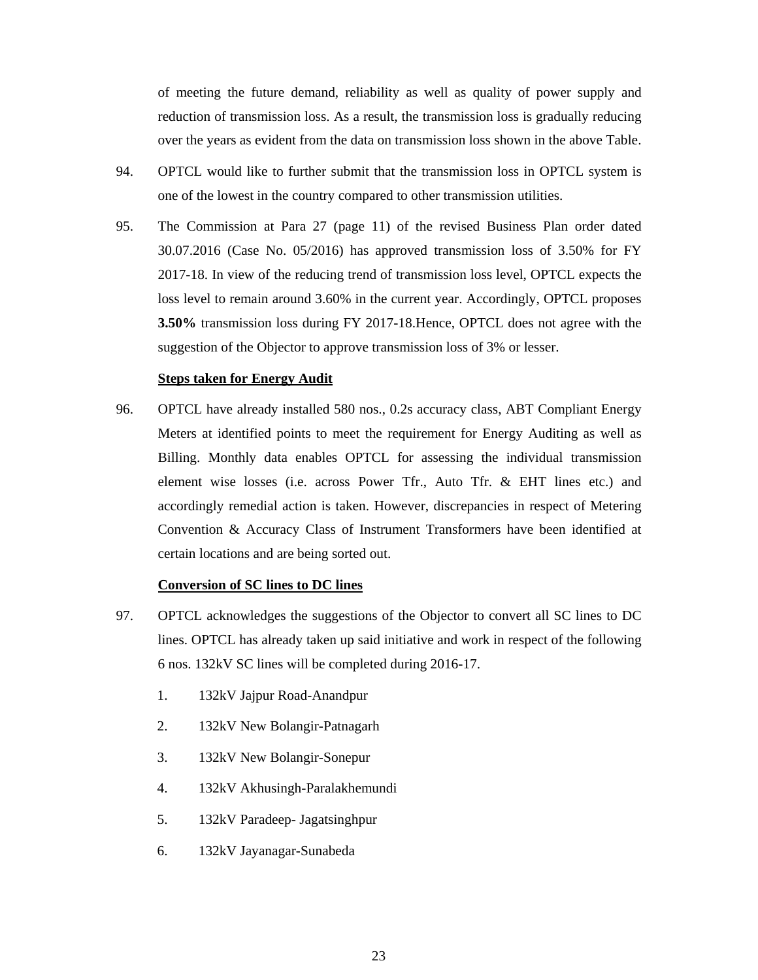of meeting the future demand, reliability as well as quality of power supply and reduction of transmission loss. As a result, the transmission loss is gradually reducing over the years as evident from the data on transmission loss shown in the above Table.

- 94. OPTCL would like to further submit that the transmission loss in OPTCL system is one of the lowest in the country compared to other transmission utilities.
- 95. The Commission at Para 27 (page 11) of the revised Business Plan order dated 30.07.2016 (Case No. 05/2016) has approved transmission loss of 3.50% for FY 2017-18. In view of the reducing trend of transmission loss level, OPTCL expects the loss level to remain around 3.60% in the current year. Accordingly, OPTCL proposes **3.50%** transmission loss during FY 2017-18.Hence, OPTCL does not agree with the suggestion of the Objector to approve transmission loss of 3% or lesser.

### **Steps taken for Energy Audit**

96. OPTCL have already installed 580 nos., 0.2s accuracy class, ABT Compliant Energy Meters at identified points to meet the requirement for Energy Auditing as well as Billing. Monthly data enables OPTCL for assessing the individual transmission element wise losses (i.e. across Power Tfr., Auto Tfr. & EHT lines etc.) and accordingly remedial action is taken. However, discrepancies in respect of Metering Convention & Accuracy Class of Instrument Transformers have been identified at certain locations and are being sorted out.

## **Conversion of SC lines to DC lines**

- 97. OPTCL acknowledges the suggestions of the Objector to convert all SC lines to DC lines. OPTCL has already taken up said initiative and work in respect of the following 6 nos. 132kV SC lines will be completed during 2016-17.
	- 1. 132kV Jajpur Road-Anandpur
	- 2. 132kV New Bolangir-Patnagarh
	- 3. 132kV New Bolangir-Sonepur
	- 4. 132kV Akhusingh-Paralakhemundi
	- 5. 132kV Paradeep- Jagatsinghpur
	- 6. 132kV Jayanagar-Sunabeda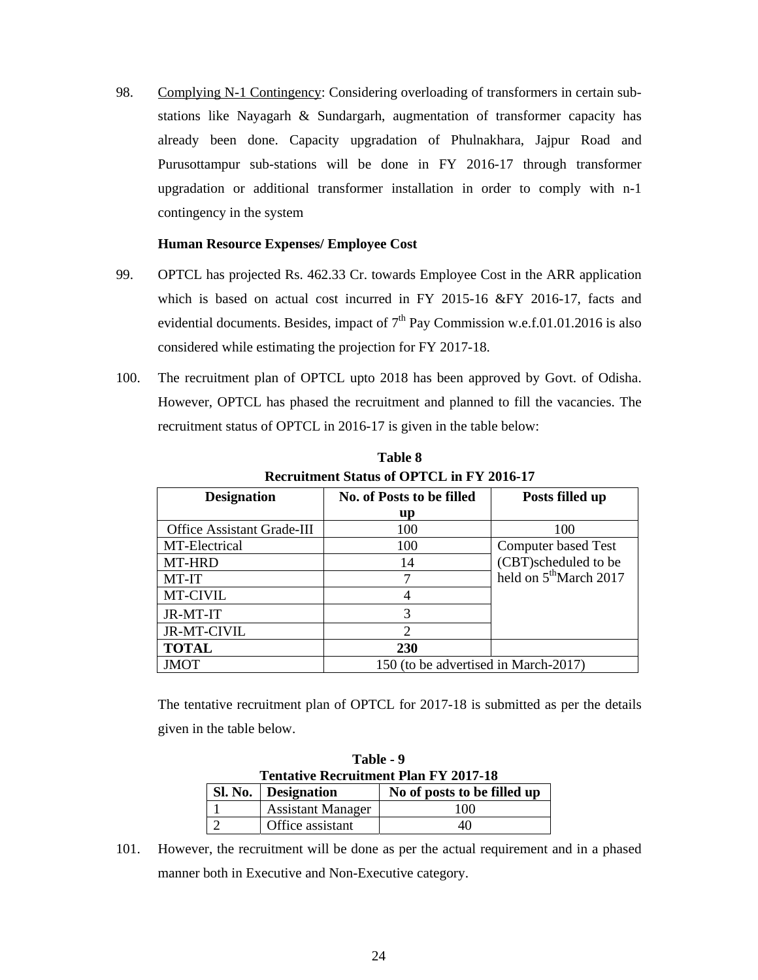98. Complying N-1 Contingency: Considering overloading of transformers in certain substations like Nayagarh & Sundargarh, augmentation of transformer capacity has already been done. Capacity upgradation of Phulnakhara, Jajpur Road and Purusottampur sub-stations will be done in FY 2016-17 through transformer upgradation or additional transformer installation in order to comply with n-1 contingency in the system

## **Human Resource Expenses/ Employee Cost**

- 99. OPTCL has projected Rs. 462.33 Cr. towards Employee Cost in the ARR application which is based on actual cost incurred in FY 2015-16 &FY 2016-17, facts and evidential documents. Besides, impact of  $7<sup>th</sup>$  Pay Commission w.e.f.01.01.2016 is also considered while estimating the projection for FY 2017-18.
- 100. The recruitment plan of OPTCL upto 2018 has been approved by Govt. of Odisha. However, OPTCL has phased the recruitment and planned to fill the vacancies. The recruitment status of OPTCL in 2016-17 is given in the table below:

| <b>Designation</b>         | No. of Posts to be filled            | Posts filled up                    |
|----------------------------|--------------------------------------|------------------------------------|
|                            | up                                   |                                    |
| Office Assistant Grade-III | 100                                  | 100                                |
| MT-Electrical              | 100                                  | Computer based Test                |
| MT-HRD                     | 14                                   | (CBT)scheduled to be               |
| MT-IT                      |                                      | held on 5 <sup>th</sup> March 2017 |
| MT-CIVIL                   |                                      |                                    |
| JR-MT-IT                   | 3                                    |                                    |
| <b>JR-MT-CIVIL</b>         |                                      |                                    |
| <b>TOTAL</b>               | 230                                  |                                    |
| <b>JMOT</b>                | 150 (to be advertised in March-2017) |                                    |

**Table 8 Recruitment Status of OPTCL in FY 2016-17** 

The tentative recruitment plan of OPTCL for 2017-18 is submitted as per the details given in the table below.

| Table - 9                                    |                          |                             |  |  |  |  |
|----------------------------------------------|--------------------------|-----------------------------|--|--|--|--|
| <b>Tentative Recruitment Plan FY 2017-18</b> |                          |                             |  |  |  |  |
|                                              | Sl. No.   Designation    | No of posts to be filled up |  |  |  |  |
|                                              | <b>Assistant Manager</b> | 100                         |  |  |  |  |
|                                              | Office assistant         | 40                          |  |  |  |  |

101. However, the recruitment will be done as per the actual requirement and in a phased manner both in Executive and Non-Executive category.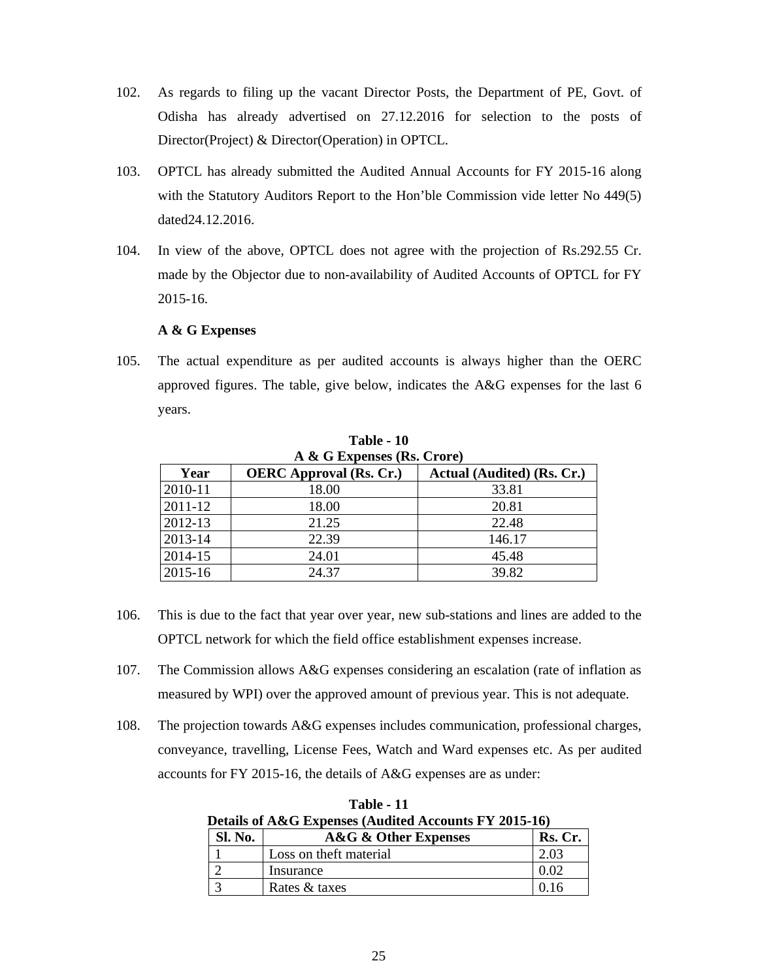- 102. As regards to filing up the vacant Director Posts, the Department of PE, Govt. of Odisha has already advertised on 27.12.2016 for selection to the posts of Director(Project) & Director(Operation) in OPTCL.
- 103. OPTCL has already submitted the Audited Annual Accounts for FY 2015-16 along with the Statutory Auditors Report to the Hon'ble Commission vide letter No 449(5) dated24.12.2016.
- 104. In view of the above, OPTCL does not agree with the projection of Rs.292.55 Cr. made by the Objector due to non-availability of Audited Accounts of OPTCL for FY 2015-16.

### **A & G Expenses**

105. The actual expenditure as per audited accounts is always higher than the OERC approved figures. The table, give below, indicates the A&G expenses for the last 6 years.

| A & G Expenses (Rs. Crore) |                                |                            |  |  |  |  |
|----------------------------|--------------------------------|----------------------------|--|--|--|--|
| Year                       | <b>OERC</b> Approval (Rs. Cr.) | Actual (Audited) (Rs. Cr.) |  |  |  |  |
| 2010-11                    | 18.00                          | 33.81                      |  |  |  |  |
| 2011-12                    | 18.00                          | 20.81                      |  |  |  |  |
| 2012-13                    | 21.25                          | 22.48                      |  |  |  |  |
| 2013-14                    | 22.39                          | 146.17                     |  |  |  |  |
| 2014-15                    | 24.01                          | 45.48                      |  |  |  |  |
| 2015-16                    | 24.37                          | 39.82                      |  |  |  |  |

**Table - 10** 

- 106. This is due to the fact that year over year, new sub-stations and lines are added to the OPTCL network for which the field office establishment expenses increase.
- 107. The Commission allows A&G expenses considering an escalation (rate of inflation as measured by WPI) over the approved amount of previous year. This is not adequate.
- 108. The projection towards A&G expenses includes communication, professional charges, conveyance, travelling, License Fees, Watch and Ward expenses etc. As per audited accounts for FY 2015-16, the details of A&G expenses are as under:

**Table - 11 Details of A&G Expenses (Audited Accounts FY 2015-16)** 

| Sl. No. | <b>A&amp;G &amp; Other Expenses</b> | Rs. Cr. |
|---------|-------------------------------------|---------|
|         | Loss on theft material              |         |
|         | Insurance                           |         |
|         | Rates & taxes                       |         |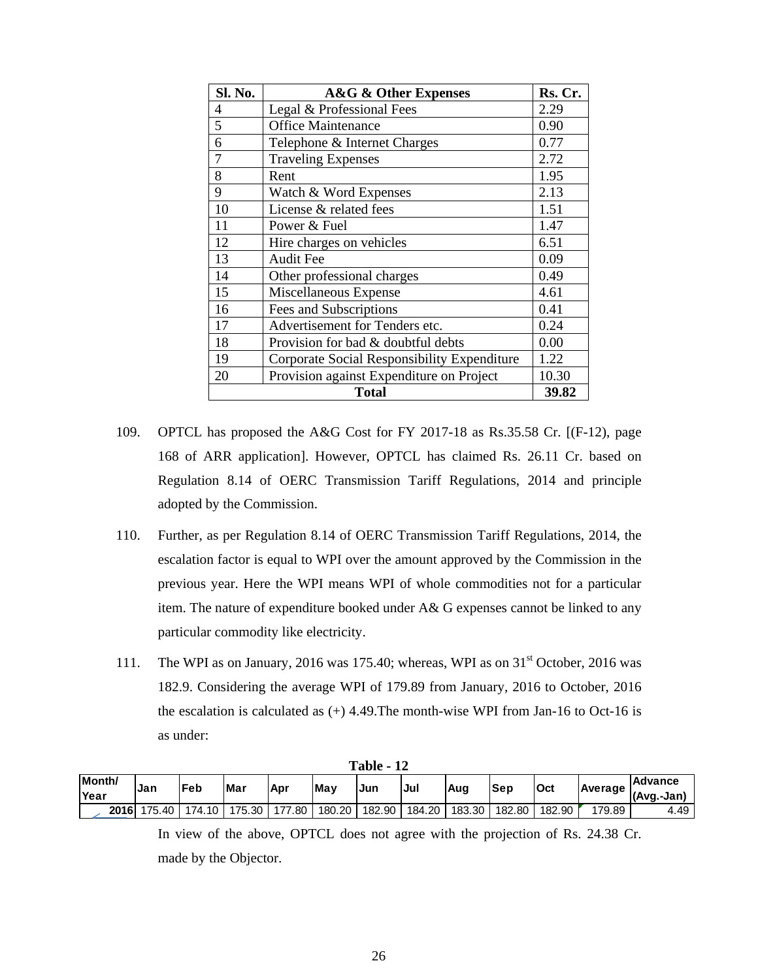| Sl. No. | <b>A&amp;G &amp; Other Expenses</b>         | Rs. Cr. |
|---------|---------------------------------------------|---------|
| 4       | Legal & Professional Fees                   | 2.29    |
| 5       | <b>Office Maintenance</b>                   | 0.90    |
| 6       | Telephone & Internet Charges                | 0.77    |
|         | <b>Traveling Expenses</b>                   | 2.72    |
| 8       | Rent                                        | 1.95    |
| 9       | Watch & Word Expenses                       | 2.13    |
| 10      | License & related fees                      | 1.51    |
| 11      | Power & Fuel                                | 1.47    |
| 12      | Hire charges on vehicles                    | 6.51    |
| 13      | <b>Audit Fee</b>                            | 0.09    |
| 14      | Other professional charges                  | 0.49    |
| 15      | Miscellaneous Expense                       | 4.61    |
| 16      | Fees and Subscriptions                      | 0.41    |
| 17      | Advertisement for Tenders etc.              | 0.24    |
| 18      | Provision for bad & doubtful debts          | 0.00    |
| 19      | Corporate Social Responsibility Expenditure | 1.22    |
| 20      | Provision against Expenditure on Project    | 10.30   |
|         | <b>Total</b>                                | 39.82   |

- 109. OPTCL has proposed the A&G Cost for FY 2017-18 as Rs.35.58 Cr. [(F-12), page 168 of ARR application]. However, OPTCL has claimed Rs. 26.11 Cr. based on Regulation 8.14 of OERC Transmission Tariff Regulations, 2014 and principle adopted by the Commission.
- 110. Further, as per Regulation 8.14 of OERC Transmission Tariff Regulations, 2014, the escalation factor is equal to WPI over the amount approved by the Commission in the previous year. Here the WPI means WPI of whole commodities not for a particular item. The nature of expenditure booked under A& G expenses cannot be linked to any particular commodity like electricity.
- 111. The WPI as on January, 2016 was 175.40; whereas, WPI as on  $31<sup>st</sup>$  October, 2016 was 182.9. Considering the average WPI of 179.89 from January, 2016 to October, 2016 the escalation is calculated as  $(+)$  4.49. The month-wise WPI from Jan-16 to Oct-16 is as under:

| $1$ avic $-14$ |        |        |        |        |        |        |        |        |            |        |         |                              |
|----------------|--------|--------|--------|--------|--------|--------|--------|--------|------------|--------|---------|------------------------------|
| Month/<br>Year | 'Jan   | lFeb   | Mar    | . Apr  | May    | Jur    | Jul    | Aug    | <b>Sep</b> | Oct    | Average | <b>Advance</b><br>(Avg.-Jan) |
| 2016           | 175.40 | 174.10 | 175.30 | 177.80 | 180.20 | 182.90 | 184.20 | 183.30 | 182.80     | 182.90 | 179.89  | 4.49                         |

**Table - 12**

In view of the above, OPTCL does not agree with the projection of Rs. 24.38 Cr. made by the Objector.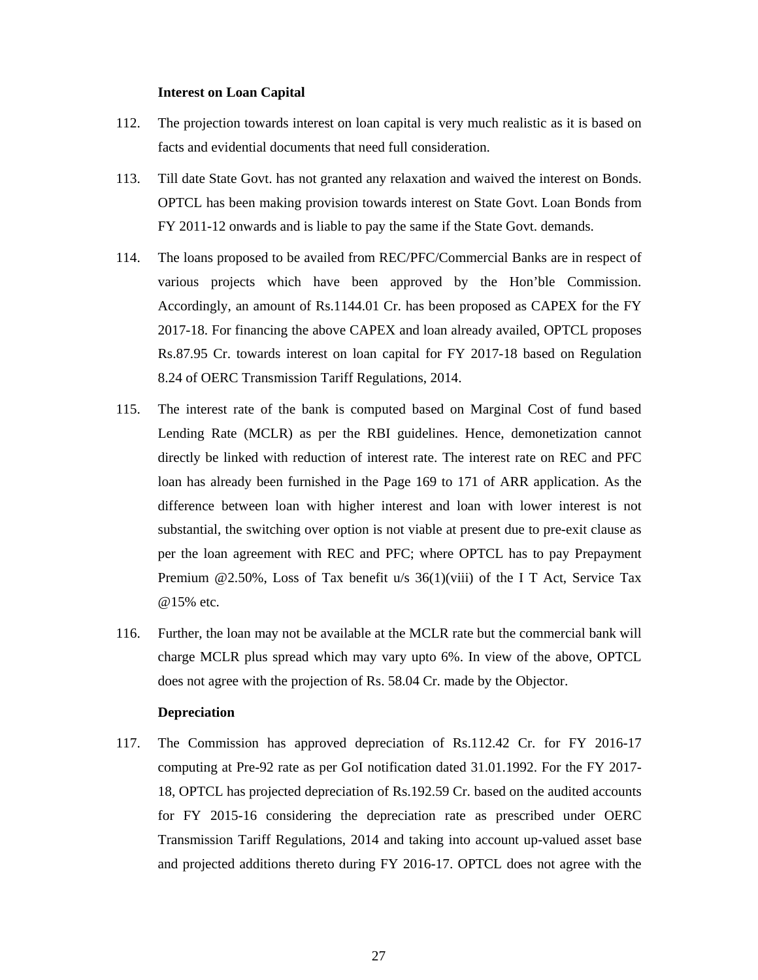### **Interest on Loan Capital**

- 112. The projection towards interest on loan capital is very much realistic as it is based on facts and evidential documents that need full consideration.
- 113. Till date State Govt. has not granted any relaxation and waived the interest on Bonds. OPTCL has been making provision towards interest on State Govt. Loan Bonds from FY 2011-12 onwards and is liable to pay the same if the State Govt. demands.
- 114. The loans proposed to be availed from REC/PFC/Commercial Banks are in respect of various projects which have been approved by the Hon'ble Commission. Accordingly, an amount of Rs.1144.01 Cr. has been proposed as CAPEX for the FY 2017-18. For financing the above CAPEX and loan already availed, OPTCL proposes Rs.87.95 Cr. towards interest on loan capital for FY 2017-18 based on Regulation 8.24 of OERC Transmission Tariff Regulations, 2014.
- 115. The interest rate of the bank is computed based on Marginal Cost of fund based Lending Rate (MCLR) as per the RBI guidelines. Hence, demonetization cannot directly be linked with reduction of interest rate. The interest rate on REC and PFC loan has already been furnished in the Page 169 to 171 of ARR application. As the difference between loan with higher interest and loan with lower interest is not substantial, the switching over option is not viable at present due to pre-exit clause as per the loan agreement with REC and PFC; where OPTCL has to pay Prepayment Premium @2.50%, Loss of Tax benefit u/s 36(1)(viii) of the I T Act, Service Tax @15% etc.
- 116. Further, the loan may not be available at the MCLR rate but the commercial bank will charge MCLR plus spread which may vary upto 6%. In view of the above, OPTCL does not agree with the projection of Rs. 58.04 Cr. made by the Objector.

### **Depreciation**

117. The Commission has approved depreciation of Rs.112.42 Cr. for FY 2016-17 computing at Pre-92 rate as per GoI notification dated 31.01.1992. For the FY 2017- 18, OPTCL has projected depreciation of Rs.192.59 Cr. based on the audited accounts for FY 2015-16 considering the depreciation rate as prescribed under OERC Transmission Tariff Regulations, 2014 and taking into account up-valued asset base and projected additions thereto during FY 2016-17. OPTCL does not agree with the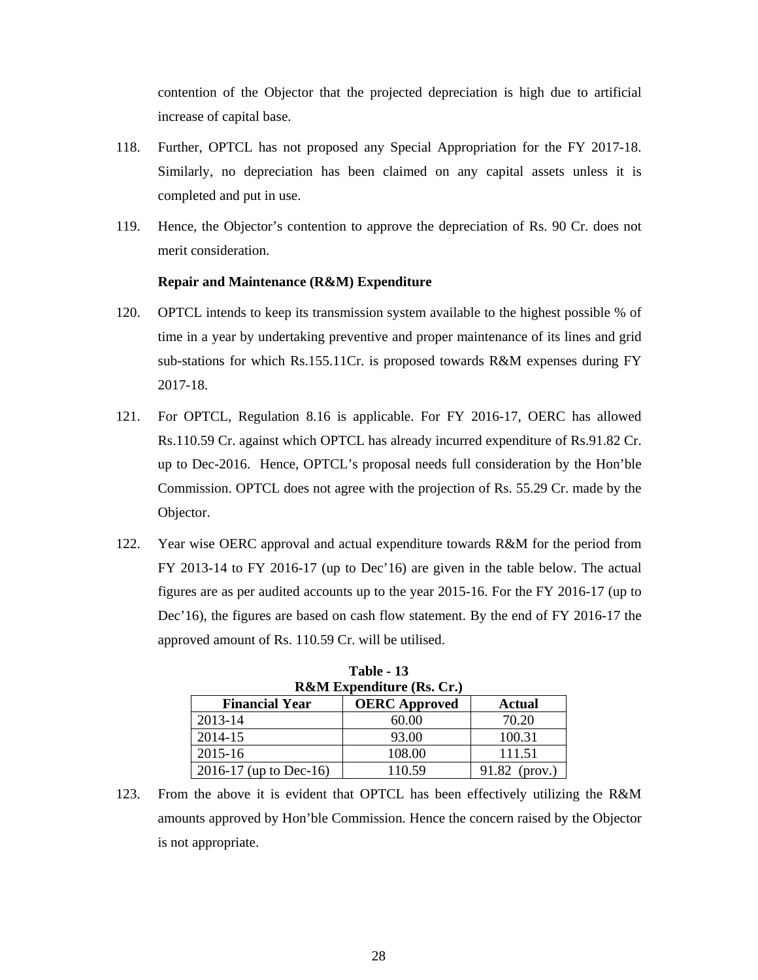contention of the Objector that the projected depreciation is high due to artificial increase of capital base.

- 118. Further, OPTCL has not proposed any Special Appropriation for the FY 2017-18. Similarly, no depreciation has been claimed on any capital assets unless it is completed and put in use.
- 119. Hence, the Objector's contention to approve the depreciation of Rs. 90 Cr. does not merit consideration.

## **Repair and Maintenance (R&M) Expenditure**

- 120. OPTCL intends to keep its transmission system available to the highest possible % of time in a year by undertaking preventive and proper maintenance of its lines and grid sub-stations for which Rs.155.11Cr. is proposed towards R&M expenses during FY 2017-18.
- 121. For OPTCL, Regulation 8.16 is applicable. For FY 2016-17, OERC has allowed Rs.110.59 Cr. against which OPTCL has already incurred expenditure of Rs.91.82 Cr. up to Dec-2016. Hence, OPTCL's proposal needs full consideration by the Hon'ble Commission. OPTCL does not agree with the projection of Rs. 55.29 Cr. made by the Objector.
- 122. Year wise OERC approval and actual expenditure towards R&M for the period from FY 2013-14 to FY 2016-17 (up to Dec'16) are given in the table below. The actual figures are as per audited accounts up to the year 2015-16. For the FY 2016-17 (up to Dec'16), the figures are based on cash flow statement. By the end of FY 2016-17 the approved amount of Rs. 110.59 Cr. will be utilised.

| <b>R&amp;M Expenditure (Rs. Cr.)</b> |                      |                           |  |  |  |
|--------------------------------------|----------------------|---------------------------|--|--|--|
| <b>Financial Year</b>                | <b>OERC</b> Approved | <b>Actual</b>             |  |  |  |
| 2013-14                              | 60.00                | 70.20                     |  |  |  |
| 2014-15                              | 93.00                | 100.31                    |  |  |  |
| 2015-16                              | 108.00               | 111.51                    |  |  |  |
| 2016-17 (up to Dec-16)               | 110.59               | 91.82<br>$(\text{prov.})$ |  |  |  |

**Table - 13** 

123. From the above it is evident that OPTCL has been effectively utilizing the R&M amounts approved by Hon'ble Commission. Hence the concern raised by the Objector is not appropriate.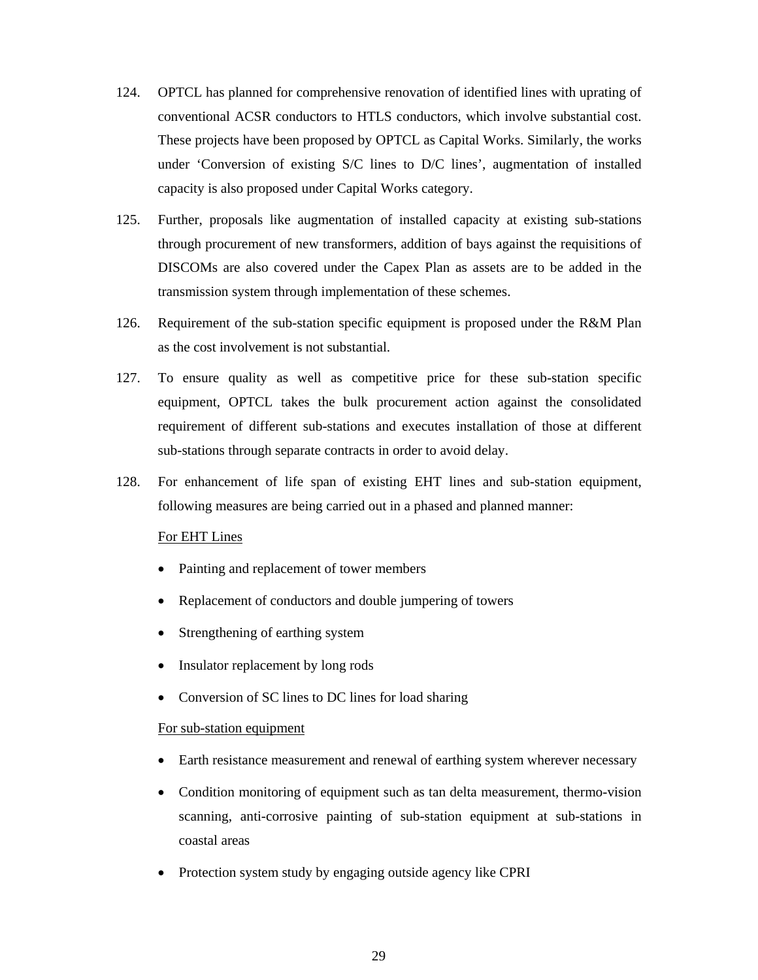- 124. OPTCL has planned for comprehensive renovation of identified lines with uprating of conventional ACSR conductors to HTLS conductors, which involve substantial cost. These projects have been proposed by OPTCL as Capital Works. Similarly, the works under 'Conversion of existing S/C lines to D/C lines', augmentation of installed capacity is also proposed under Capital Works category.
- 125. Further, proposals like augmentation of installed capacity at existing sub-stations through procurement of new transformers, addition of bays against the requisitions of DISCOMs are also covered under the Capex Plan as assets are to be added in the transmission system through implementation of these schemes.
- 126. Requirement of the sub-station specific equipment is proposed under the R&M Plan as the cost involvement is not substantial.
- 127. To ensure quality as well as competitive price for these sub-station specific equipment, OPTCL takes the bulk procurement action against the consolidated requirement of different sub-stations and executes installation of those at different sub-stations through separate contracts in order to avoid delay.
- 128. For enhancement of life span of existing EHT lines and sub-station equipment, following measures are being carried out in a phased and planned manner:

## For EHT Lines

- Painting and replacement of tower members
- Replacement of conductors and double jumpering of towers
- Strengthening of earthing system
- Insulator replacement by long rods
- Conversion of SC lines to DC lines for load sharing

### For sub-station equipment

- Earth resistance measurement and renewal of earthing system wherever necessary
- Condition monitoring of equipment such as tan delta measurement, thermo-vision scanning, anti-corrosive painting of sub-station equipment at sub-stations in coastal areas
- Protection system study by engaging outside agency like CPRI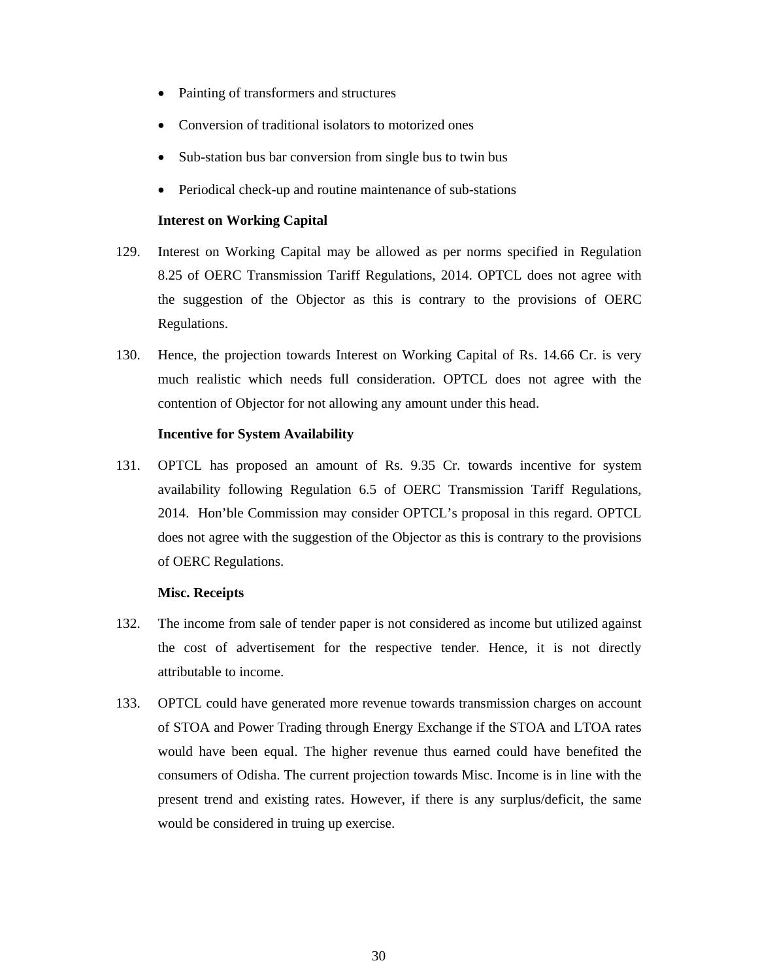- Painting of transformers and structures
- Conversion of traditional isolators to motorized ones
- Sub-station bus bar conversion from single bus to twin bus
- Periodical check-up and routine maintenance of sub-stations

## **Interest on Working Capital**

- 129. Interest on Working Capital may be allowed as per norms specified in Regulation 8.25 of OERC Transmission Tariff Regulations, 2014. OPTCL does not agree with the suggestion of the Objector as this is contrary to the provisions of OERC Regulations.
- 130. Hence, the projection towards Interest on Working Capital of Rs. 14.66 Cr. is very much realistic which needs full consideration. OPTCL does not agree with the contention of Objector for not allowing any amount under this head.

### **Incentive for System Availability**

131. OPTCL has proposed an amount of Rs. 9.35 Cr. towards incentive for system availability following Regulation 6.5 of OERC Transmission Tariff Regulations, 2014. Hon'ble Commission may consider OPTCL's proposal in this regard. OPTCL does not agree with the suggestion of the Objector as this is contrary to the provisions of OERC Regulations.

### **Misc. Receipts**

- 132. The income from sale of tender paper is not considered as income but utilized against the cost of advertisement for the respective tender. Hence, it is not directly attributable to income.
- 133. OPTCL could have generated more revenue towards transmission charges on account of STOA and Power Trading through Energy Exchange if the STOA and LTOA rates would have been equal. The higher revenue thus earned could have benefited the consumers of Odisha. The current projection towards Misc. Income is in line with the present trend and existing rates. However, if there is any surplus/deficit, the same would be considered in truing up exercise.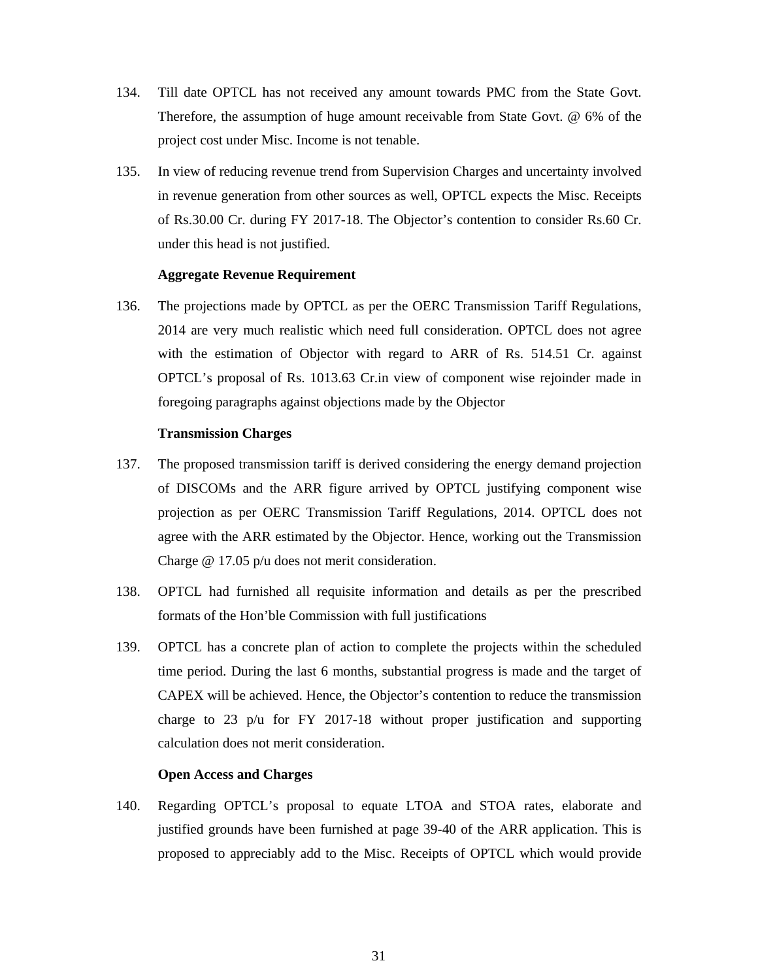- 134. Till date OPTCL has not received any amount towards PMC from the State Govt. Therefore, the assumption of huge amount receivable from State Govt. @ 6% of the project cost under Misc. Income is not tenable.
- 135. In view of reducing revenue trend from Supervision Charges and uncertainty involved in revenue generation from other sources as well, OPTCL expects the Misc. Receipts of Rs.30.00 Cr. during FY 2017-18. The Objector's contention to consider Rs.60 Cr. under this head is not justified.

### **Aggregate Revenue Requirement**

136. The projections made by OPTCL as per the OERC Transmission Tariff Regulations, 2014 are very much realistic which need full consideration. OPTCL does not agree with the estimation of Objector with regard to ARR of Rs. 514.51 Cr. against OPTCL's proposal of Rs. 1013.63 Cr.in view of component wise rejoinder made in foregoing paragraphs against objections made by the Objector

### **Transmission Charges**

- 137. The proposed transmission tariff is derived considering the energy demand projection of DISCOMs and the ARR figure arrived by OPTCL justifying component wise projection as per OERC Transmission Tariff Regulations, 2014. OPTCL does not agree with the ARR estimated by the Objector. Hence, working out the Transmission Charge @ 17.05 p/u does not merit consideration.
- 138. OPTCL had furnished all requisite information and details as per the prescribed formats of the Hon'ble Commission with full justifications
- 139. OPTCL has a concrete plan of action to complete the projects within the scheduled time period. During the last 6 months, substantial progress is made and the target of CAPEX will be achieved. Hence, the Objector's contention to reduce the transmission charge to 23 p/u for FY 2017-18 without proper justification and supporting calculation does not merit consideration.

# **Open Access and Charges**

140. Regarding OPTCL's proposal to equate LTOA and STOA rates, elaborate and justified grounds have been furnished at page 39-40 of the ARR application. This is proposed to appreciably add to the Misc. Receipts of OPTCL which would provide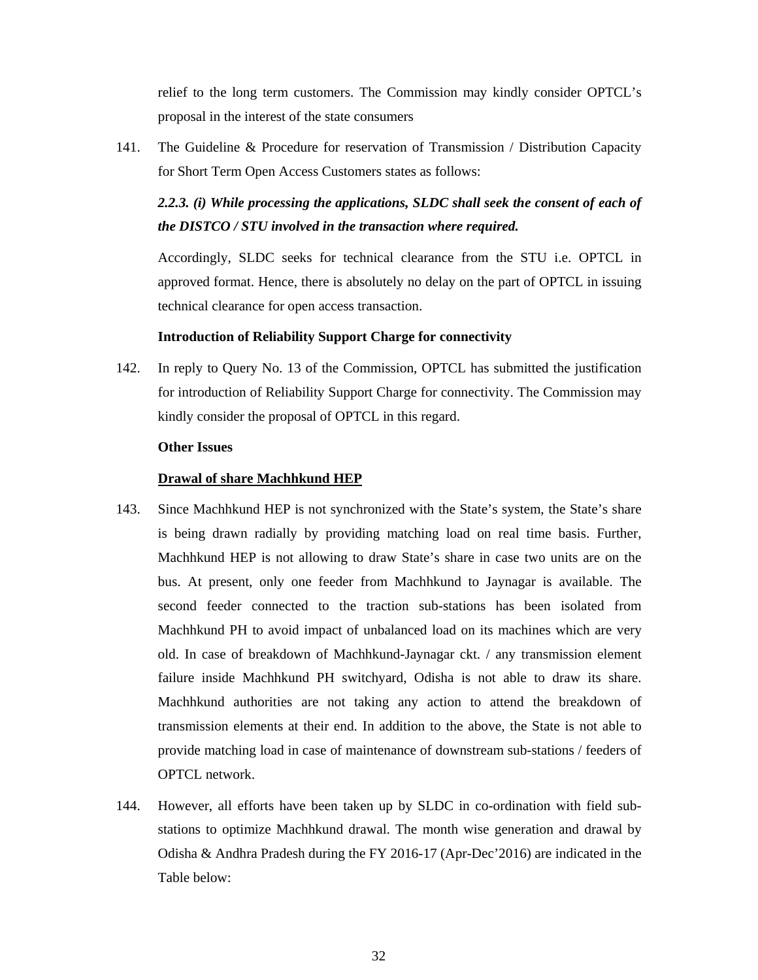relief to the long term customers. The Commission may kindly consider OPTCL's proposal in the interest of the state consumers

141. The Guideline & Procedure for reservation of Transmission / Distribution Capacity for Short Term Open Access Customers states as follows:

# 2.2.3. (i) While processing the applications, SLDC shall seek the consent of each of *the DISTCO / STU involved in the transaction where required.*

Accordingly, SLDC seeks for technical clearance from the STU i.e. OPTCL in approved format. Hence, there is absolutely no delay on the part of OPTCL in issuing technical clearance for open access transaction.

## **Introduction of Reliability Support Charge for connectivity**

142. In reply to Query No. 13 of the Commission, OPTCL has submitted the justification for introduction of Reliability Support Charge for connectivity. The Commission may kindly consider the proposal of OPTCL in this regard.

## **Other Issues**

## **Drawal of share Machhkund HEP**

- 143. Since Machhkund HEP is not synchronized with the State's system, the State's share is being drawn radially by providing matching load on real time basis. Further, Machhkund HEP is not allowing to draw State's share in case two units are on the bus. At present, only one feeder from Machhkund to Jaynagar is available. The second feeder connected to the traction sub-stations has been isolated from Machhkund PH to avoid impact of unbalanced load on its machines which are very old. In case of breakdown of Machhkund-Jaynagar ckt. / any transmission element failure inside Machhkund PH switchyard, Odisha is not able to draw its share. Machhkund authorities are not taking any action to attend the breakdown of transmission elements at their end. In addition to the above, the State is not able to provide matching load in case of maintenance of downstream sub-stations / feeders of OPTCL network.
- 144. However, all efforts have been taken up by SLDC in co-ordination with field substations to optimize Machhkund drawal. The month wise generation and drawal by Odisha & Andhra Pradesh during the FY 2016-17 (Apr-Dec'2016) are indicated in the Table below: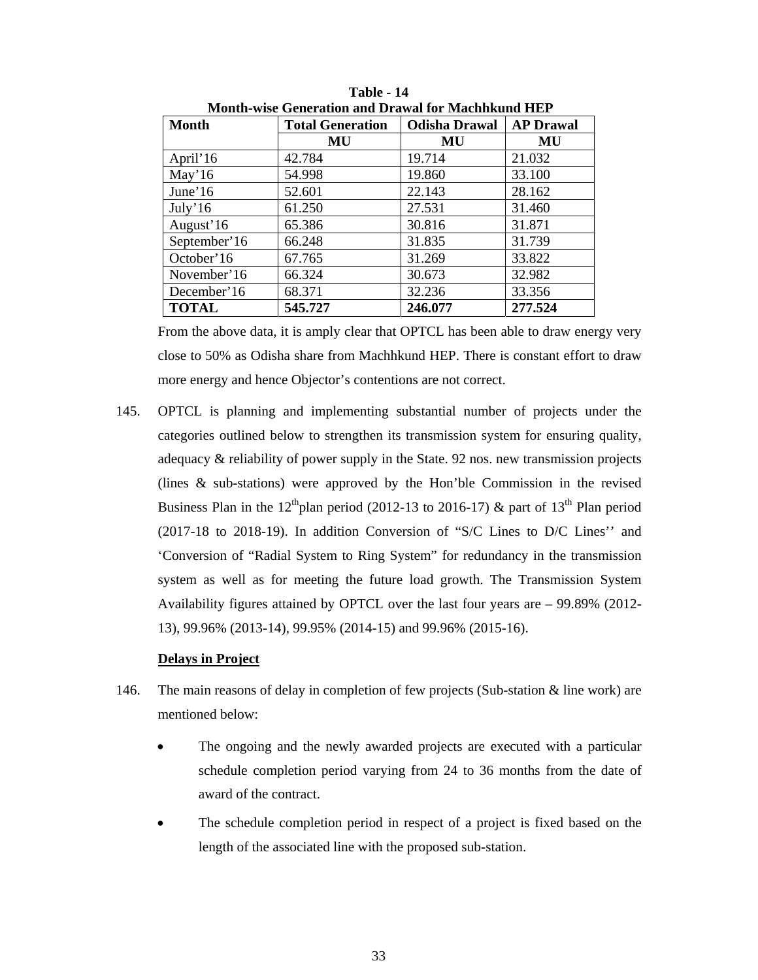| iviulitli-wisc Ochcrativil and Drawal IVI Iviachingund 11D1 |                         |                      |                  |  |  |  |  |  |
|-------------------------------------------------------------|-------------------------|----------------------|------------------|--|--|--|--|--|
| Month                                                       | <b>Total Generation</b> | <b>Odisha Drawal</b> | <b>AP Drawal</b> |  |  |  |  |  |
|                                                             | MU                      | MU                   | MU               |  |  |  |  |  |
| April'16                                                    | 42.784                  | 19.714               | 21.032           |  |  |  |  |  |
| May'16                                                      | 54.998                  | 19.860               | 33.100           |  |  |  |  |  |
| June' $16$                                                  | 52.601                  | 22.143               | 28.162           |  |  |  |  |  |
| July'16                                                     | 61.250                  | 27.531               | 31.460           |  |  |  |  |  |
| August'16                                                   | 65.386                  | 30.816               | 31.871           |  |  |  |  |  |
| September'16                                                | 66.248                  | 31.835               | 31.739           |  |  |  |  |  |
| October'16                                                  | 67.765                  | 31.269               | 33.822           |  |  |  |  |  |
| November'16                                                 | 66.324                  | 30.673               | 32.982           |  |  |  |  |  |
| December'16                                                 | 68.371                  | 32.236               | 33.356           |  |  |  |  |  |
| <b>TOTAL</b>                                                | 545.727                 | 246.077              | 277.524          |  |  |  |  |  |

**Table - 14 Month-wise Generation and Drawal for Machhkund HEP** 

From the above data, it is amply clear that OPTCL has been able to draw energy very close to 50% as Odisha share from Machhkund HEP. There is constant effort to draw more energy and hence Objector's contentions are not correct.

145. OPTCL is planning and implementing substantial number of projects under the categories outlined below to strengthen its transmission system for ensuring quality, adequacy & reliability of power supply in the State. 92 nos. new transmission projects (lines & sub-stations) were approved by the Hon'ble Commission in the revised Business Plan in the 12<sup>th</sup>plan period (2012-13 to 2016-17)  $\&$  part of 13<sup>th</sup> Plan period (2017-18 to 2018-19). In addition Conversion of "S/C Lines to D/C Lines'' and 'Conversion of "Radial System to Ring System" for redundancy in the transmission system as well as for meeting the future load growth. The Transmission System Availability figures attained by OPTCL over the last four years are – 99.89% (2012- 13), 99.96% (2013-14), 99.95% (2014-15) and 99.96% (2015-16).

# **Delays in Project**

- 146. The main reasons of delay in completion of few projects (Sub-station & line work) are mentioned below:
	- The ongoing and the newly awarded projects are executed with a particular schedule completion period varying from 24 to 36 months from the date of award of the contract.
	- The schedule completion period in respect of a project is fixed based on the length of the associated line with the proposed sub-station.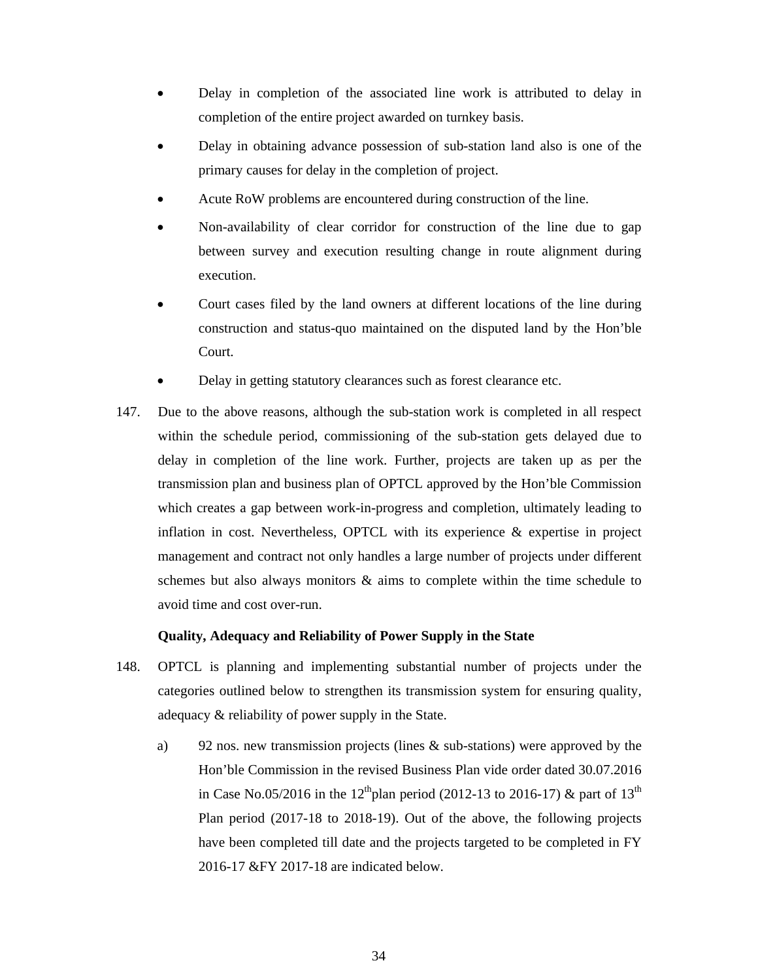- Delay in completion of the associated line work is attributed to delay in completion of the entire project awarded on turnkey basis.
- Delay in obtaining advance possession of sub-station land also is one of the primary causes for delay in the completion of project.
- Acute RoW problems are encountered during construction of the line.
- Non-availability of clear corridor for construction of the line due to gap between survey and execution resulting change in route alignment during execution.
- Court cases filed by the land owners at different locations of the line during construction and status-quo maintained on the disputed land by the Hon'ble Court.
- Delay in getting statutory clearances such as forest clearance etc.
- 147. Due to the above reasons, although the sub-station work is completed in all respect within the schedule period, commissioning of the sub-station gets delayed due to delay in completion of the line work. Further, projects are taken up as per the transmission plan and business plan of OPTCL approved by the Hon'ble Commission which creates a gap between work-in-progress and completion, ultimately leading to inflation in cost. Nevertheless, OPTCL with its experience & expertise in project management and contract not only handles a large number of projects under different schemes but also always monitors & aims to complete within the time schedule to avoid time and cost over-run.

# **Quality, Adequacy and Reliability of Power Supply in the State**

- 148. OPTCL is planning and implementing substantial number of projects under the categories outlined below to strengthen its transmission system for ensuring quality, adequacy & reliability of power supply in the State.
	- a) 92 nos. new transmission projects (lines & sub-stations) were approved by the Hon'ble Commission in the revised Business Plan vide order dated 30.07.2016 in Case No.05/2016 in the 12<sup>th</sup>plan period (2012-13 to 2016-17) & part of 13<sup>th</sup> Plan period (2017-18 to 2018-19). Out of the above, the following projects have been completed till date and the projects targeted to be completed in FY 2016-17 &FY 2017-18 are indicated below.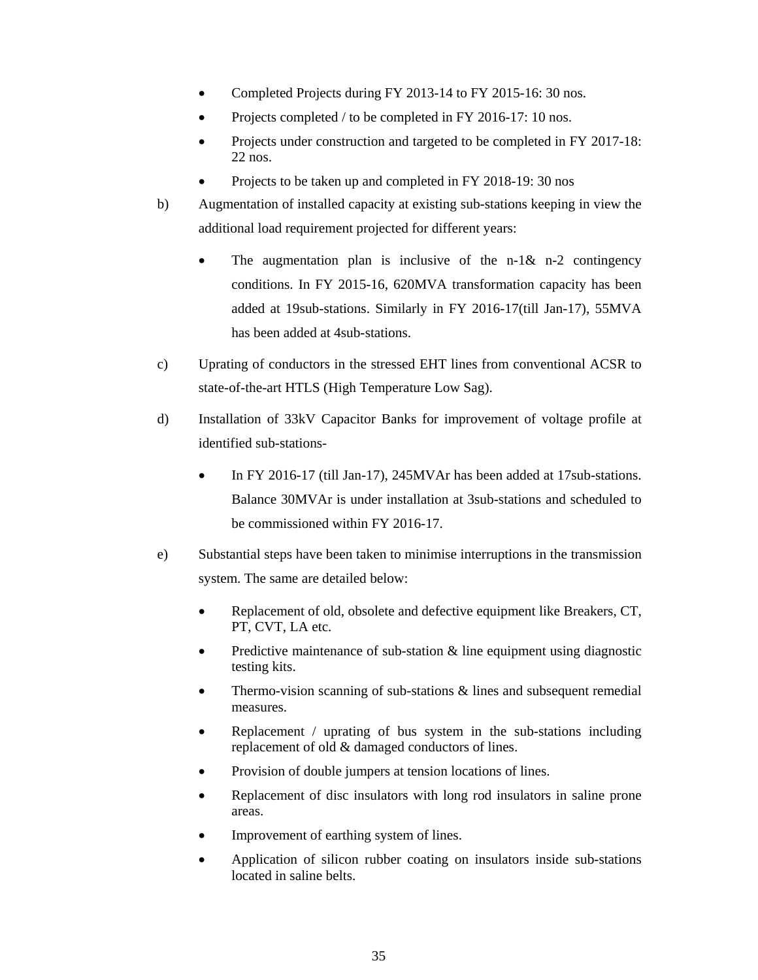- Completed Projects during FY 2013-14 to FY 2015-16: 30 nos.
- Projects completed / to be completed in FY 2016-17: 10 nos.
- Projects under construction and targeted to be completed in FY 2017-18: 22 nos.
- Projects to be taken up and completed in FY 2018-19: 30 nos
- b) Augmentation of installed capacity at existing sub-stations keeping in view the additional load requirement projected for different years:
	- The augmentation plan is inclusive of the n-1 $\&$  n-2 contingency conditions. In FY 2015-16, 620MVA transformation capacity has been added at 19sub-stations. Similarly in FY 2016-17(till Jan-17), 55MVA has been added at 4sub-stations.
- c) Uprating of conductors in the stressed EHT lines from conventional ACSR to state-of-the-art HTLS (High Temperature Low Sag).
- d) Installation of 33kV Capacitor Banks for improvement of voltage profile at identified sub-stations-
	- In FY 2016-17 (till Jan-17), 245MVAr has been added at 17sub-stations. Balance 30MVAr is under installation at 3sub-stations and scheduled to be commissioned within FY 2016-17.
- e) Substantial steps have been taken to minimise interruptions in the transmission system. The same are detailed below:
	- Replacement of old, obsolete and defective equipment like Breakers, CT, PT, CVT, LA etc.
	- Predictive maintenance of sub-station  $\&$  line equipment using diagnostic testing kits.
	- Thermo-vision scanning of sub-stations  $\&$  lines and subsequent remedial measures.
	- Replacement / uprating of bus system in the sub-stations including replacement of old & damaged conductors of lines.
	- Provision of double jumpers at tension locations of lines.
	- Replacement of disc insulators with long rod insulators in saline prone areas.
	- Improvement of earthing system of lines.
	- Application of silicon rubber coating on insulators inside sub-stations located in saline belts.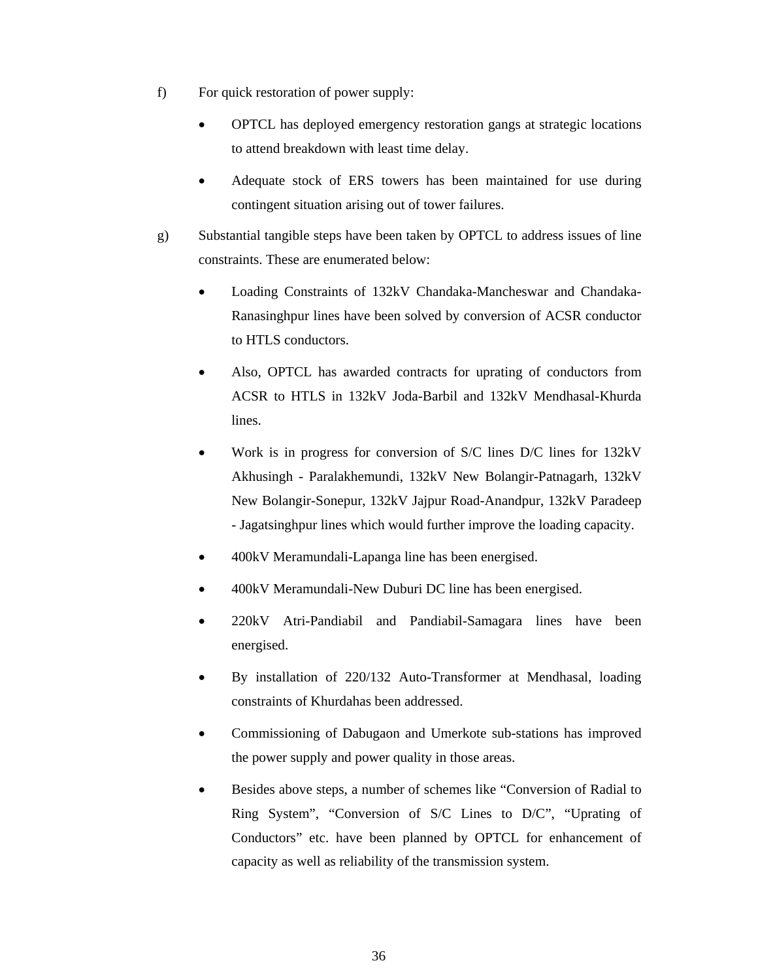- f) For quick restoration of power supply:
	- OPTCL has deployed emergency restoration gangs at strategic locations to attend breakdown with least time delay.
	- Adequate stock of ERS towers has been maintained for use during contingent situation arising out of tower failures.
- g) Substantial tangible steps have been taken by OPTCL to address issues of line constraints. These are enumerated below:
	- Loading Constraints of 132kV Chandaka-Mancheswar and Chandaka-Ranasinghpur lines have been solved by conversion of ACSR conductor to HTLS conductors.
	- Also, OPTCL has awarded contracts for uprating of conductors from ACSR to HTLS in 132kV Joda-Barbil and 132kV Mendhasal-Khurda lines.
	- Work is in progress for conversion of S/C lines D/C lines for 132kV Akhusingh - Paralakhemundi, 132kV New Bolangir-Patnagarh, 132kV New Bolangir-Sonepur, 132kV Jajpur Road-Anandpur, 132kV Paradeep - Jagatsinghpur lines which would further improve the loading capacity.
	- 400kV Meramundali-Lapanga line has been energised.
	- 400kV Meramundali-New Duburi DC line has been energised.
	- 220kV Atri-Pandiabil and Pandiabil-Samagara lines have been energised.
	- By installation of 220/132 Auto-Transformer at Mendhasal, loading constraints of Khurdahas been addressed.
	- Commissioning of Dabugaon and Umerkote sub-stations has improved the power supply and power quality in those areas.
	- Besides above steps, a number of schemes like "Conversion of Radial to Ring System", "Conversion of S/C Lines to D/C", "Uprating of Conductors" etc. have been planned by OPTCL for enhancement of capacity as well as reliability of the transmission system.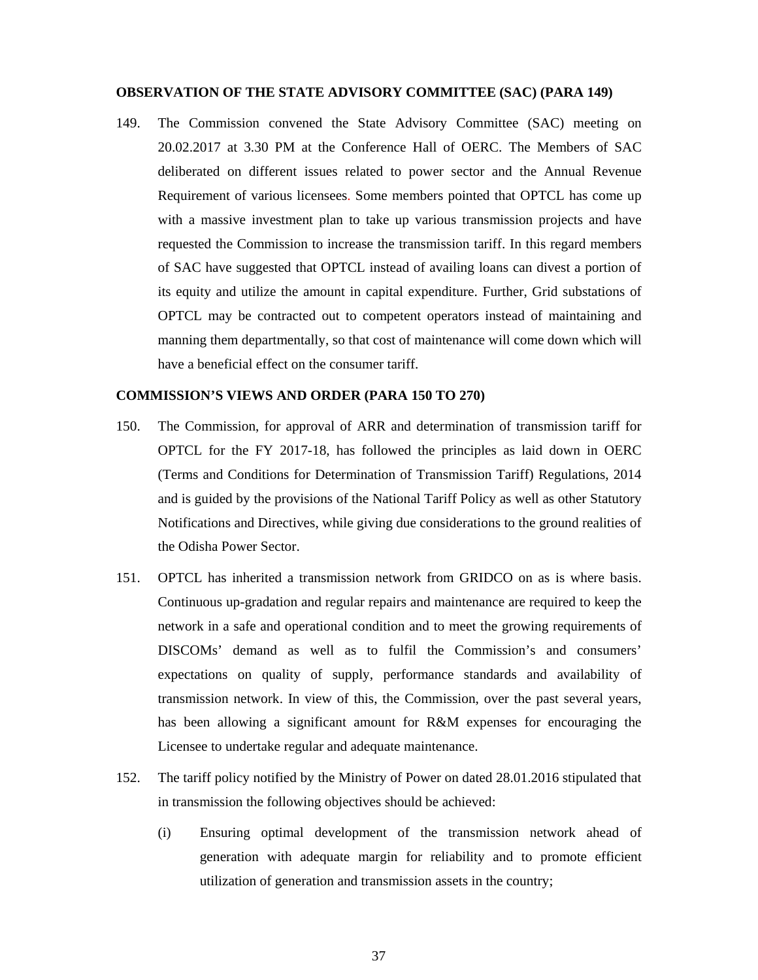### **OBSERVATION OF THE STATE ADVISORY COMMITTEE (SAC) (PARA 149)**

149. The Commission convened the State Advisory Committee (SAC) meeting on 20.02.2017 at 3.30 PM at the Conference Hall of OERC. The Members of SAC deliberated on different issues related to power sector and the Annual Revenue Requirement of various licensees. Some members pointed that OPTCL has come up with a massive investment plan to take up various transmission projects and have requested the Commission to increase the transmission tariff. In this regard members of SAC have suggested that OPTCL instead of availing loans can divest a portion of its equity and utilize the amount in capital expenditure. Further, Grid substations of OPTCL may be contracted out to competent operators instead of maintaining and manning them departmentally, so that cost of maintenance will come down which will have a beneficial effect on the consumer tariff.

## **COMMISSION'S VIEWS AND ORDER (PARA 150 TO 270)**

- 150. The Commission, for approval of ARR and determination of transmission tariff for OPTCL for the FY 2017-18, has followed the principles as laid down in OERC (Terms and Conditions for Determination of Transmission Tariff) Regulations, 2014 and is guided by the provisions of the National Tariff Policy as well as other Statutory Notifications and Directives, while giving due considerations to the ground realities of the Odisha Power Sector.
- 151. OPTCL has inherited a transmission network from GRIDCO on as is where basis. Continuous up-gradation and regular repairs and maintenance are required to keep the network in a safe and operational condition and to meet the growing requirements of DISCOMs' demand as well as to fulfil the Commission's and consumers' expectations on quality of supply, performance standards and availability of transmission network. In view of this, the Commission, over the past several years, has been allowing a significant amount for R&M expenses for encouraging the Licensee to undertake regular and adequate maintenance.
- 152. The tariff policy notified by the Ministry of Power on dated 28.01.2016 stipulated that in transmission the following objectives should be achieved:
	- (i) Ensuring optimal development of the transmission network ahead of generation with adequate margin for reliability and to promote efficient utilization of generation and transmission assets in the country;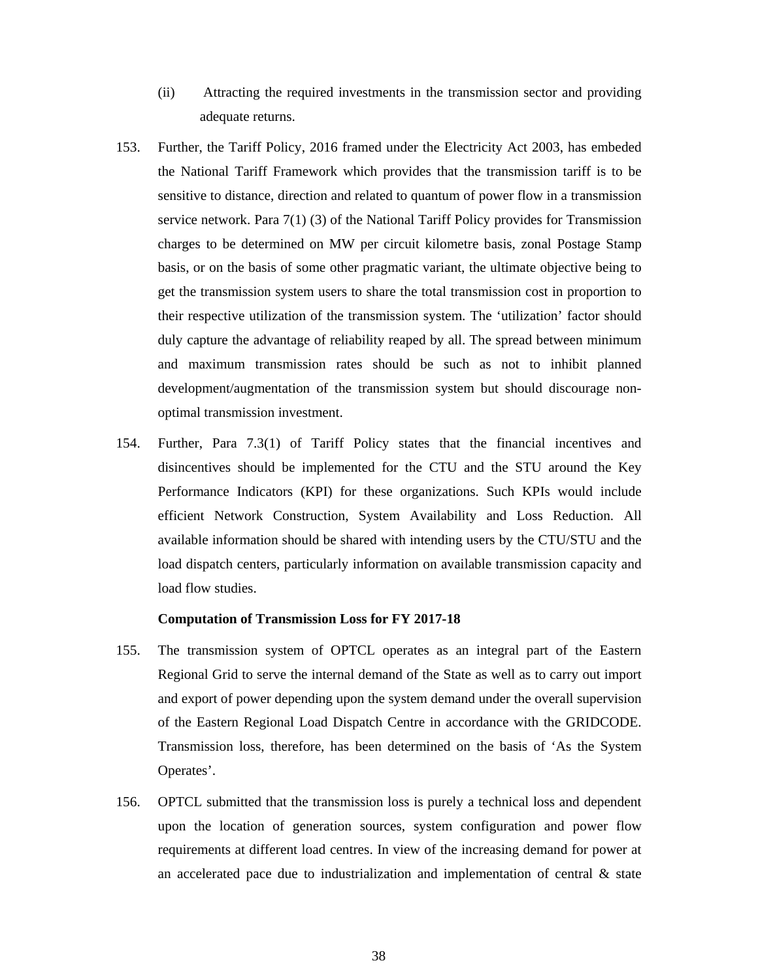- (ii) Attracting the required investments in the transmission sector and providing adequate returns.
- 153. Further, the Tariff Policy, 2016 framed under the Electricity Act 2003, has embeded the National Tariff Framework which provides that the transmission tariff is to be sensitive to distance, direction and related to quantum of power flow in a transmission service network. Para 7(1) (3) of the National Tariff Policy provides for Transmission charges to be determined on MW per circuit kilometre basis, zonal Postage Stamp basis, or on the basis of some other pragmatic variant, the ultimate objective being to get the transmission system users to share the total transmission cost in proportion to their respective utilization of the transmission system. The 'utilization' factor should duly capture the advantage of reliability reaped by all. The spread between minimum and maximum transmission rates should be such as not to inhibit planned development/augmentation of the transmission system but should discourage nonoptimal transmission investment.
- 154. Further, Para 7.3(1) of Tariff Policy states that the financial incentives and disincentives should be implemented for the CTU and the STU around the Key Performance Indicators (KPI) for these organizations. Such KPIs would include efficient Network Construction, System Availability and Loss Reduction. All available information should be shared with intending users by the CTU/STU and the load dispatch centers, particularly information on available transmission capacity and load flow studies.

# **Computation of Transmission Loss for FY 2017-18**

- 155. The transmission system of OPTCL operates as an integral part of the Eastern Regional Grid to serve the internal demand of the State as well as to carry out import and export of power depending upon the system demand under the overall supervision of the Eastern Regional Load Dispatch Centre in accordance with the GRIDCODE. Transmission loss, therefore, has been determined on the basis of 'As the System Operates'.
- 156. OPTCL submitted that the transmission loss is purely a technical loss and dependent upon the location of generation sources, system configuration and power flow requirements at different load centres. In view of the increasing demand for power at an accelerated pace due to industrialization and implementation of central & state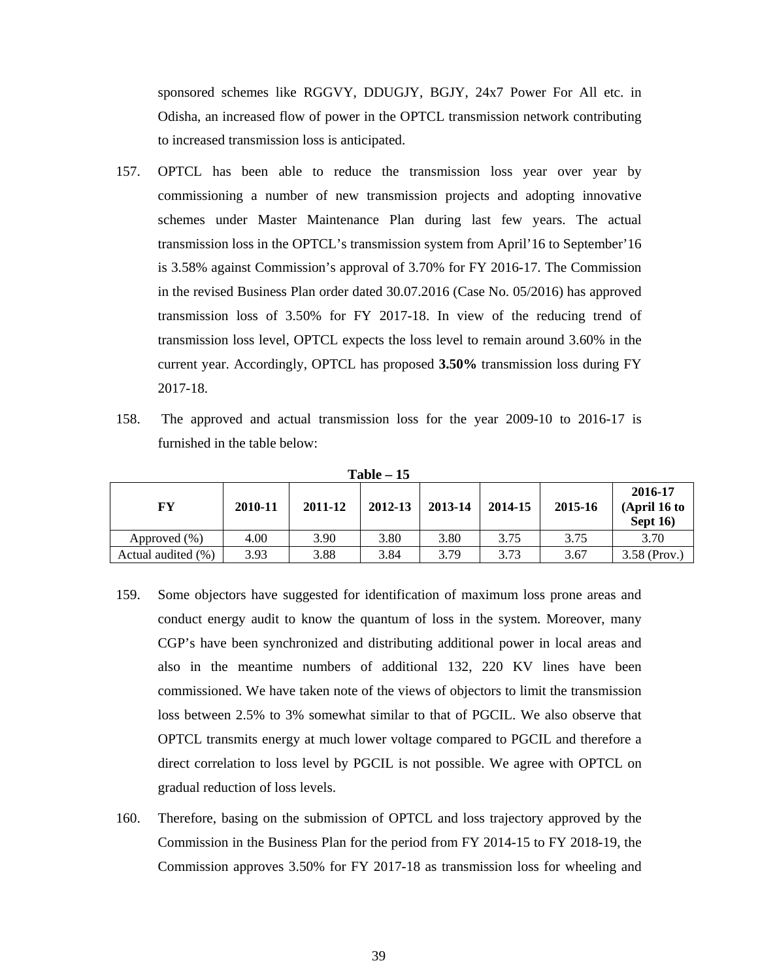sponsored schemes like RGGVY, DDUGJY, BGJY, 24x7 Power For All etc. in Odisha, an increased flow of power in the OPTCL transmission network contributing to increased transmission loss is anticipated.

- 157. OPTCL has been able to reduce the transmission loss year over year by commissioning a number of new transmission projects and adopting innovative schemes under Master Maintenance Plan during last few years. The actual transmission loss in the OPTCL's transmission system from April'16 to September'16 is 3.58% against Commission's approval of 3.70% for FY 2016-17. The Commission in the revised Business Plan order dated 30.07.2016 (Case No. 05/2016) has approved transmission loss of 3.50% for FY 2017-18. In view of the reducing trend of transmission loss level, OPTCL expects the loss level to remain around 3.60% in the current year. Accordingly, OPTCL has proposed **3.50%** transmission loss during FY 2017-18.
- 158. The approved and actual transmission loss for the year 2009-10 to 2016-17 is furnished in the table below:

| 1 avie – 15        |         |         |         |         |         |         |                                      |  |
|--------------------|---------|---------|---------|---------|---------|---------|--------------------------------------|--|
| FY                 | 2010-11 | 2011-12 | 2012-13 | 2013-14 | 2014-15 | 2015-16 | 2016-17<br>(April 16 to<br>Sept $16$ |  |
| Approved (%)       | 4.00    | 3.90    | 3.80    | 3.80    | 3.75    | 3.75    | 3.70                                 |  |
| Actual audited (%) | 3.93    | 3.88    | 3.84    | 3.79    | 3.73    | 3.67    | $3.58$ (Prov.)                       |  |

**Table – 15** 

- 159. Some objectors have suggested for identification of maximum loss prone areas and conduct energy audit to know the quantum of loss in the system. Moreover, many CGP's have been synchronized and distributing additional power in local areas and also in the meantime numbers of additional 132, 220 KV lines have been commissioned. We have taken note of the views of objectors to limit the transmission loss between 2.5% to 3% somewhat similar to that of PGCIL. We also observe that OPTCL transmits energy at much lower voltage compared to PGCIL and therefore a direct correlation to loss level by PGCIL is not possible. We agree with OPTCL on gradual reduction of loss levels.
- 160. Therefore, basing on the submission of OPTCL and loss trajectory approved by the Commission in the Business Plan for the period from FY 2014-15 to FY 2018-19, the Commission approves 3.50% for FY 2017-18 as transmission loss for wheeling and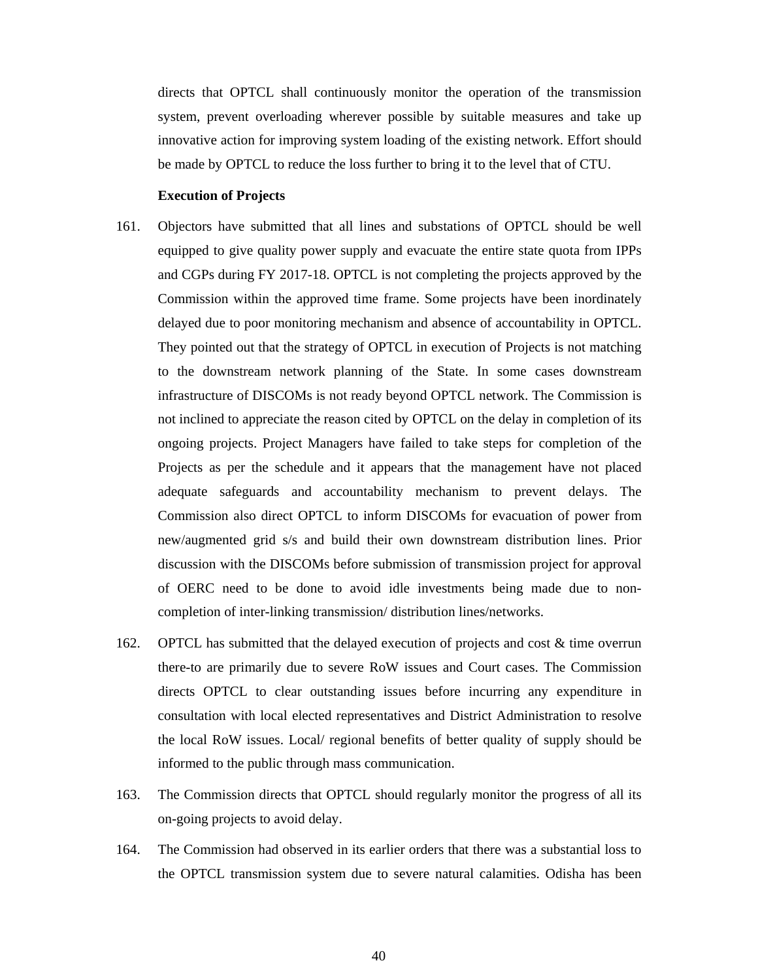directs that OPTCL shall continuously monitor the operation of the transmission system, prevent overloading wherever possible by suitable measures and take up innovative action for improving system loading of the existing network. Effort should be made by OPTCL to reduce the loss further to bring it to the level that of CTU.

### **Execution of Projects**

- 161. Objectors have submitted that all lines and substations of OPTCL should be well equipped to give quality power supply and evacuate the entire state quota from IPPs and CGPs during FY 2017-18. OPTCL is not completing the projects approved by the Commission within the approved time frame. Some projects have been inordinately delayed due to poor monitoring mechanism and absence of accountability in OPTCL. They pointed out that the strategy of OPTCL in execution of Projects is not matching to the downstream network planning of the State. In some cases downstream infrastructure of DISCOMs is not ready beyond OPTCL network. The Commission is not inclined to appreciate the reason cited by OPTCL on the delay in completion of its ongoing projects. Project Managers have failed to take steps for completion of the Projects as per the schedule and it appears that the management have not placed adequate safeguards and accountability mechanism to prevent delays. The Commission also direct OPTCL to inform DISCOMs for evacuation of power from new/augmented grid s/s and build their own downstream distribution lines. Prior discussion with the DISCOMs before submission of transmission project for approval of OERC need to be done to avoid idle investments being made due to noncompletion of inter-linking transmission/ distribution lines/networks.
- 162. OPTCL has submitted that the delayed execution of projects and cost & time overrun there-to are primarily due to severe RoW issues and Court cases. The Commission directs OPTCL to clear outstanding issues before incurring any expenditure in consultation with local elected representatives and District Administration to resolve the local RoW issues. Local/ regional benefits of better quality of supply should be informed to the public through mass communication.
- 163. The Commission directs that OPTCL should regularly monitor the progress of all its on-going projects to avoid delay.
- 164. The Commission had observed in its earlier orders that there was a substantial loss to the OPTCL transmission system due to severe natural calamities. Odisha has been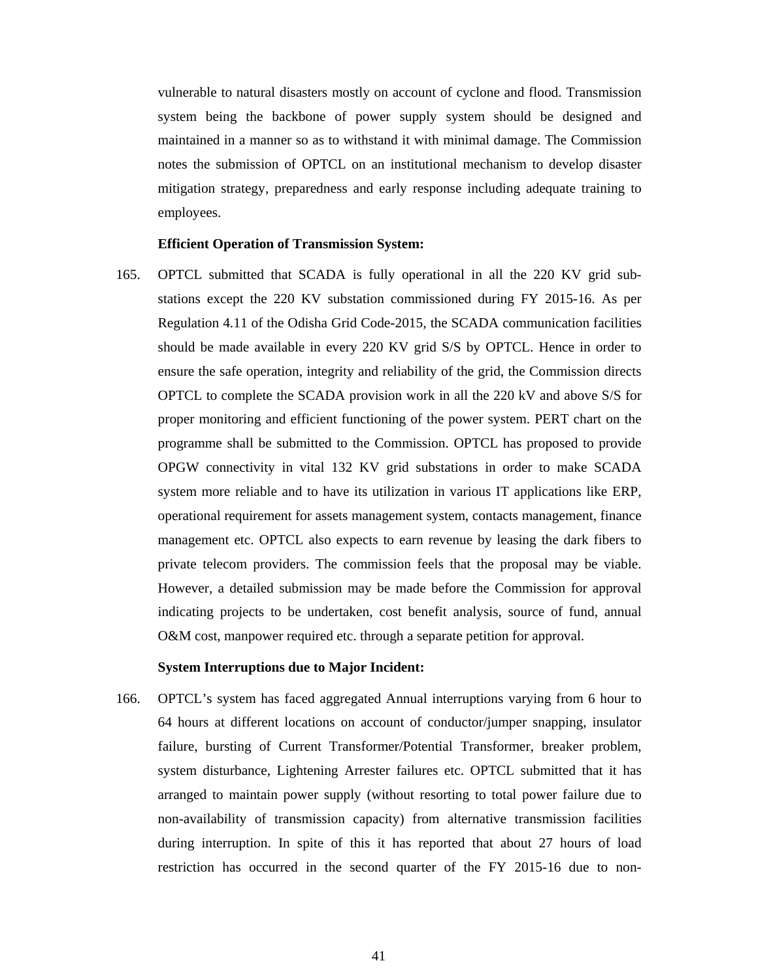vulnerable to natural disasters mostly on account of cyclone and flood. Transmission system being the backbone of power supply system should be designed and maintained in a manner so as to withstand it with minimal damage. The Commission notes the submission of OPTCL on an institutional mechanism to develop disaster mitigation strategy, preparedness and early response including adequate training to employees.

## **Efficient Operation of Transmission System:**

165. OPTCL submitted that SCADA is fully operational in all the 220 KV grid substations except the 220 KV substation commissioned during FY 2015-16. As per Regulation 4.11 of the Odisha Grid Code-2015, the SCADA communication facilities should be made available in every 220 KV grid S/S by OPTCL. Hence in order to ensure the safe operation, integrity and reliability of the grid, the Commission directs OPTCL to complete the SCADA provision work in all the 220 kV and above S/S for proper monitoring and efficient functioning of the power system. PERT chart on the programme shall be submitted to the Commission. OPTCL has proposed to provide OPGW connectivity in vital 132 KV grid substations in order to make SCADA system more reliable and to have its utilization in various IT applications like ERP, operational requirement for assets management system, contacts management, finance management etc. OPTCL also expects to earn revenue by leasing the dark fibers to private telecom providers. The commission feels that the proposal may be viable. However, a detailed submission may be made before the Commission for approval indicating projects to be undertaken, cost benefit analysis, source of fund, annual O&M cost, manpower required etc. through a separate petition for approval.

## **System Interruptions due to Major Incident:**

166. OPTCL's system has faced aggregated Annual interruptions varying from 6 hour to 64 hours at different locations on account of conductor/jumper snapping, insulator failure, bursting of Current Transformer/Potential Transformer, breaker problem, system disturbance, Lightening Arrester failures etc. OPTCL submitted that it has arranged to maintain power supply (without resorting to total power failure due to non-availability of transmission capacity) from alternative transmission facilities during interruption. In spite of this it has reported that about 27 hours of load restriction has occurred in the second quarter of the FY 2015-16 due to non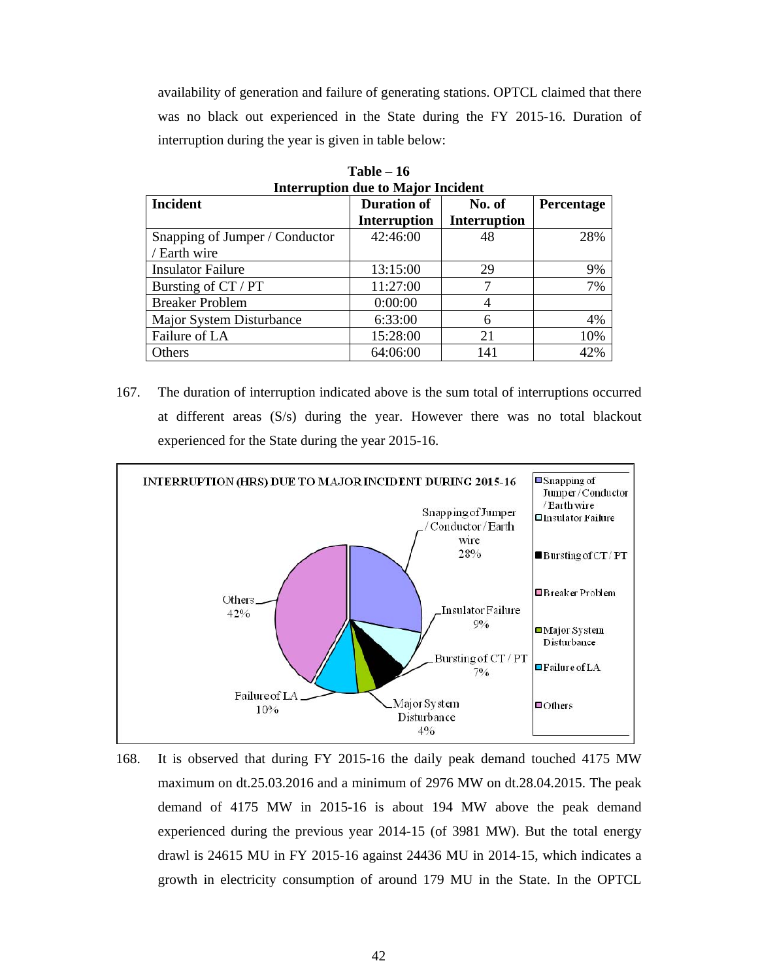availability of generation and failure of generating stations. OPTCL claimed that there was no black out experienced in the State during the FY 2015-16. Duration of interruption during the year is given in table below:

| <b>Incident</b>                | <b>Duration of</b>  | No. of              | Percentage |
|--------------------------------|---------------------|---------------------|------------|
|                                | <b>Interruption</b> | <b>Interruption</b> |            |
| Snapping of Jumper / Conductor | 42:46:00            | 48                  | 28%        |
| / Earth wire                   |                     |                     |            |
| <b>Insulator Failure</b>       | 13:15:00            | 29                  | 9%         |
| Bursting of CT / PT            | 11:27:00            |                     | 7%         |
| <b>Breaker Problem</b>         | 0:00:00             | 4                   |            |
| Major System Disturbance       | 6:33:00             | 6                   | 4%         |
| Failure of LA                  | 15:28:00            | 21                  | 10%        |
| Others                         | 64:06:00            | 141                 | 42%        |

**Table – 16 Interruption due to Major Incident**

167. The duration of interruption indicated above is the sum total of interruptions occurred at different areas (S/s) during the year. However there was no total blackout experienced for the State during the year 2015-16.



168. It is observed that during FY 2015-16 the daily peak demand touched 4175 MW maximum on dt.25.03.2016 and a minimum of 2976 MW on dt.28.04.2015. The peak demand of 4175 MW in 2015-16 is about 194 MW above the peak demand experienced during the previous year 2014-15 (of 3981 MW). But the total energy drawl is 24615 MU in FY 2015-16 against 24436 MU in 2014-15, which indicates a growth in electricity consumption of around 179 MU in the State. In the OPTCL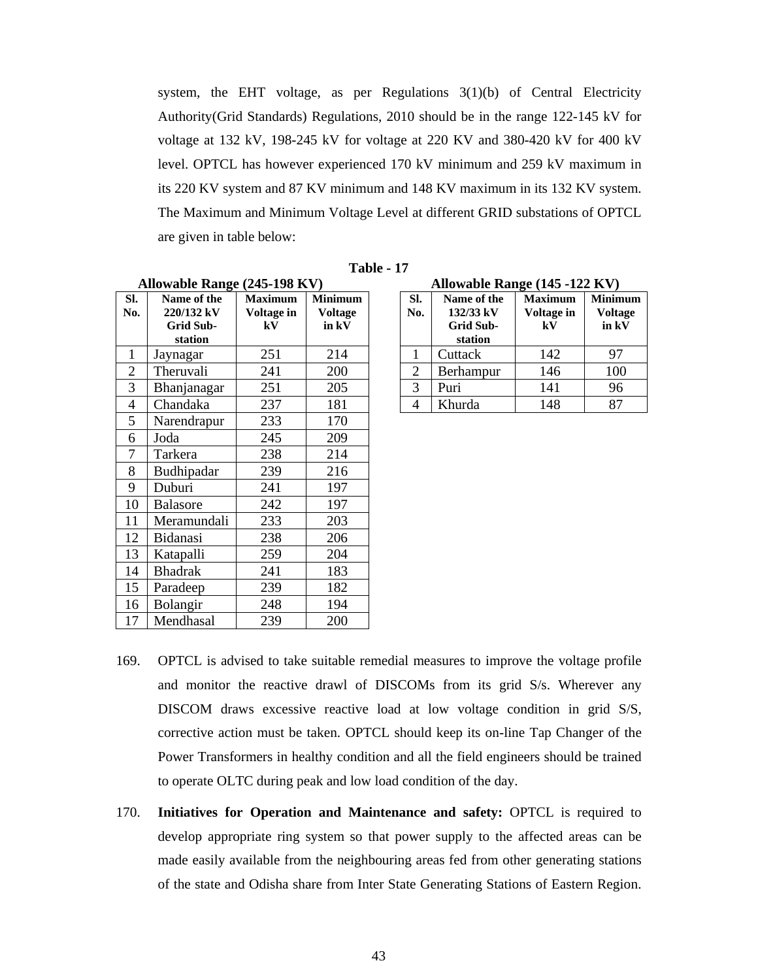system, the EHT voltage, as per Regulations  $3(1)(b)$  of Central Electricity Authority(Grid Standards) Regulations, 2010 should be in the range 122-145 kV for voltage at 132 kV, 198-245 kV for voltage at 220 KV and 380-420 kV for 400 kV level. OPTCL has however experienced 170 kV minimum and 259 kV maximum in its 220 KV system and 87 KV minimum and 148 KV maximum in its 132 KV system. The Maximum and Minimum Voltage Level at different GRID substations of OPTCL are given in table below:

|                | Allowable Range (245-198 KV)                             |                                    |                                           |                | Allowable Range (145 -122 KV)                           |                                    |                         |
|----------------|----------------------------------------------------------|------------------------------------|-------------------------------------------|----------------|---------------------------------------------------------|------------------------------------|-------------------------|
| SI.<br>No.     | Name of the<br>220/132 kV<br><b>Grid Sub-</b><br>station | <b>Maximum</b><br>Voltage in<br>kV | <b>Minimum</b><br><b>Voltage</b><br>in kV | Sl.<br>No.     | Name of the<br>132/33 kV<br><b>Grid Sub-</b><br>station | <b>Maximum</b><br>Voltage in<br>kV | Minimu<br><b>Voltag</b> |
| 1              | Jaynagar                                                 | 251                                | 214                                       | 1              | Cuttack                                                 | 142                                |                         |
| $\overline{2}$ | Theruvali                                                | 241                                | 200                                       | $\overline{2}$ | Berhampur                                               | 146                                |                         |
| 3              | Bhanjanagar                                              | 251                                | 205                                       | 3              | Puri                                                    | 141                                |                         |
| $\overline{4}$ | Chandaka                                                 | 237                                | 181                                       | $\overline{4}$ | Khurda                                                  | 148                                |                         |
| 5              | Narendrapur                                              | 233                                | 170                                       |                |                                                         |                                    |                         |
| 6              | Joda                                                     | 245                                | 209                                       |                |                                                         |                                    |                         |
| $\tau$         | Tarkera                                                  | 238                                | 214                                       |                |                                                         |                                    |                         |
| 8              | Budhipadar                                               | 239                                | 216                                       |                |                                                         |                                    |                         |
| 9              | Duburi                                                   | 241                                | 197                                       |                |                                                         |                                    |                         |
| 10             | Balasore                                                 | 242                                | 197                                       |                |                                                         |                                    |                         |
| 11             | Meramundali                                              | 233                                | 203                                       |                |                                                         |                                    |                         |
| 12             | Bidanasi                                                 | 238                                | 206                                       |                |                                                         |                                    |                         |
| 13             | Katapalli                                                | 259                                | 204                                       |                |                                                         |                                    |                         |
| 14             | <b>Bhadrak</b>                                           | 241                                | 183                                       |                |                                                         |                                    |                         |
| 15             | Paradeep                                                 | 239                                | 182                                       |                |                                                         |                                    |                         |
| 16             | Bolangir                                                 | 248                                | 194                                       |                |                                                         |                                    |                         |
| 17             | Mendhasal                                                | 239                                | 200                                       |                |                                                         |                                    |                         |

**Table - 17**

**Allowable Range (245-198 KV) Allowable Range (145 -122 KV)**

| SI.<br>No.     | Name of the<br>132/33 kV<br>Grid Sub-<br>station | <b>Maximum</b><br>Voltage in<br>kV | <b>Minimum</b><br><b>Voltage</b><br>in kV |
|----------------|--------------------------------------------------|------------------------------------|-------------------------------------------|
|                | Cuttack                                          | 142                                | 97                                        |
| $\overline{2}$ | Berhampur                                        | 146                                | 100                                       |
| 3              | Puri                                             | 141                                | 96                                        |
|                | Khurda                                           | 148                                |                                           |

- 169. OPTCL is advised to take suitable remedial measures to improve the voltage profile and monitor the reactive drawl of DISCOMs from its grid S/s. Wherever any DISCOM draws excessive reactive load at low voltage condition in grid S/S, corrective action must be taken. OPTCL should keep its on-line Tap Changer of the Power Transformers in healthy condition and all the field engineers should be trained to operate OLTC during peak and low load condition of the day.
- 170. **Initiatives for Operation and Maintenance and safety:** OPTCL is required to develop appropriate ring system so that power supply to the affected areas can be made easily available from the neighbouring areas fed from other generating stations of the state and Odisha share from Inter State Generating Stations of Eastern Region.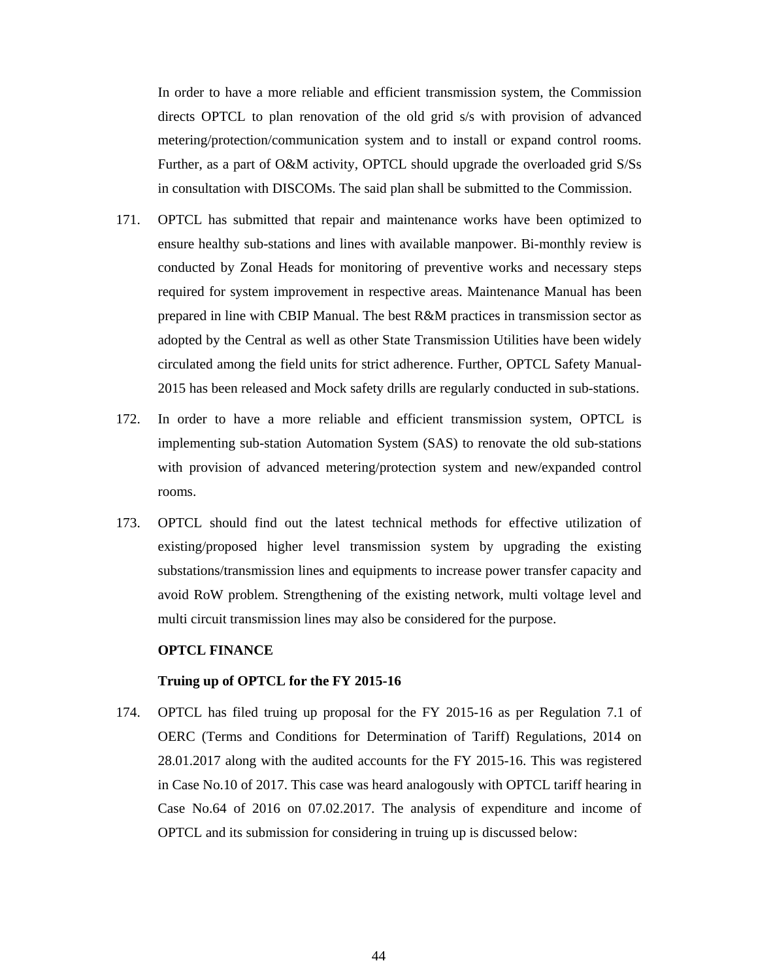In order to have a more reliable and efficient transmission system, the Commission directs OPTCL to plan renovation of the old grid s/s with provision of advanced metering/protection/communication system and to install or expand control rooms. Further, as a part of O&M activity, OPTCL should upgrade the overloaded grid S/Ss in consultation with DISCOMs. The said plan shall be submitted to the Commission.

- 171. OPTCL has submitted that repair and maintenance works have been optimized to ensure healthy sub-stations and lines with available manpower. Bi-monthly review is conducted by Zonal Heads for monitoring of preventive works and necessary steps required for system improvement in respective areas. Maintenance Manual has been prepared in line with CBIP Manual. The best R&M practices in transmission sector as adopted by the Central as well as other State Transmission Utilities have been widely circulated among the field units for strict adherence. Further, OPTCL Safety Manual-2015 has been released and Mock safety drills are regularly conducted in sub-stations.
- 172. In order to have a more reliable and efficient transmission system, OPTCL is implementing sub-station Automation System (SAS) to renovate the old sub-stations with provision of advanced metering/protection system and new/expanded control rooms.
- 173. OPTCL should find out the latest technical methods for effective utilization of existing/proposed higher level transmission system by upgrading the existing substations/transmission lines and equipments to increase power transfer capacity and avoid RoW problem. Strengthening of the existing network, multi voltage level and multi circuit transmission lines may also be considered for the purpose.

### **OPTCL FINANCE**

### **Truing up of OPTCL for the FY 2015-16**

174. OPTCL has filed truing up proposal for the FY 2015-16 as per Regulation 7.1 of OERC (Terms and Conditions for Determination of Tariff) Regulations, 2014 on 28.01.2017 along with the audited accounts for the FY 2015-16. This was registered in Case No.10 of 2017. This case was heard analogously with OPTCL tariff hearing in Case No.64 of 2016 on 07.02.2017. The analysis of expenditure and income of OPTCL and its submission for considering in truing up is discussed below: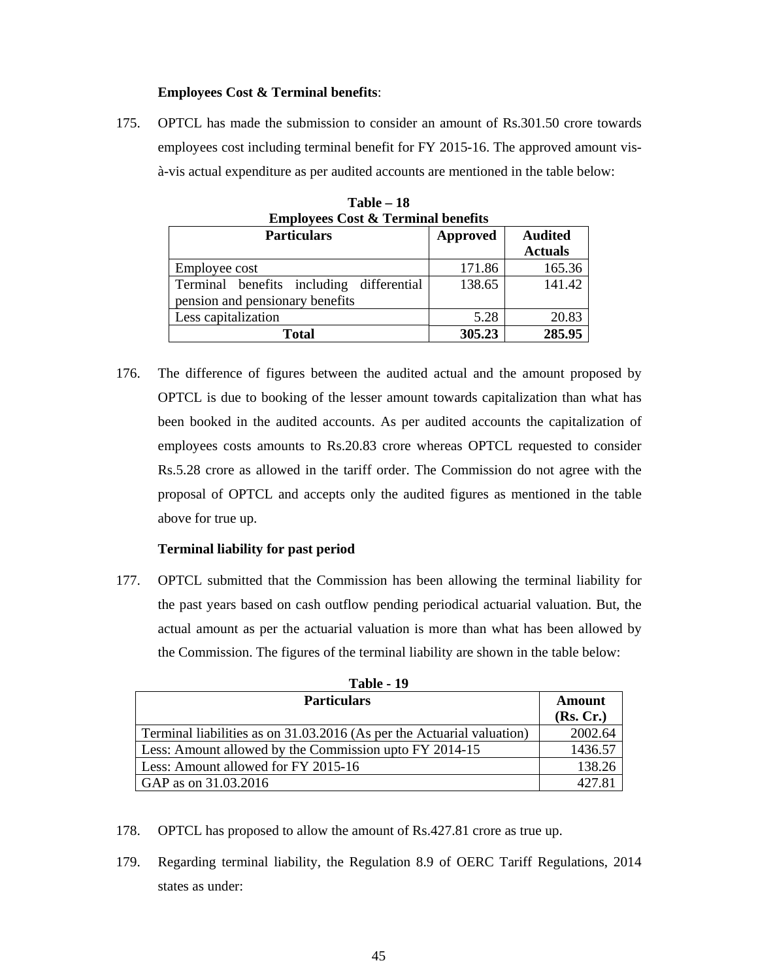## **Employees Cost & Terminal benefits**:

175. OPTCL has made the submission to consider an amount of Rs.301.50 crore towards employees cost including terminal benefit for FY 2015-16. The approved amount visà-vis actual expenditure as per audited accounts are mentioned in the table below:

| <b>Employees Cost &amp; Terminal benefits</b> |          |                |  |  |  |
|-----------------------------------------------|----------|----------------|--|--|--|
| <b>Particulars</b>                            | Approved | <b>Audited</b> |  |  |  |
|                                               |          | <b>Actuals</b> |  |  |  |
| Employee cost                                 | 171.86   | 165.36         |  |  |  |
| Terminal benefits including differential      | 138.65   | 141.42         |  |  |  |
| pension and pensionary benefits               |          |                |  |  |  |
| Less capitalization                           | 5.28     | 20.83          |  |  |  |
| Total                                         | 305.23   | 285.95         |  |  |  |

**Table – 18 Employees Cost & Terminal benefits**

176. The difference of figures between the audited actual and the amount proposed by OPTCL is due to booking of the lesser amount towards capitalization than what has been booked in the audited accounts. As per audited accounts the capitalization of employees costs amounts to Rs.20.83 crore whereas OPTCL requested to consider Rs.5.28 crore as allowed in the tariff order. The Commission do not agree with the proposal of OPTCL and accepts only the audited figures as mentioned in the table above for true up.

## **Terminal liability for past period**

177. OPTCL submitted that the Commission has been allowing the terminal liability for the past years based on cash outflow pending periodical actuarial valuation. But, the actual amount as per the actuarial valuation is more than what has been allowed by the Commission. The figures of the terminal liability are shown in the table below:

| 1 apie - 19                                                            |                     |  |  |  |
|------------------------------------------------------------------------|---------------------|--|--|--|
| <b>Particulars</b>                                                     | Amount<br>(Rs, Cr.) |  |  |  |
| Terminal liabilities as on 31.03.2016 (As per the Actuarial valuation) | 2002.64             |  |  |  |
| Less: Amount allowed by the Commission upto FY 2014-15                 | 1436.57             |  |  |  |
| Less: Amount allowed for FY 2015-16                                    | 138.26              |  |  |  |
| GAP as on 31.03.2016                                                   | 427.81              |  |  |  |

**Table - 10** 

- 178. OPTCL has proposed to allow the amount of Rs.427.81 crore as true up.
- 179. Regarding terminal liability, the Regulation 8.9 of OERC Tariff Regulations, 2014 states as under: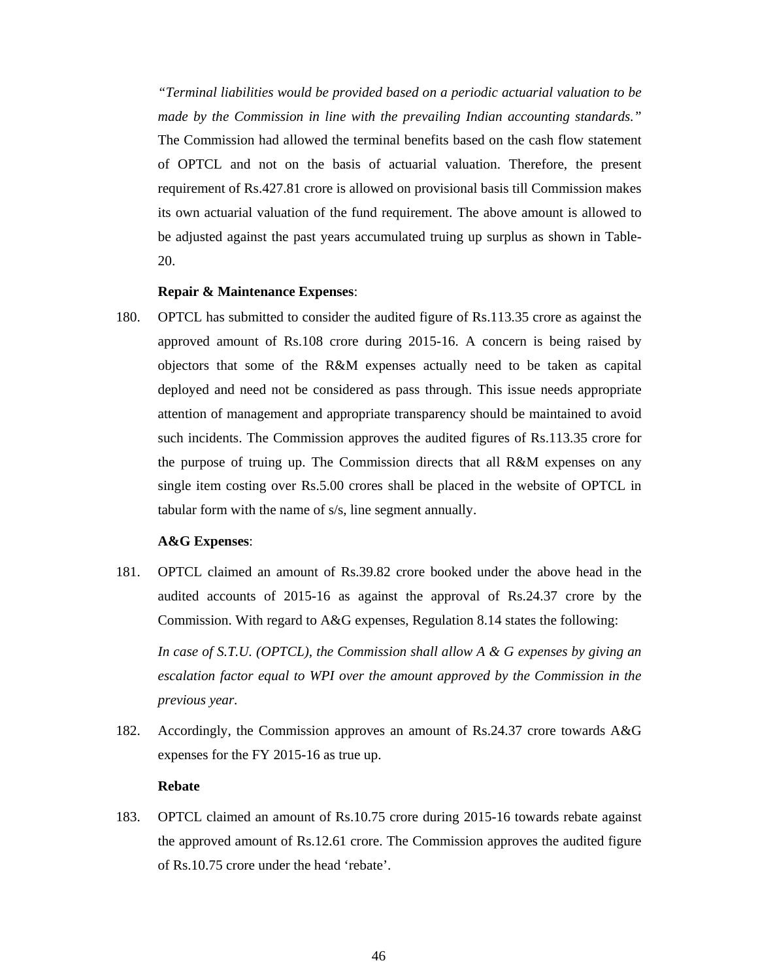*"Terminal liabilities would be provided based on a periodic actuarial valuation to be made by the Commission in line with the prevailing Indian accounting standards."*  The Commission had allowed the terminal benefits based on the cash flow statement of OPTCL and not on the basis of actuarial valuation. Therefore, the present requirement of Rs.427.81 crore is allowed on provisional basis till Commission makes its own actuarial valuation of the fund requirement. The above amount is allowed to be adjusted against the past years accumulated truing up surplus as shown in Table-20.

## **Repair & Maintenance Expenses**:

180. OPTCL has submitted to consider the audited figure of Rs.113.35 crore as against the approved amount of Rs.108 crore during 2015-16. A concern is being raised by objectors that some of the R&M expenses actually need to be taken as capital deployed and need not be considered as pass through. This issue needs appropriate attention of management and appropriate transparency should be maintained to avoid such incidents. The Commission approves the audited figures of Rs.113.35 crore for the purpose of truing up. The Commission directs that all R&M expenses on any single item costing over Rs.5.00 crores shall be placed in the website of OPTCL in tabular form with the name of s/s, line segment annually.

### **A&G Expenses**:

181. OPTCL claimed an amount of Rs.39.82 crore booked under the above head in the audited accounts of 2015-16 as against the approval of Rs.24.37 crore by the Commission. With regard to A&G expenses, Regulation 8.14 states the following:

*In case of S.T.U. (OPTCL), the Commission shall allow A & G expenses by giving an escalation factor equal to WPI over the amount approved by the Commission in the previous year.* 

182. Accordingly, the Commission approves an amount of Rs.24.37 crore towards A&G expenses for the FY 2015-16 as true up.

### **Rebate**

183. OPTCL claimed an amount of Rs.10.75 crore during 2015-16 towards rebate against the approved amount of Rs.12.61 crore. The Commission approves the audited figure of Rs.10.75 crore under the head 'rebate'.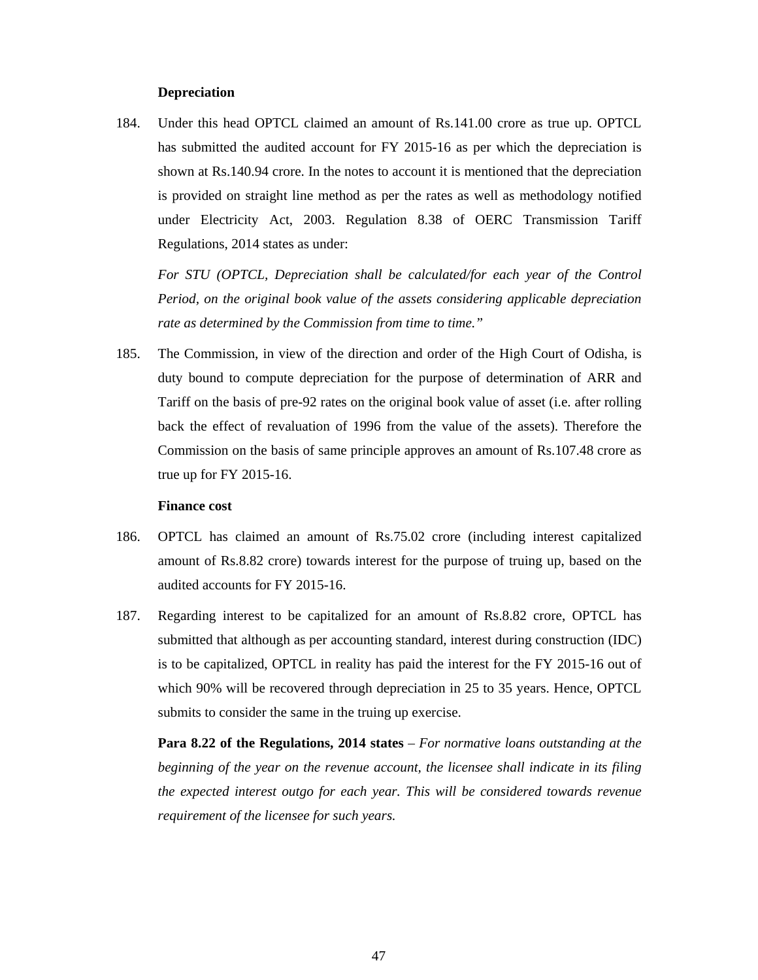## **Depreciation**

184. Under this head OPTCL claimed an amount of Rs.141.00 crore as true up. OPTCL has submitted the audited account for FY 2015-16 as per which the depreciation is shown at Rs.140.94 crore. In the notes to account it is mentioned that the depreciation is provided on straight line method as per the rates as well as methodology notified under Electricity Act, 2003. Regulation 8.38 of OERC Transmission Tariff Regulations, 2014 states as under:

*For STU (OPTCL, Depreciation shall be calculated/for each year of the Control Period, on the original book value of the assets considering applicable depreciation rate as determined by the Commission from time to time."* 

185. The Commission, in view of the direction and order of the High Court of Odisha, is duty bound to compute depreciation for the purpose of determination of ARR and Tariff on the basis of pre-92 rates on the original book value of asset (i.e. after rolling back the effect of revaluation of 1996 from the value of the assets). Therefore the Commission on the basis of same principle approves an amount of Rs.107.48 crore as true up for FY 2015-16.

### **Finance cost**

- 186. OPTCL has claimed an amount of Rs.75.02 crore (including interest capitalized amount of Rs.8.82 crore) towards interest for the purpose of truing up, based on the audited accounts for FY 2015-16.
- 187. Regarding interest to be capitalized for an amount of Rs.8.82 crore, OPTCL has submitted that although as per accounting standard, interest during construction (IDC) is to be capitalized, OPTCL in reality has paid the interest for the FY 2015-16 out of which 90% will be recovered through depreciation in 25 to 35 years. Hence, OPTCL submits to consider the same in the truing up exercise.

**Para 8.22 of the Regulations, 2014 states** – *For normative loans outstanding at the beginning of the year on the revenue account, the licensee shall indicate in its filing the expected interest outgo for each year. This will be considered towards revenue requirement of the licensee for such years.*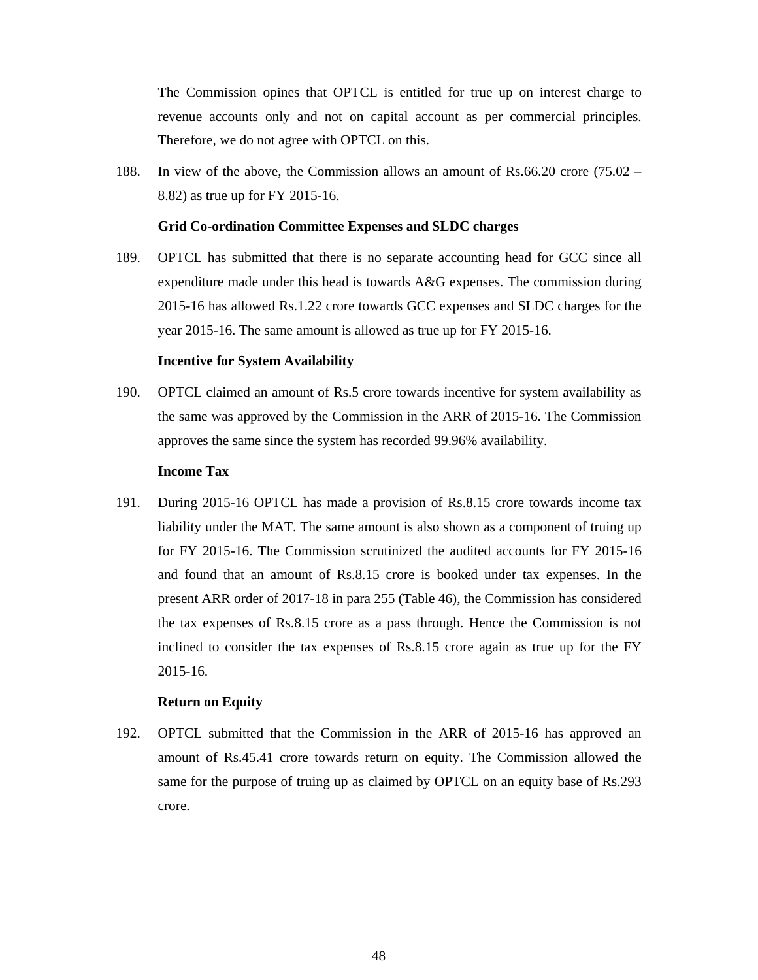The Commission opines that OPTCL is entitled for true up on interest charge to revenue accounts only and not on capital account as per commercial principles. Therefore, we do not agree with OPTCL on this.

188. In view of the above, the Commission allows an amount of Rs.66.20 crore (75.02 – 8.82) as true up for FY 2015-16.

### **Grid Co-ordination Committee Expenses and SLDC charges**

189. OPTCL has submitted that there is no separate accounting head for GCC since all expenditure made under this head is towards A&G expenses. The commission during 2015-16 has allowed Rs.1.22 crore towards GCC expenses and SLDC charges for the year 2015-16. The same amount is allowed as true up for FY 2015-16.

### **Incentive for System Availability**

190. OPTCL claimed an amount of Rs.5 crore towards incentive for system availability as the same was approved by the Commission in the ARR of 2015-16. The Commission approves the same since the system has recorded 99.96% availability.

### **Income Tax**

191. During 2015-16 OPTCL has made a provision of Rs.8.15 crore towards income tax liability under the MAT. The same amount is also shown as a component of truing up for FY 2015-16. The Commission scrutinized the audited accounts for FY 2015-16 and found that an amount of Rs.8.15 crore is booked under tax expenses. In the present ARR order of 2017-18 in para 255 (Table 46), the Commission has considered the tax expenses of Rs.8.15 crore as a pass through. Hence the Commission is not inclined to consider the tax expenses of Rs.8.15 crore again as true up for the FY 2015-16.

### **Return on Equity**

192. OPTCL submitted that the Commission in the ARR of 2015-16 has approved an amount of Rs.45.41 crore towards return on equity. The Commission allowed the same for the purpose of truing up as claimed by OPTCL on an equity base of Rs.293 crore.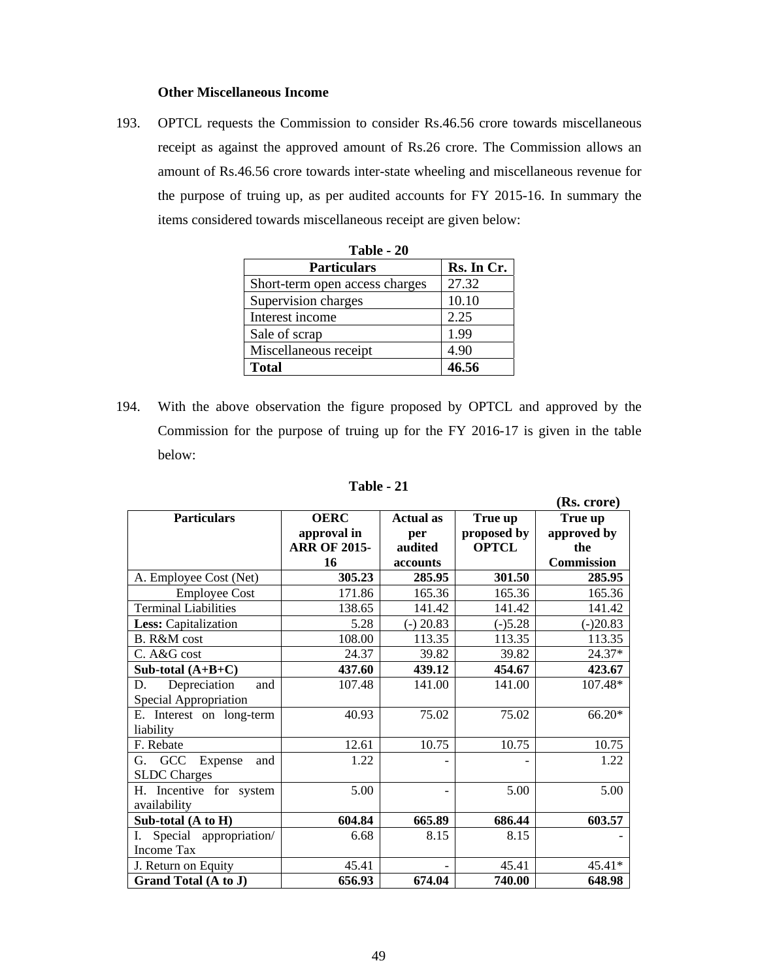## **Other Miscellaneous Income**

193. OPTCL requests the Commission to consider Rs.46.56 crore towards miscellaneous receipt as against the approved amount of Rs.26 crore. The Commission allows an amount of Rs.46.56 crore towards inter-state wheeling and miscellaneous revenue for the purpose of truing up, as per audited accounts for FY 2015-16. In summary the items considered towards miscellaneous receipt are given below:

| Table - 20                     |            |  |  |  |
|--------------------------------|------------|--|--|--|
| <b>Particulars</b>             | Rs. In Cr. |  |  |  |
| Short-term open access charges | 27.32      |  |  |  |
| Supervision charges            | 10.10      |  |  |  |
| Interest income                | 2.25       |  |  |  |
| Sale of scrap                  | 1.99       |  |  |  |
| Miscellaneous receipt          | 4.90       |  |  |  |
| <b>Total</b>                   | 46.56      |  |  |  |

194. With the above observation the figure proposed by OPTCL and approved by the Commission for the purpose of truing up for the FY 2016-17 is given in the table below:

|                             |                     |                  |              | (Rs. crore)       |
|-----------------------------|---------------------|------------------|--------------|-------------------|
| <b>Particulars</b>          | <b>OERC</b>         | <b>Actual as</b> | True up      | True up           |
|                             | approval in         | per              | proposed by  | approved by       |
|                             | <b>ARR OF 2015-</b> | audited          | <b>OPTCL</b> | the               |
|                             | 16                  | accounts         |              | <b>Commission</b> |
| A. Employee Cost (Net)      | 305.23              | 285.95           | 301.50       | 285.95            |
| <b>Employee Cost</b>        | 171.86              | 165.36           | 165.36       | 165.36            |
| <b>Terminal Liabilities</b> | 138.65              | 141.42           | 141.42       | 141.42            |
| Less: Capitalization        | 5.28                | $(-) 20.83$      | $(-)5.28$    | $(-)20.83$        |
| B. R&M cost                 | 108.00              | 113.35           | 113.35       | 113.35            |
| C. A&G cost                 | 24.37               | 39.82            | 39.82        | 24.37*            |
| Sub-total $(A+B+C)$         | 437.60              | 439.12           | 454.67       | 423.67            |
| Depreciation<br>D.<br>and   | 107.48              | 141.00           | 141.00       | $107.48*$         |
| Special Appropriation       |                     |                  |              |                   |
| E. Interest on long-term    | 40.93               | 75.02            | 75.02        | 66.20*            |
| liability                   |                     |                  |              |                   |
| F. Rebate                   | 12.61               | 10.75            | 10.75        | 10.75             |
| G. GCC<br>Expense<br>and    | 1.22                |                  |              | 1.22              |
| <b>SLDC</b> Charges         |                     |                  |              |                   |
| H. Incentive for system     | 5.00                |                  | 5.00         | 5.00              |
| availability                |                     |                  |              |                   |
| Sub-total (A to H)          | 604.84              | 665.89           | 686.44       | 603.57            |
| Special appropriation/      | 6.68                | 8.15             | 8.15         |                   |
| <b>Income Tax</b>           |                     |                  |              |                   |
| J. Return on Equity         | 45.41               |                  | 45.41        | 45.41*            |
| Grand Total (A to J)        | 656.93              | 674.04           | 740.00       | 648.98            |

**Table - 21**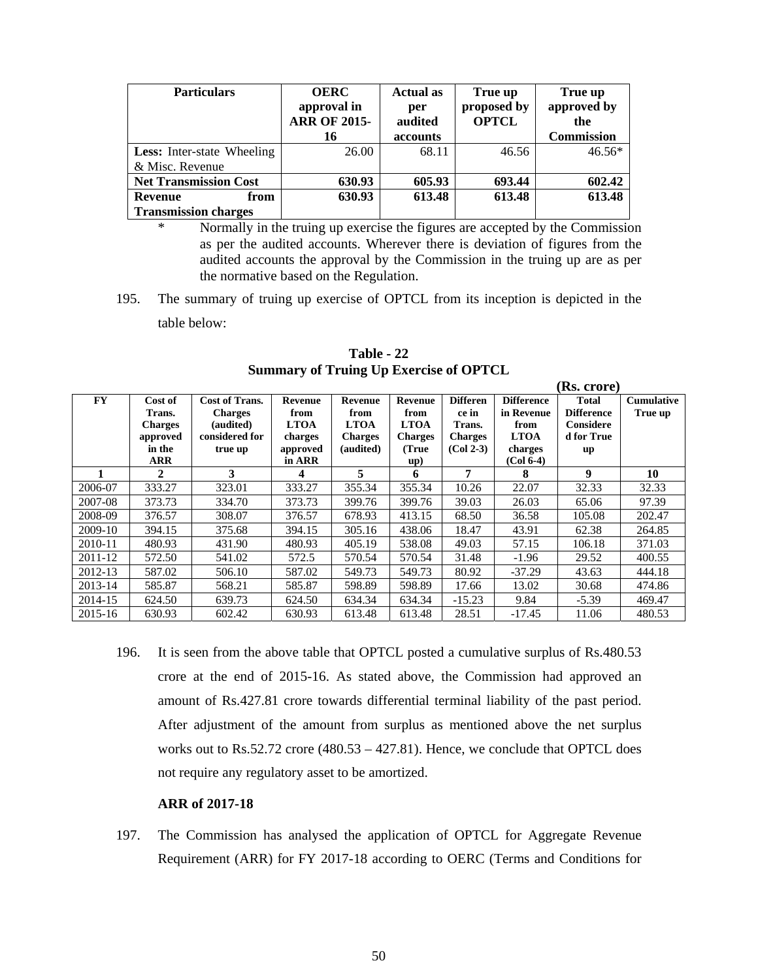| <b>Particulars</b>                | <b>OERC</b><br>approval in<br><b>ARR OF 2015-</b><br>16 | <b>Actual as</b><br>per<br>audited<br>accounts | True up<br>proposed by<br><b>OPTCL</b> | True up<br>approved by<br>the<br><b>Commission</b> |
|-----------------------------------|---------------------------------------------------------|------------------------------------------------|----------------------------------------|----------------------------------------------------|
| <b>Less:</b> Inter-state Wheeling | 26.00                                                   | 68.11                                          | 46.56                                  | $46.56*$                                           |
| & Misc. Revenue                   |                                                         |                                                |                                        |                                                    |
| <b>Net Transmission Cost</b>      | 630.93                                                  | 605.93                                         | 693.44                                 | 602.42                                             |
| <b>Revenue</b><br>from            | 630.93                                                  | 613.48                                         | 613.48                                 | 613.48                                             |
| <b>Transmission charges</b>       |                                                         |                                                |                                        |                                                    |

\* Normally in the truing up exercise the figures are accepted by the Commission as per the audited accounts. Wherever there is deviation of figures from the audited accounts the approval by the Commission in the truing up are as per the normative based on the Regulation.

195. The summary of truing up exercise of OPTCL from its inception is depicted in the table below:

|           |                   |                                         |                    |                 |                 |                          |                                 | (Rs. crore)                       |                              |
|-----------|-------------------|-----------------------------------------|--------------------|-----------------|-----------------|--------------------------|---------------------------------|-----------------------------------|------------------------------|
| <b>FY</b> | Cost of<br>Trans. | <b>Cost of Trans.</b><br><b>Charges</b> | Revenue<br>from    | Revenue<br>from | Revenue<br>from | <b>Differen</b><br>ce in | <b>Difference</b><br>in Revenue | <b>Total</b><br><b>Difference</b> | <b>Cumulative</b><br>True up |
|           | <b>Charges</b>    | (audited)                               | <b>LTOA</b>        | <b>LTOA</b>     | <b>LTOA</b>     | Trans.                   | from                            | Considere                         |                              |
|           | approved          | considered for                          | charges            | <b>Charges</b>  | <b>Charges</b>  | <b>Charges</b>           | <b>LTOA</b>                     | d for True                        |                              |
|           | in the<br>ARR     | true up                                 | approved<br>in ARR | (audited)       | (True<br>up)    | $(Col 2-3)$              | charges<br>$(Col 6-4)$          | up                                |                              |
|           | 2                 | 3                                       | 4                  | 5               | 6               | 7                        | 8                               | 9                                 | 10                           |
| 2006-07   | 333.27            | 323.01                                  | 333.27             | 355.34          | 355.34          | 10.26                    | 22.07                           | 32.33                             | 32.33                        |
| 2007-08   | 373.73            | 334.70                                  | 373.73             | 399.76          | 399.76          | 39.03                    | 26.03                           | 65.06                             | 97.39                        |
| 2008-09   | 376.57            | 308.07                                  | 376.57             | 678.93          | 413.15          | 68.50                    | 36.58                           | 105.08                            | 202.47                       |
| 2009-10   | 394.15            | 375.68                                  | 394.15             | 305.16          | 438.06          | 18.47                    | 43.91                           | 62.38                             | 264.85                       |
| 2010-11   | 480.93            | 431.90                                  | 480.93             | 405.19          | 538.08          | 49.03                    | 57.15                           | 106.18                            | 371.03                       |
| 2011-12   | 572.50            | 541.02                                  | 572.5              | 570.54          | 570.54          | 31.48                    | $-1.96$                         | 29.52                             | 400.55                       |
| 2012-13   | 587.02            | 506.10                                  | 587.02             | 549.73          | 549.73          | 80.92                    | $-37.29$                        | 43.63                             | 444.18                       |
| 2013-14   | 585.87            | 568.21                                  | 585.87             | 598.89          | 598.89          | 17.66                    | 13.02                           | 30.68                             | 474.86                       |
| 2014-15   | 624.50            | 639.73                                  | 624.50             | 634.34          | 634.34          | $-15.23$                 | 9.84                            | $-5.39$                           | 469.47                       |
| 2015-16   | 630.93            | 602.42                                  | 630.93             | 613.48          | 613.48          | 28.51                    | $-17.45$                        | 11.06                             | 480.53                       |

**Table - 22 Summary of Truing Up Exercise of OPTCL** 

196. It is seen from the above table that OPTCL posted a cumulative surplus of Rs.480.53 crore at the end of 2015-16. As stated above, the Commission had approved an amount of Rs.427.81 crore towards differential terminal liability of the past period. After adjustment of the amount from surplus as mentioned above the net surplus works out to Rs.52.72 crore (480.53 – 427.81). Hence, we conclude that OPTCL does not require any regulatory asset to be amortized.

## **ARR of 2017-18**

197. The Commission has analysed the application of OPTCL for Aggregate Revenue Requirement (ARR) for FY 2017-18 according to OERC (Terms and Conditions for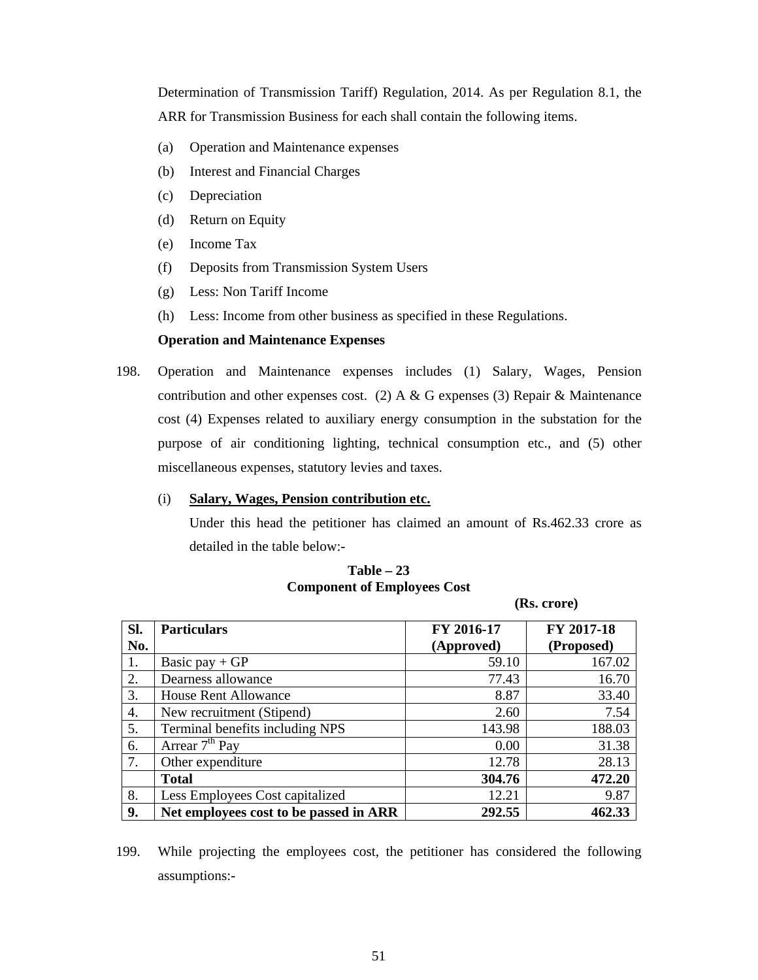Determination of Transmission Tariff) Regulation, 2014. As per Regulation 8.1, the ARR for Transmission Business for each shall contain the following items.

- (a) Operation and Maintenance expenses
- (b) Interest and Financial Charges
- (c) Depreciation
- (d) Return on Equity
- (e) Income Tax
- (f) Deposits from Transmission System Users
- (g) Less: Non Tariff Income
- (h) Less: Income from other business as specified in these Regulations.

# **Operation and Maintenance Expenses**

198. Operation and Maintenance expenses includes (1) Salary, Wages, Pension contribution and other expenses cost. (2) A & G expenses (3) Repair & Maintenance cost (4) Expenses related to auxiliary energy consumption in the substation for the purpose of air conditioning lighting, technical consumption etc., and (5) other miscellaneous expenses, statutory levies and taxes.

## (i) **Salary, Wages, Pension contribution etc.**

Under this head the petitioner has claimed an amount of Rs.462.33 crore as detailed in the table below:-

 **(Rs. crore)** 

| SI. | <b>Particulars</b>                     | FY 2016-17 | FY 2017-18 |
|-----|----------------------------------------|------------|------------|
| No. |                                        | (Approved) | (Proposed) |
| 1.  | Basic pay $+GP$                        | 59.10      | 167.02     |
| 2.  | Dearness allowance                     | 77.43      | 16.70      |
| 3.  | <b>House Rent Allowance</b>            | 8.87       | 33.40      |
| 4.  | New recruitment (Stipend)              | 2.60       | 7.54       |
| 5.  | Terminal benefits including NPS        | 143.98     | 188.03     |
| 6.  | Arrear $7th$ Pay                       | 0.00       | 31.38      |
| 7.  | Other expenditure                      | 12.78      | 28.13      |
|     | <b>Total</b>                           | 304.76     | 472.20     |
| 8.  | Less Employees Cost capitalized        | 12.21      | 9.87       |
| 9.  | Net employees cost to be passed in ARR | 292.55     | 462.33     |

# **Table – 23 Component of Employees Cost**

199. While projecting the employees cost, the petitioner has considered the following assumptions:-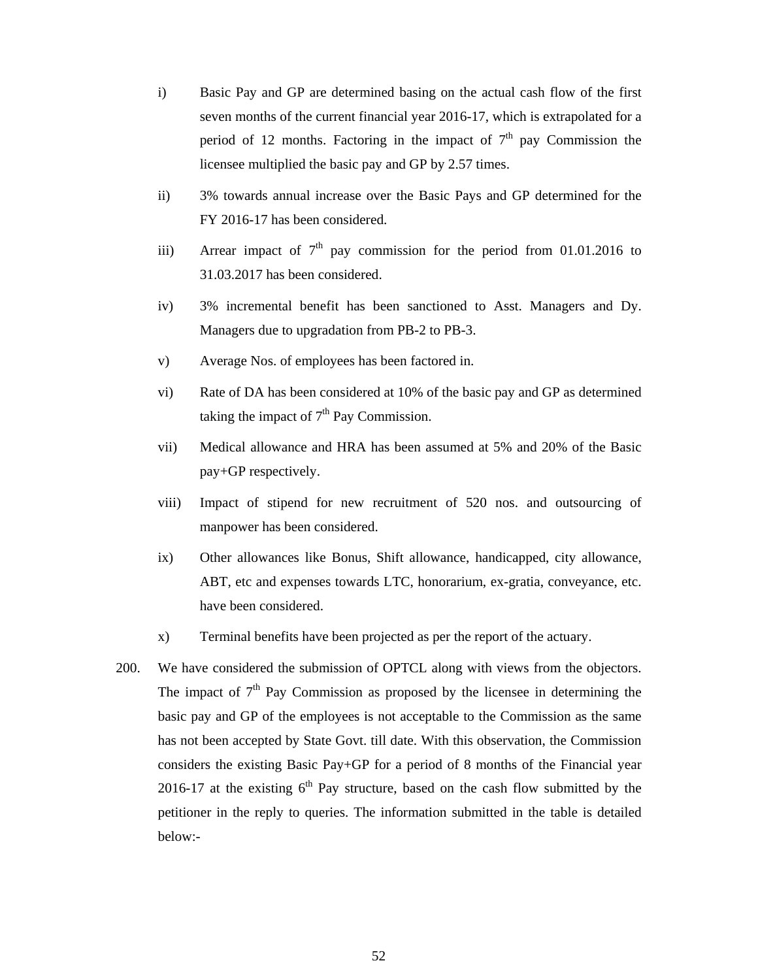- i) Basic Pay and GP are determined basing on the actual cash flow of the first seven months of the current financial year 2016-17, which is extrapolated for a period of 12 months. Factoring in the impact of  $7<sup>th</sup>$  pay Commission the licensee multiplied the basic pay and GP by 2.57 times.
- ii) 3% towards annual increase over the Basic Pays and GP determined for the FY 2016-17 has been considered.
- iii) Arrear impact of  $7<sup>th</sup>$  pay commission for the period from 01.01.2016 to 31.03.2017 has been considered.
- iv) 3% incremental benefit has been sanctioned to Asst. Managers and Dy. Managers due to upgradation from PB-2 to PB-3.
- v) Average Nos. of employees has been factored in.
- vi) Rate of DA has been considered at 10% of the basic pay and GP as determined taking the impact of  $7<sup>th</sup>$  Pay Commission.
- vii) Medical allowance and HRA has been assumed at 5% and 20% of the Basic pay+GP respectively.
- viii) Impact of stipend for new recruitment of 520 nos. and outsourcing of manpower has been considered.
- ix) Other allowances like Bonus, Shift allowance, handicapped, city allowance, ABT, etc and expenses towards LTC, honorarium, ex-gratia, conveyance, etc. have been considered.
- x) Terminal benefits have been projected as per the report of the actuary.
- 200. We have considered the submission of OPTCL along with views from the objectors. The impact of  $7<sup>th</sup>$  Pay Commission as proposed by the licensee in determining the basic pay and GP of the employees is not acceptable to the Commission as the same has not been accepted by State Govt. till date. With this observation, the Commission considers the existing Basic Pay+GP for a period of 8 months of the Financial year 2016-17 at the existing  $6<sup>th</sup>$  Pay structure, based on the cash flow submitted by the petitioner in the reply to queries. The information submitted in the table is detailed below:-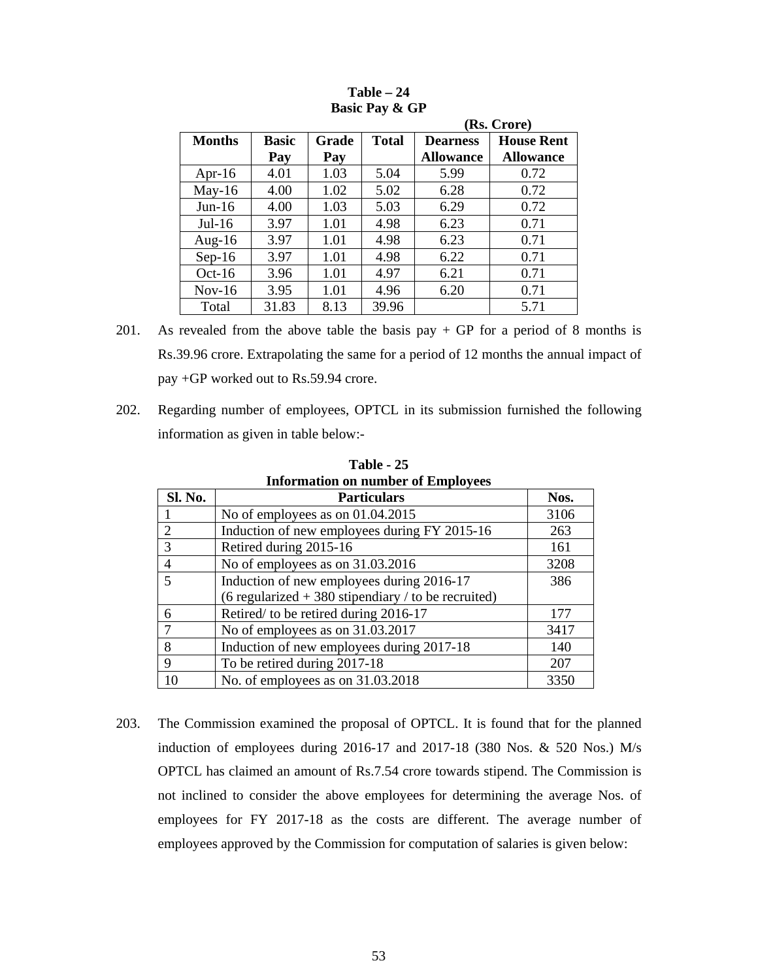|               |                     |              |              | (Rs. Crore)                         |                                       |  |  |  |
|---------------|---------------------|--------------|--------------|-------------------------------------|---------------------------------------|--|--|--|
| <b>Months</b> | <b>Basic</b><br>Pay | Grade<br>Pay | <b>Total</b> | <b>Dearness</b><br><b>Allowance</b> | <b>House Rent</b><br><b>Allowance</b> |  |  |  |
| Apr-16        | 4.01                | 1.03         | 5.04         | 5.99                                | 0.72                                  |  |  |  |
| $May-16$      | 4.00                | 1.02         | 5.02         | 6.28                                | 0.72                                  |  |  |  |
| $Jun-16$      | 4.00                | 1.03         | 5.03         | 6.29                                | 0.72                                  |  |  |  |
| $Jul-16$      | 3.97                | 1.01         | 4.98         | 6.23                                | 0.71                                  |  |  |  |
| Aug- $16$     | 3.97                | 1.01         | 4.98         | 6.23                                | 0.71                                  |  |  |  |
| $Sep-16$      | 3.97                | 1.01         | 4.98         | 6.22                                | 0.71                                  |  |  |  |
| $Oct-16$      | 3.96                | 1.01         | 4.97         | 6.21                                | 0.71                                  |  |  |  |
| $Nov-16$      | 3.95                | 1.01         | 4.96         | 6.20                                | 0.71                                  |  |  |  |
| Total         | 31.83               | 8.13         | 39.96        |                                     | 5.71                                  |  |  |  |

| $Table - 24$              |
|---------------------------|
| <b>Basic Pay &amp; GP</b> |

- 201. As revealed from the above table the basis pay  $+$  GP for a period of 8 months is Rs.39.96 crore. Extrapolating the same for a period of 12 months the annual impact of pay +GP worked out to Rs.59.94 crore.
- 202. Regarding number of employees, OPTCL in its submission furnished the following information as given in table below:-

| Information on number of Employees |                                                      |      |  |
|------------------------------------|------------------------------------------------------|------|--|
| <b>Sl. No.</b>                     | <b>Particulars</b>                                   | Nos. |  |
|                                    | No of employees as on $01.04.2015$                   | 3106 |  |
| 2                                  | Induction of new employees during FY 2015-16         | 263  |  |
| 3                                  | Retired during 2015-16                               | 161  |  |
|                                    | No of employees as on 31.03.2016                     | 3208 |  |
|                                    | Induction of new employees during 2016-17            | 386  |  |
|                                    | (6 regularized $+380$ stipendiary / to be recruited) |      |  |
| 6                                  | Retired/ to be retired during 2016-17                | 177  |  |
|                                    | No of employees as on 31.03.2017                     | 3417 |  |
| 8                                  | Induction of new employees during 2017-18            | 140  |  |
| 9                                  | To be retired during 2017-18                         | 207  |  |
| 10                                 | No. of employees as on 31.03.2018                    | 3350 |  |

**Table - 25 Information on number of Employees** 

203. The Commission examined the proposal of OPTCL. It is found that for the planned induction of employees during  $2016-17$  and  $2017-18$  (380 Nos. & 520 Nos.) M/s OPTCL has claimed an amount of Rs.7.54 crore towards stipend. The Commission is not inclined to consider the above employees for determining the average Nos. of employees for FY 2017-18 as the costs are different. The average number of employees approved by the Commission for computation of salaries is given below: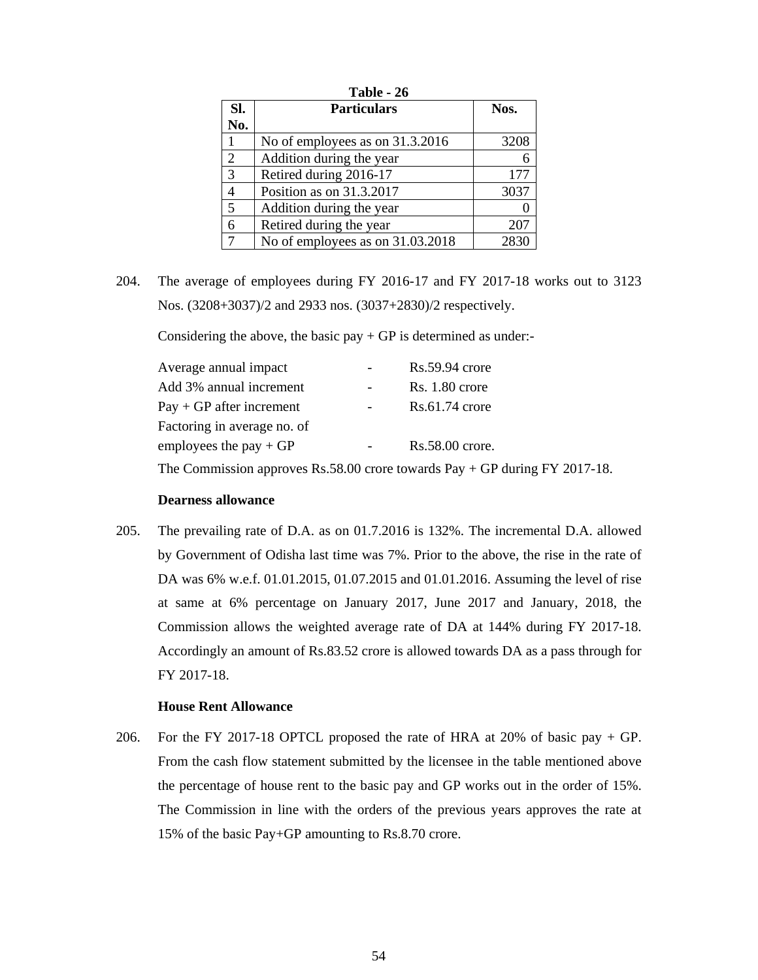| Table - 26     |                                  |      |  |
|----------------|----------------------------------|------|--|
| Sl.            | <b>Particulars</b>               | Nos. |  |
| No.            |                                  |      |  |
| 1              | No of employees as on 31.3.2016  | 3208 |  |
| $\overline{2}$ | Addition during the year         | 6    |  |
| 3              | Retired during 2016-17           | 177  |  |
| $\overline{4}$ | Position as on 31.3.2017         | 3037 |  |
| 5              | Addition during the year         |      |  |
| 6              | Retired during the year          | 207  |  |
| 7              | No of employees as on 31.03.2018 | 283  |  |

204. The average of employees during FY 2016-17 and FY 2017-18 works out to 3123 Nos. (3208+3037)/2 and 2933 nos. (3037+2830)/2 respectively.

Considering the above, the basic  $pay + GP$  is determined as under:-

| Average annual impact       | $\overline{\phantom{a}}$ | $Rs.59.94$ crore  |
|-----------------------------|--------------------------|-------------------|
| Add 3% annual increment     |                          | $Rs. 1.80$ crore  |
| $Pay + GP$ after increment  | $\blacksquare$           | $Rs.61.74$ crore  |
| Factoring in average no. of |                          |                   |
| employees the pay $+GP$     | $\blacksquare$           | $Rs.58.00$ crore. |
|                             |                          |                   |

The Commission approves Rs.58.00 crore towards Pay + GP during FY 2017-18.

## **Dearness allowance**

205. The prevailing rate of D.A. as on 01.7.2016 is 132%. The incremental D.A. allowed by Government of Odisha last time was 7%. Prior to the above, the rise in the rate of DA was 6% w.e.f. 01.01.2015, 01.07.2015 and 01.01.2016. Assuming the level of rise at same at 6% percentage on January 2017, June 2017 and January, 2018, the Commission allows the weighted average rate of DA at 144% during FY 2017-18. Accordingly an amount of Rs.83.52 crore is allowed towards DA as a pass through for FY 2017-18.

### **House Rent Allowance**

206. For the FY 2017-18 OPTCL proposed the rate of HRA at 20% of basic pay + GP. From the cash flow statement submitted by the licensee in the table mentioned above the percentage of house rent to the basic pay and GP works out in the order of 15%. The Commission in line with the orders of the previous years approves the rate at 15% of the basic Pay+GP amounting to Rs.8.70 crore.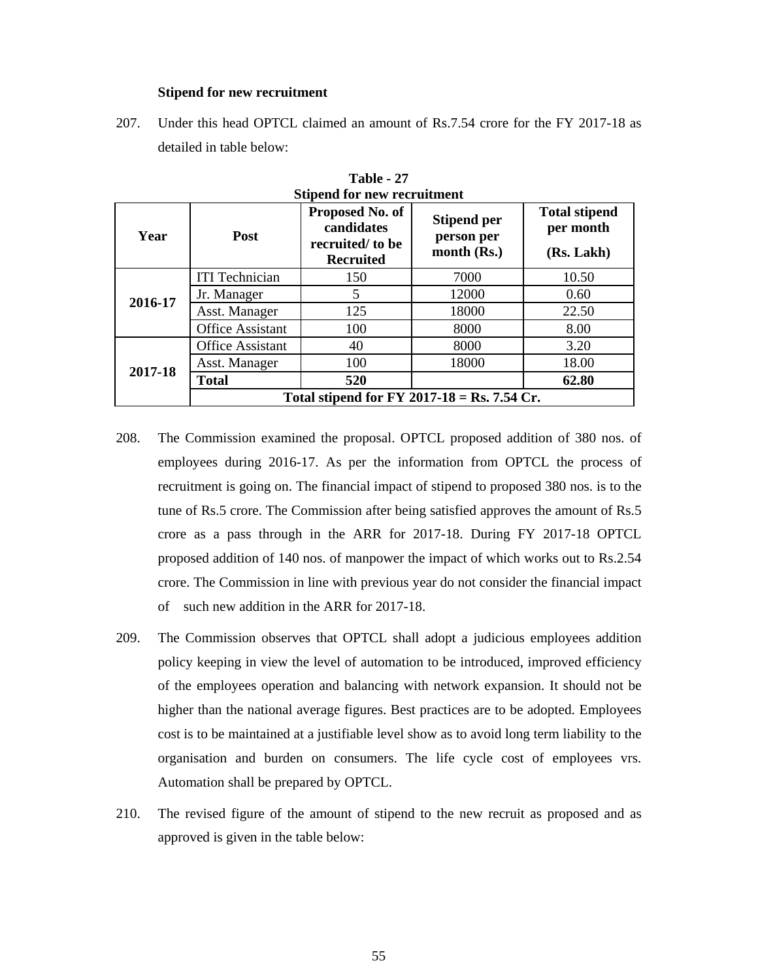### **Stipend for new recruitment**

207. Under this head OPTCL claimed an amount of Rs.7.54 crore for the FY 2017-18 as detailed in table below:

| <b>Stipend for new recruitment</b> |                         |                                                                      |                                                   |                                                 |
|------------------------------------|-------------------------|----------------------------------------------------------------------|---------------------------------------------------|-------------------------------------------------|
| Year                               | Post                    | Proposed No. of<br>candidates<br>recruited/to be<br><b>Recruited</b> | <b>Stipend per</b><br>person per<br>month $(Rs.)$ | <b>Total stipend</b><br>per month<br>(Rs. Lakh) |
|                                    | <b>ITI</b> Technician   | 150                                                                  | 7000                                              | 10.50                                           |
| 2016-17                            | Jr. Manager             | 5                                                                    | 12000                                             | 0.60                                            |
|                                    | Asst. Manager           | 125                                                                  | 18000                                             | 22.50                                           |
|                                    | <b>Office Assistant</b> | 100                                                                  | 8000                                              | 8.00                                            |
|                                    | <b>Office Assistant</b> | 40                                                                   | 8000                                              | 3.20                                            |
| 2017-18                            | Asst. Manager           | 100                                                                  | 18000                                             | 18.00                                           |
|                                    | <b>Total</b>            | 520                                                                  |                                                   | 62.80                                           |
|                                    |                         | Total stipend for FY 2017-18 = Rs. 7.54 Cr.                          |                                                   |                                                 |

**Table - 27**

- 208. The Commission examined the proposal. OPTCL proposed addition of 380 nos. of employees during 2016-17. As per the information from OPTCL the process of recruitment is going on. The financial impact of stipend to proposed 380 nos. is to the tune of Rs.5 crore. The Commission after being satisfied approves the amount of Rs.5 crore as a pass through in the ARR for 2017-18. During FY 2017-18 OPTCL proposed addition of 140 nos. of manpower the impact of which works out to Rs.2.54 crore. The Commission in line with previous year do not consider the financial impact of such new addition in the ARR for 2017-18.
- 209. The Commission observes that OPTCL shall adopt a judicious employees addition policy keeping in view the level of automation to be introduced, improved efficiency of the employees operation and balancing with network expansion. It should not be higher than the national average figures. Best practices are to be adopted. Employees cost is to be maintained at a justifiable level show as to avoid long term liability to the organisation and burden on consumers. The life cycle cost of employees vrs. Automation shall be prepared by OPTCL.
- 210. The revised figure of the amount of stipend to the new recruit as proposed and as approved is given in the table below: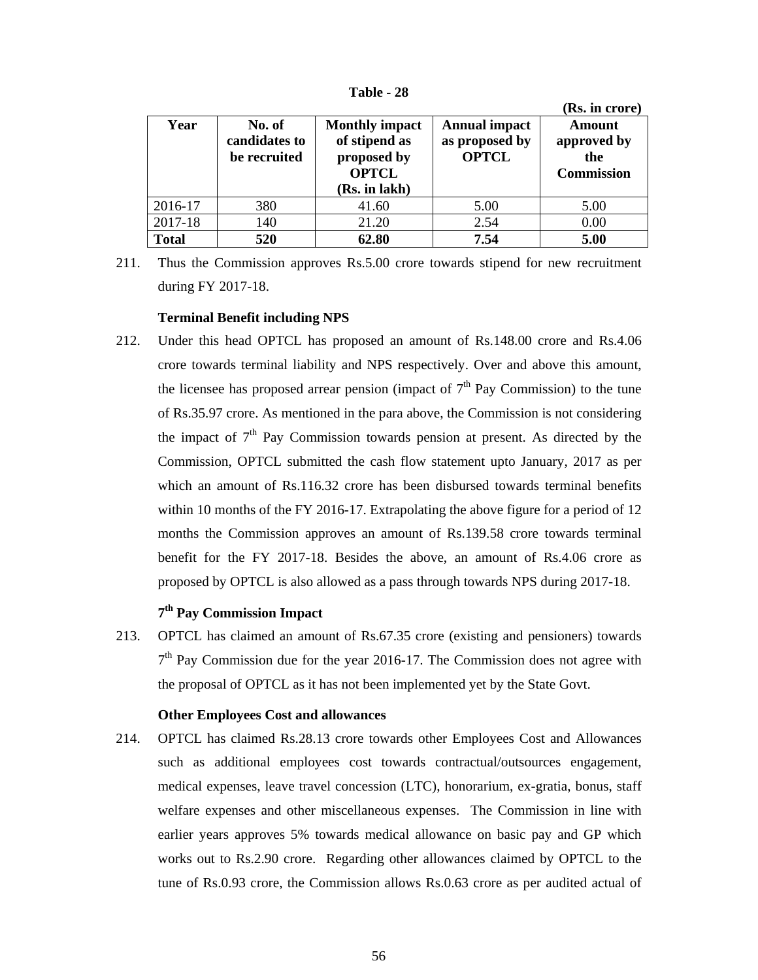|              |                                         |                                                                                        |                                                        | (Rs. in crore)                                           |
|--------------|-----------------------------------------|----------------------------------------------------------------------------------------|--------------------------------------------------------|----------------------------------------------------------|
| Year         | No. of<br>candidates to<br>be recruited | <b>Monthly impact</b><br>of stipend as<br>proposed by<br><b>OPTCL</b><br>(Rs. in lakh) | <b>Annual impact</b><br>as proposed by<br><b>OPTCL</b> | <b>Amount</b><br>approved by<br>the<br><b>Commission</b> |
| 2016-17      | 380                                     | 41.60                                                                                  | 5.00                                                   | 5.00                                                     |
| 2017-18      | 140                                     | 21.20                                                                                  | 2.54                                                   | 0.00                                                     |
| <b>Total</b> | 520                                     | 62.80                                                                                  | 7.54                                                   | 5.00                                                     |

**Table - 28**

211. Thus the Commission approves Rs.5.00 crore towards stipend for new recruitment during FY 2017-18.

# **Terminal Benefit including NPS**

212. Under this head OPTCL has proposed an amount of Rs.148.00 crore and Rs.4.06 crore towards terminal liability and NPS respectively. Over and above this amount, the licensee has proposed arrear pension (impact of  $7<sup>th</sup>$  Pay Commission) to the tune of Rs.35.97 crore. As mentioned in the para above, the Commission is not considering the impact of  $7<sup>th</sup>$  Pay Commission towards pension at present. As directed by the Commission, OPTCL submitted the cash flow statement upto January, 2017 as per which an amount of Rs.116.32 crore has been disbursed towards terminal benefits within 10 months of the FY 2016-17. Extrapolating the above figure for a period of 12 months the Commission approves an amount of Rs.139.58 crore towards terminal benefit for the FY 2017-18. Besides the above, an amount of Rs.4.06 crore as proposed by OPTCL is also allowed as a pass through towards NPS during 2017-18.

# **7th Pay Commission Impact**

213. OPTCL has claimed an amount of Rs.67.35 crore (existing and pensioners) towards  $7<sup>th</sup>$  Pay Commission due for the year 2016-17. The Commission does not agree with the proposal of OPTCL as it has not been implemented yet by the State Govt.

# **Other Employees Cost and allowances**

214. OPTCL has claimed Rs.28.13 crore towards other Employees Cost and Allowances such as additional employees cost towards contractual/outsources engagement, medical expenses, leave travel concession (LTC), honorarium, ex-gratia, bonus, staff welfare expenses and other miscellaneous expenses. The Commission in line with earlier years approves 5% towards medical allowance on basic pay and GP which works out to Rs.2.90 crore. Regarding other allowances claimed by OPTCL to the tune of Rs.0.93 crore, the Commission allows Rs.0.63 crore as per audited actual of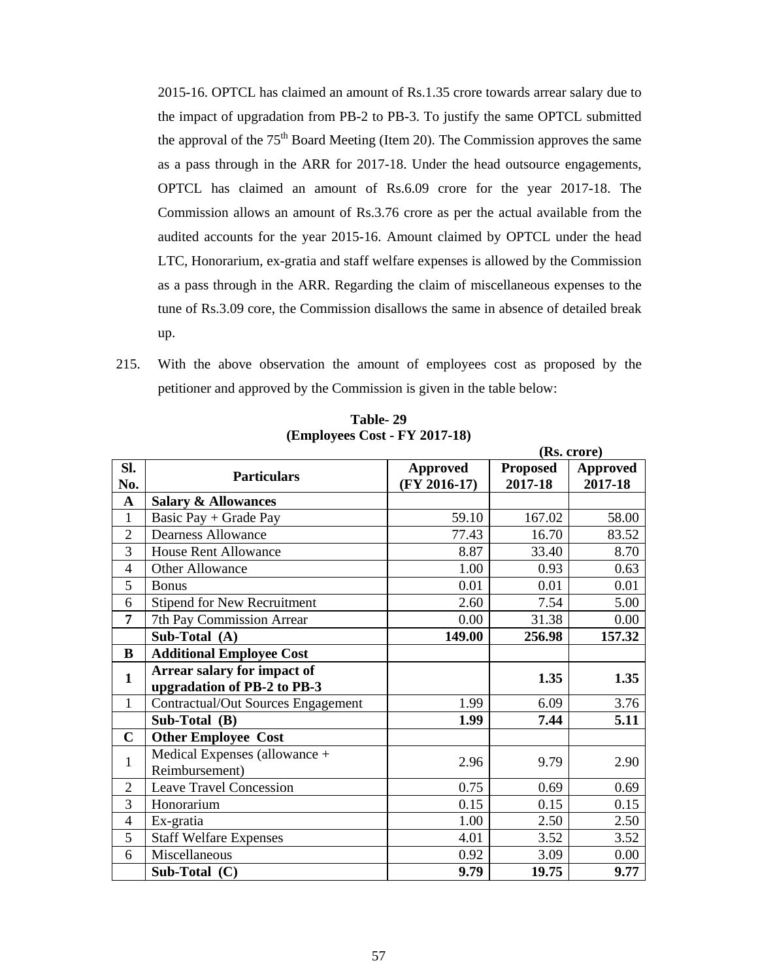2015-16. OPTCL has claimed an amount of Rs.1.35 crore towards arrear salary due to the impact of upgradation from PB-2 to PB-3. To justify the same OPTCL submitted the approval of the  $75<sup>th</sup>$  Board Meeting (Item 20). The Commission approves the same as a pass through in the ARR for 2017-18. Under the head outsource engagements, OPTCL has claimed an amount of Rs.6.09 crore for the year 2017-18. The Commission allows an amount of Rs.3.76 crore as per the actual available from the audited accounts for the year 2015-16. Amount claimed by OPTCL under the head LTC, Honorarium, ex-gratia and staff welfare expenses is allowed by the Commission as a pass through in the ARR. Regarding the claim of miscellaneous expenses to the tune of Rs.3.09 core, the Commission disallows the same in absence of detailed break up.

215. With the above observation the amount of employees cost as proposed by the petitioner and approved by the Commission is given in the table below:

|                |                                           |                 |                 | (Rs. crore)     |
|----------------|-------------------------------------------|-----------------|-----------------|-----------------|
| SI.            | <b>Particulars</b>                        | <b>Approved</b> | <b>Proposed</b> | <b>Approved</b> |
| No.            |                                           | $(FY 2016-17)$  | 2017-18         | 2017-18         |
| $\mathbf{A}$   | <b>Salary &amp; Allowances</b>            |                 |                 |                 |
| $\mathbf{1}$   | Basic Pay + Grade Pay                     | 59.10           | 167.02          | 58.00           |
| $\mathbf{2}$   | <b>Dearness Allowance</b>                 | 77.43           | 16.70           | 83.52           |
| 3              | <b>House Rent Allowance</b>               | 8.87            | 33.40           | 8.70            |
| $\overline{4}$ | Other Allowance                           | 1.00            | 0.93            | 0.63            |
| 5              | <b>Bonus</b>                              | 0.01            | 0.01            | 0.01            |
| 6              | <b>Stipend for New Recruitment</b>        | 2.60            | 7.54            | 5.00            |
| $\overline{7}$ | 7th Pay Commission Arrear                 | 0.00            | 31.38           | 0.00            |
|                | Sub-Total (A)                             | 149.00          | 256.98          | 157.32          |
| $\bf{B}$       | <b>Additional Employee Cost</b>           |                 |                 |                 |
| $\mathbf{1}$   | Arrear salary for impact of               |                 | 1.35            | 1.35            |
|                | upgradation of PB-2 to PB-3               |                 |                 |                 |
| $\mathbf{1}$   | <b>Contractual/Out Sources Engagement</b> | 1.99            | 6.09            | 3.76            |
|                | Sub-Total (B)                             | 1.99            | 7.44            | 5.11            |
| $\mathbf C$    | <b>Other Employee Cost</b>                |                 |                 |                 |
| 1              | Medical Expenses (allowance +             | 2.96            | 9.79            | 2.90            |
|                | Reimbursement)                            |                 |                 |                 |
| $\overline{2}$ | <b>Leave Travel Concession</b>            | 0.75            | 0.69            | 0.69            |
| 3              | Honorarium                                | 0.15            | 0.15            | 0.15            |
| $\overline{4}$ | Ex-gratia                                 | 1.00            | 2.50            | 2.50            |
| 5              | <b>Staff Welfare Expenses</b>             | 4.01            | 3.52            | 3.52            |
| 6              | Miscellaneous                             | 0.92            | 3.09            | 0.00            |
|                | Sub-Total (C)                             | 9.79            | 19.75           | 9.77            |

**Table- 29 (Employees Cost - FY 2017-18)**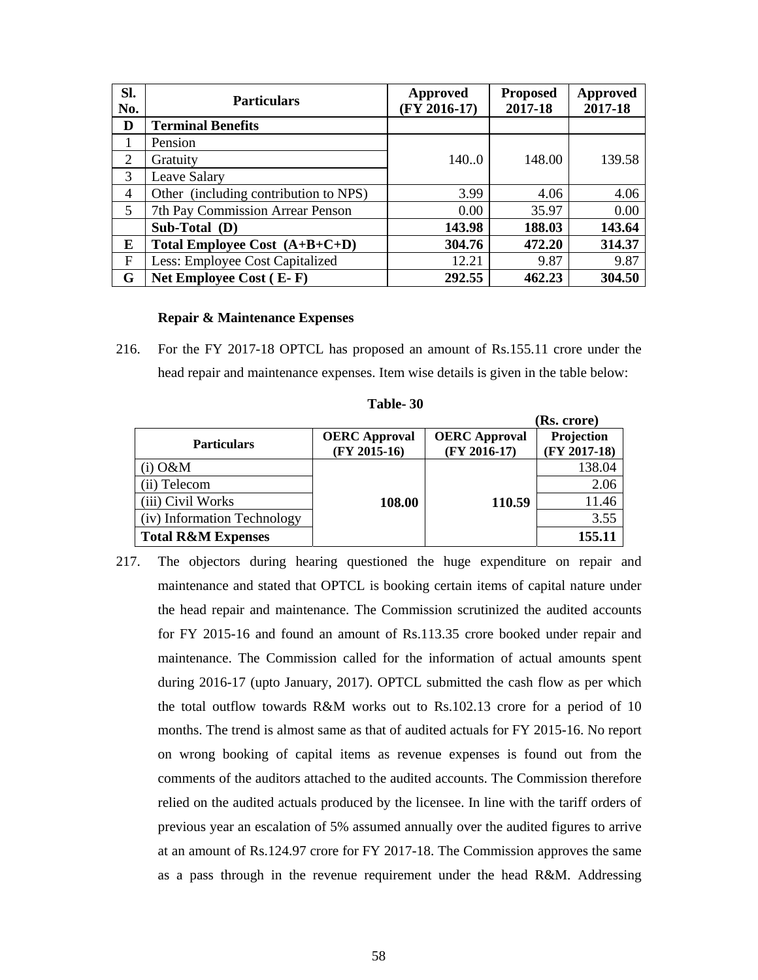| SI.<br>No.     | <b>Particulars</b>                    | Approved<br>$(FY 2016-17)$ | <b>Proposed</b><br>2017-18 | Approved<br>2017-18 |
|----------------|---------------------------------------|----------------------------|----------------------------|---------------------|
| D              | <b>Terminal Benefits</b>              |                            |                            |                     |
| 1              | Pension                               |                            |                            |                     |
| $\overline{2}$ | Gratuity                              | 140.0                      | 148.00                     | 139.58              |
| 3              | Leave Salary                          |                            |                            |                     |
| 4              | Other (including contribution to NPS) | 3.99                       | 4.06                       | 4.06                |
| 5              | 7th Pay Commission Arrear Penson      | 0.00                       | 35.97                      | 0.00                |
|                | Sub-Total (D)                         | 143.98                     | 188.03                     | 143.64              |
| E              | Total Employee Cost $(A+B+C+D)$       | 304.76                     | 472.20                     | 314.37              |
| $\mathbf{F}$   | Less: Employee Cost Capitalized       | 12.21                      | 9.87                       | 9.87                |
| G              | Net Employee Cost (E-F)               | 292.55                     | 462.23                     | 304.50              |

### **Repair & Maintenance Expenses**

216. For the FY 2017-18 OPTCL has proposed an amount of Rs.155.11 crore under the head repair and maintenance expenses. Item wise details is given in the table below:

|                               |                                        |                                        | (Rs. crore)                  |
|-------------------------------|----------------------------------------|----------------------------------------|------------------------------|
| <b>Particulars</b>            | <b>OERC</b> Approval<br>$(FY 2015-16)$ | <b>OERC</b> Approval<br>$(FY 2016-17)$ | Projection<br>$(FY 2017-18)$ |
| $(i)$ O&M                     |                                        |                                        | 138.04                       |
| (ii) Telecom                  |                                        |                                        | 2.06                         |
| (iii) Civil Works             | 108.00                                 | 110.59                                 | 11.46                        |
| (iv) Information Technology   |                                        |                                        | 3.55                         |
| <b>Total R&amp;M Expenses</b> |                                        |                                        | 155.11                       |

| Table-30 |  |
|----------|--|
|----------|--|

217. The objectors during hearing questioned the huge expenditure on repair and maintenance and stated that OPTCL is booking certain items of capital nature under the head repair and maintenance. The Commission scrutinized the audited accounts for FY 2015-16 and found an amount of Rs.113.35 crore booked under repair and maintenance. The Commission called for the information of actual amounts spent during 2016-17 (upto January, 2017). OPTCL submitted the cash flow as per which the total outflow towards R&M works out to Rs.102.13 crore for a period of 10 months. The trend is almost same as that of audited actuals for FY 2015-16. No report on wrong booking of capital items as revenue expenses is found out from the comments of the auditors attached to the audited accounts. The Commission therefore relied on the audited actuals produced by the licensee. In line with the tariff orders of previous year an escalation of 5% assumed annually over the audited figures to arrive at an amount of Rs.124.97 crore for FY 2017-18. The Commission approves the same as a pass through in the revenue requirement under the head R&M. Addressing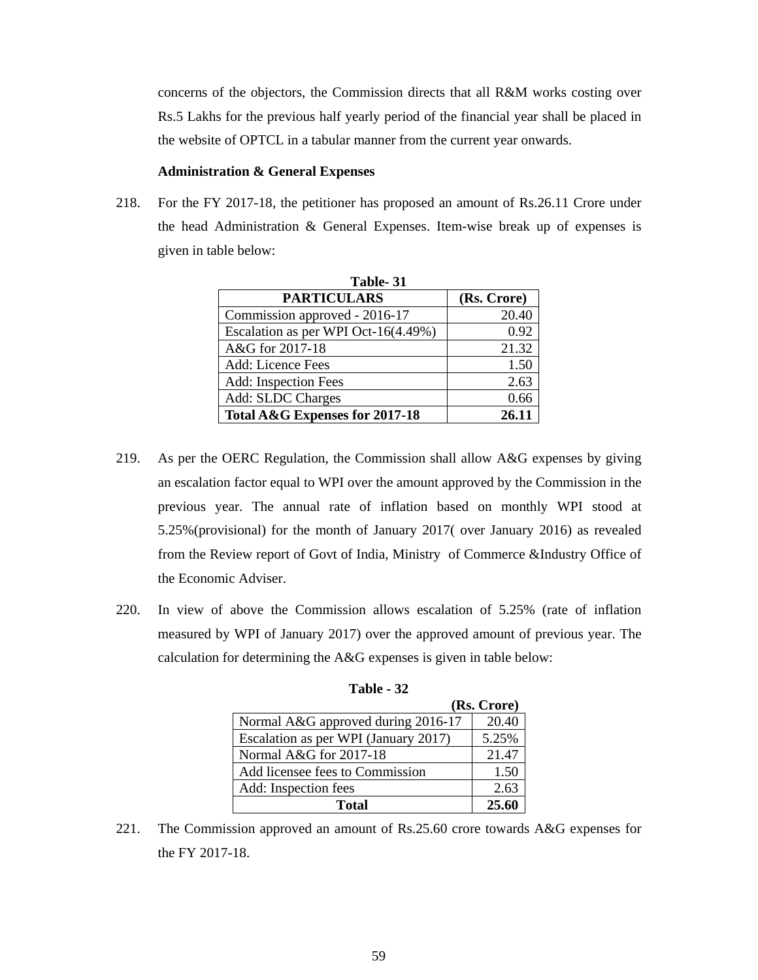concerns of the objectors, the Commission directs that all R&M works costing over Rs.5 Lakhs for the previous half yearly period of the financial year shall be placed in the website of OPTCL in a tabular manner from the current year onwards.

## **Administration & General Expenses**

218. For the FY 2017-18, the petitioner has proposed an amount of Rs.26.11 Crore under the head Administration & General Expenses. Item-wise break up of expenses is given in table below:

| Table- 31                           |             |
|-------------------------------------|-------------|
| <b>PARTICULARS</b>                  | (Rs. Crore) |
| Commission approved - 2016-17       | 20.40       |
| Escalation as per WPI Oct-16(4.49%) | 0.92        |
| A&G for 2017-18                     | 21.32       |
| Add: Licence Fees                   | 1.50        |
| Add: Inspection Fees                | 2.63        |
| Add: SLDC Charges                   | 0.66        |
| Total A&G Expenses for 2017-18      | 26.11       |

- 219. As per the OERC Regulation, the Commission shall allow A&G expenses by giving an escalation factor equal to WPI over the amount approved by the Commission in the previous year. The annual rate of inflation based on monthly WPI stood at 5.25%(provisional) for the month of January 2017( over January 2016) as revealed from the Review report of Govt of India, Ministry of Commerce &Industry Office of the Economic Adviser.
- 220. In view of above the Commission allows escalation of 5.25% (rate of inflation measured by WPI of January 2017) over the approved amount of previous year. The calculation for determining the A&G expenses is given in table below:

|                                      | (Rs. Crore) |
|--------------------------------------|-------------|
| Normal A&G approved during 2016-17   | 20.40       |
| Escalation as per WPI (January 2017) | 5.25%       |
| Normal A&G for 2017-18               | 21.47       |
| Add licensee fees to Commission      | 1.50        |
| Add: Inspection fees                 | 2.63        |
| <b>Total</b>                         | 25.60       |

| Table - 32 |  |
|------------|--|
|------------|--|

221. The Commission approved an amount of Rs.25.60 crore towards A&G expenses for the FY 2017-18.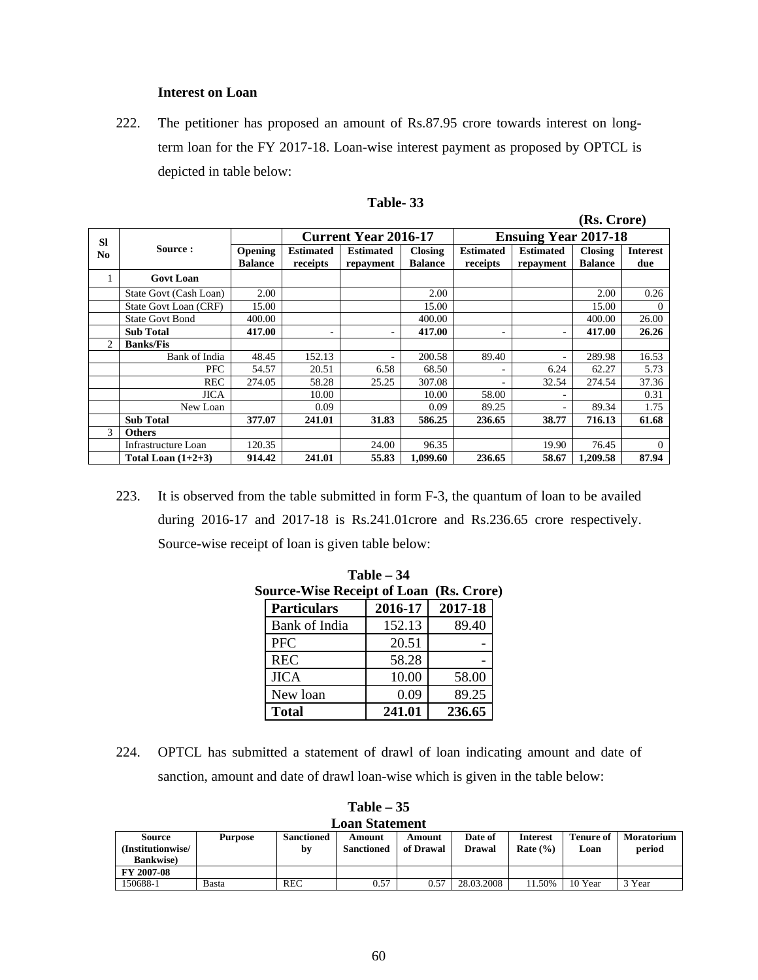# **Interest on Loan**

222. The petitioner has proposed an amount of Rs.87.95 crore towards interest on longterm loan for the FY 2017-18. Loan-wise interest payment as proposed by OPTCL is depicted in table below:

|                |                        |                           |                              |                               |                                  |                              |                               | (Rs. Crore)                      |                        |  |
|----------------|------------------------|---------------------------|------------------------------|-------------------------------|----------------------------------|------------------------------|-------------------------------|----------------------------------|------------------------|--|
| <b>SI</b>      |                        |                           |                              | <b>Current Year 2016-17</b>   |                                  | <b>Ensuing Year 2017-18</b>  |                               |                                  |                        |  |
| N <sub>0</sub> | Source:                | Opening<br><b>Balance</b> | <b>Estimated</b><br>receipts | <b>Estimated</b><br>repayment | <b>Closing</b><br><b>Balance</b> | <b>Estimated</b><br>receipts | <b>Estimated</b><br>repayment | <b>Closing</b><br><b>Balance</b> | <b>Interest</b><br>due |  |
| 1              | <b>Govt Loan</b>       |                           |                              |                               |                                  |                              |                               |                                  |                        |  |
|                | State Govt (Cash Loan) | 2.00                      |                              |                               | 2.00                             |                              |                               | 2.00                             | 0.26                   |  |
|                | State Govt Loan (CRF)  | 15.00                     |                              |                               | 15.00                            |                              |                               | 15.00                            | $\Omega$               |  |
|                | <b>State Govt Bond</b> | 400.00                    |                              |                               | 400.00                           |                              |                               | 400.00                           | 26.00                  |  |
|                | <b>Sub Total</b>       | 417.00                    |                              | ۰                             | 417.00                           |                              |                               | 417.00                           | 26.26                  |  |
| $\overline{c}$ | <b>Banks/Fis</b>       |                           |                              |                               |                                  |                              |                               |                                  |                        |  |
|                | Bank of India          | 48.45                     | 152.13                       |                               | 200.58                           | 89.40                        |                               | 289.98                           | 16.53                  |  |
|                | PFC                    | 54.57                     | 20.51                        | 6.58                          | 68.50                            |                              | 6.24                          | 62.27                            | 5.73                   |  |
|                | <b>REC</b>             | 274.05                    | 58.28                        | 25.25                         | 307.08                           |                              | 32.54                         | 274.54                           | 37.36                  |  |
|                | <b>JICA</b>            |                           | 10.00                        |                               | 10.00                            | 58.00                        |                               |                                  | 0.31                   |  |
|                | New Loan               |                           | 0.09                         |                               | 0.09                             | 89.25                        |                               | 89.34                            | 1.75                   |  |
|                | <b>Sub Total</b>       | 377.07                    | 241.01                       | 31.83                         | 586.25                           | 236.65                       | 38.77                         | 716.13                           | 61.68                  |  |
| 3              | <b>Others</b>          |                           |                              |                               |                                  |                              |                               |                                  |                        |  |
|                | Infrastructure Loan    | 120.35                    |                              | 24.00                         | 96.35                            |                              | 19.90                         | 76.45                            | $\Omega$               |  |
|                | Total Loan $(1+2+3)$   | 914.42                    | 241.01                       | 55.83                         | 1.099.60                         | 236.65                       | 58.67                         | 1.209.58                         | 87.94                  |  |

| able |  |
|------|--|
|------|--|

223. It is observed from the table submitted in form F-3, the quantum of loan to be availed during 2016-17 and 2017-18 is Rs.241.01crore and Rs.236.65 crore respectively. Source-wise receipt of loan is given table below:

**Table – 34** 

| $\mathbf{r}$ and $\mathbf{r}$ . $\mathbf{r}$   |                    |         |         |  |  |  |  |  |  |  |
|------------------------------------------------|--------------------|---------|---------|--|--|--|--|--|--|--|
| <b>Source-Wise Receipt of Loan (Rs. Crore)</b> |                    |         |         |  |  |  |  |  |  |  |
|                                                | <b>Particulars</b> | 2016-17 | 2017-18 |  |  |  |  |  |  |  |
|                                                | Bank of India      | 152.13  | 89.40   |  |  |  |  |  |  |  |
|                                                | <b>PFC</b>         | 20.51   |         |  |  |  |  |  |  |  |
|                                                | <b>REC</b>         | 58.28   |         |  |  |  |  |  |  |  |
|                                                | <b>JICA</b>        | 10.00   | 58.00   |  |  |  |  |  |  |  |
|                                                | New loan           | 0.09    | 89.25   |  |  |  |  |  |  |  |
|                                                | <b>Total</b>       | 241.01  | 236.65  |  |  |  |  |  |  |  |

224. OPTCL has submitted a statement of drawl of loan indicating amount and date of sanction, amount and date of drawl loan-wise which is given in the table below:

| <b>Loan Statement</b>                            |         |                  |                             |                     |                          |                                 |                          |                             |  |
|--------------------------------------------------|---------|------------------|-----------------------------|---------------------|--------------------------|---------------------------------|--------------------------|-----------------------------|--|
| Source<br>(Institutionwise/<br><b>Bankwise</b> ) | Purpose | Sanctioned<br>by | Amount<br><b>Sanctioned</b> | Amount<br>of Drawal | Date of<br><b>Drawal</b> | <b>Interest</b><br>Rate $(\% )$ | <b>Tenure of</b><br>Loan | <b>Moratorium</b><br>period |  |
| FY 2007-08                                       |         |                  |                             |                     |                          |                                 |                          |                             |  |
| 150688-1                                         | Basta   | <b>REC</b>       | 0.57                        | 0.57                | 28.03.2008               | 11.50%                          | 10 Year                  | 3 Year                      |  |

| $Table - 35$         |  |
|----------------------|--|
| <b>Loan Statemen</b> |  |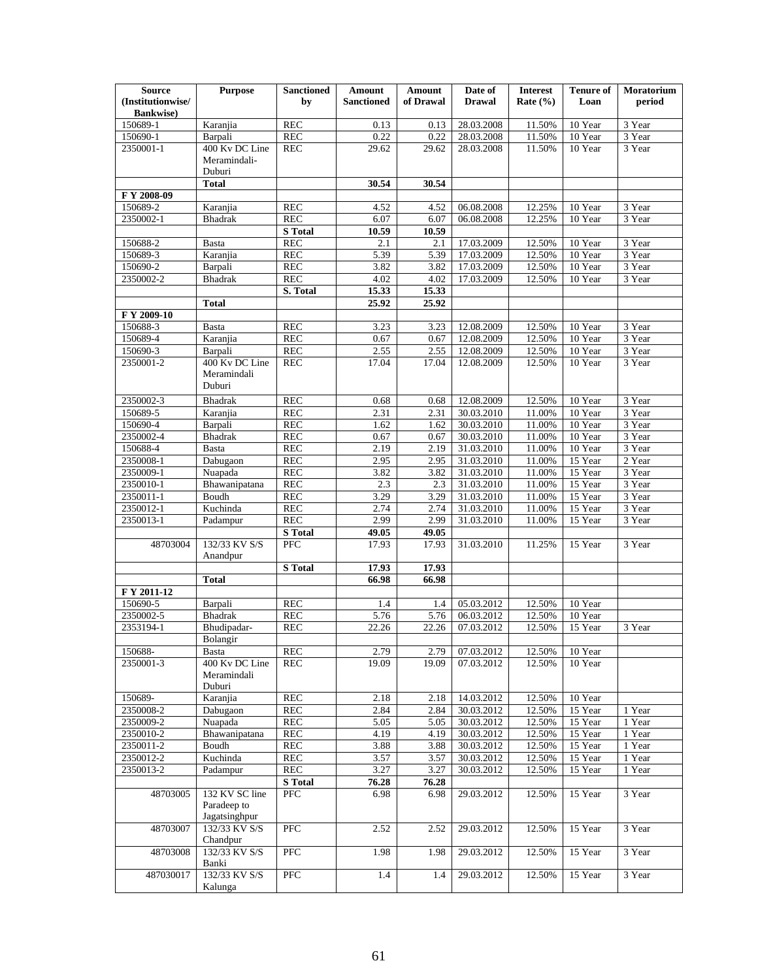| <b>Source</b>                          | <b>Purpose</b>               | <b>Sanctioned</b>                  | Amount            | <b>Amount</b>  | Date of                  | <b>Interest</b>  | <b>Tenure of</b>   | <b>Moratorium</b> |
|----------------------------------------|------------------------------|------------------------------------|-------------------|----------------|--------------------------|------------------|--------------------|-------------------|
| (Institutionwise/<br><b>Bankwise</b> ) |                              | by                                 | <b>Sanctioned</b> | of Drawal      | <b>Drawal</b>            | Rate $(\% )$     | Loan               | period            |
| 150689-1                               | Karanjia                     | <b>REC</b>                         | 0.13              | 0.13           | 28.03.2008               | 11.50%           | 10 Year            | 3 Year            |
| 150690-1                               | Barpali                      | <b>REC</b>                         | 0.22              | 0.22           | 28.03.2008               | 11.50%           | 10 Year            | 3 Year            |
| 2350001-1                              | 400 Kv DC Line               | <b>REC</b>                         | 29.62             | 29.62          | 28.03.2008               | 11.50%           | 10 Year            | 3 Year            |
|                                        | Meramindali-                 |                                    |                   |                |                          |                  |                    |                   |
|                                        | Duburi                       |                                    |                   |                |                          |                  |                    |                   |
|                                        | <b>Total</b>                 |                                    | 30.54             | 30.54          |                          |                  |                    |                   |
| FY 2008-09<br>150689-2                 | Karanjia                     | REC                                | 4.52              | 4.52           | 06.08.2008               | 12.25%           | 10 Year            | 3 Year            |
| 2350002-1                              | <b>Bhadrak</b>               | <b>REC</b>                         | 6.07              | 6.07           | 06.08.2008               | 12.25%           | 10 Year            | 3 Year            |
|                                        |                              | <b>S</b> Total                     | 10.59             | 10.59          |                          |                  |                    |                   |
| 150688-2                               | <b>Basta</b>                 | <b>REC</b>                         | 2.1               | 2.1            | 17.03.2009               | 12.50%           | 10 Year            | 3 Year            |
| 150689-3                               | Karanjia                     | <b>REC</b>                         | 5.39              | 5.39           | 17.03.2009               | 12.50%           | 10 Year            | 3 Year            |
| 150690-2                               | Barpali                      | <b>REC</b>                         | 3.82              | 3.82           | 17.03.2009               | 12.50%           | 10 Year            | 3 Year            |
| 2350002-2                              | <b>Bhadrak</b>               | <b>REC</b>                         | 4.02              | 4.02           | 17.03.2009               | 12.50%           | 10 Year            | 3 Year            |
|                                        | <b>Total</b>                 | S. Total                           | 15.33<br>25.92    | 15.33<br>25.92 |                          |                  |                    |                   |
| F Y 2009-10                            |                              |                                    |                   |                |                          |                  |                    |                   |
| 150688-3                               | <b>Basta</b>                 | <b>REC</b>                         | 3.23              | 3.23           | 12.08.2009               | 12.50%           | 10 Year            | 3 Year            |
| 150689-4                               | Karanjia                     | REC                                | 0.67              | 0.67           | 12.08.2009               | 12.50%           | 10 Year            | 3 Year            |
| 150690-3                               | Barpali                      | <b>REC</b>                         | 2.55              | 2.55           | 12.08.2009               | 12.50%           | 10 Year            | 3 Year            |
| 2350001-2                              | 400 Kv DC Line               | <b>REC</b>                         | 17.04             | 17.04          | 12.08.2009               | 12.50%           | 10 Year            | 3 Year            |
|                                        | Meramindali<br>Duburi        |                                    |                   |                |                          |                  |                    |                   |
| 2350002-3                              | <b>Bhadrak</b>               | <b>REC</b>                         | 0.68              | 0.68           | 12.08.2009               | 12.50%           | 10 Year            | 3 Year            |
| 150689-5                               | Karanjia                     | <b>REC</b>                         | 2.31              | 2.31           | 30.03.2010               | 11.00%           | 10 Year            | 3 Year            |
| 150690-4                               | Barpali                      | <b>REC</b>                         | 1.62              | 1.62           | 30.03.2010               | 11.00%           | 10 Year            | 3 Year            |
| 2350002-4                              | Bhadrak                      | REC                                | 0.67              | 0.67           | 30.03.2010               | 11.00%           | 10 Year            | 3 Year            |
| 150688-4                               | <b>Basta</b>                 | <b>REC</b>                         | 2.19              | 2.19           | 31.03.2010               | 11.00%           | 10 Year            | 3 Year            |
| 2350008-1<br>2350009-1                 | Dabugaon                     | REC<br>REC                         | 2.95              | 2.95<br>3.82   | 31.03.2010               | 11.00%<br>11.00% | 15 Year<br>15 Year | 2 Year<br>3 Year  |
| 2350010-1                              | Nuapada<br>Bhawanipatana     | REC                                | 3.82<br>2.3       | 2.3            | 31.03.2010<br>31.03.2010 | 11.00%           | 15 Year            | 3 Year            |
| 2350011-1                              | Boudh                        | <b>REC</b>                         | 3.29              | 3.29           | 31.03.2010               | 11.00%           | 15 Year            | 3 Year            |
| 2350012-1                              | Kuchinda                     | <b>REC</b>                         | 2.74              | 2.74           | 31.03.2010               | 11.00%           | 15 Year            | 3 Year            |
| 2350013-1                              | Padampur                     | <b>REC</b>                         | 2.99              | 2.99           | 31.03.2010               | 11.00%           | 15 Year            | 3 Year            |
|                                        |                              | <b>S</b> Total                     | 49.05             | 49.05          |                          |                  |                    |                   |
| 48703004                               | 132/33 KV S/S<br>Anandpur    | PFC                                | 17.93             | 17.93          | 31.03.2010               | 11.25%           | 15 Year            | 3 Year            |
|                                        |                              | <b>S</b> Total                     | 17.93             | 17.93          |                          |                  |                    |                   |
|                                        | <b>Total</b>                 |                                    | 66.98             | 66.98          |                          |                  |                    |                   |
| F Y 2011-12<br>150690-5                |                              | <b>REC</b>                         |                   |                | 05.03.2012               | 12.50%           | 10 Year            |                   |
| 2350002-5                              | Barpali<br><b>Bhadrak</b>    | <b>REC</b>                         | 1.4<br>5.76       | 1.4<br>5.76    | 06.03.2012               | 12.50%           | 10 Year            |                   |
| 2353194-1                              | Bhudipadar-                  | <b>REC</b>                         | 22.26             | 22.26          | 07.03.2012               | 12.50%           | 15 Year            | 3 Year            |
|                                        | Bolangir                     |                                    |                   |                |                          |                  |                    |                   |
| 150688-                                | Basta                        | <b>REC</b>                         | 2.79              | 2.79           | 07.03.2012               | 12.50%           | 10 Year            |                   |
| 2350001-3                              | 400 Kv DC Line               | <b>REC</b>                         | 19.09             | 19.09          | 07.03.2012               | 12.50%           | 10 Year            |                   |
|                                        | Meramindali<br>Duburi        |                                    |                   |                |                          |                  |                    |                   |
| 150689-                                | Karanjia                     | <b>REC</b>                         | 2.18              | 2.18           | 14.03.2012               | 12.50%           | 10 Year            |                   |
| 2350008-2                              | Dabugaon                     | <b>REC</b>                         | 2.84              | 2.84           | 30.03.2012               | 12.50%           | 15 Year            | 1 Year            |
| 2350009-2<br>2350010-2                 | Nuapada<br>Bhawanipatana     | $\operatorname{REC}$<br><b>REC</b> | 5.05<br>4.19      | 5.05<br>4.19   | 30.03.2012<br>30.03.2012 | 12.50%<br>12.50% | 15 Year<br>15 Year | 1 Year<br>1 Year  |
| 2350011-2                              | Boudh                        | $\operatorname{REC}$               | 3.88              | 3.88           | 30.03.2012               | 12.50%           | 15 Year            | 1 Year            |
| 2350012-2                              | Kuchinda                     | <b>REC</b>                         | 3.57              | 3.57           | 30.03.2012               | 12.50%           | 15 Year            | 1 Year            |
| 2350013-2                              | Padampur                     | <b>REC</b>                         | 3.27              | 3.27           | 30.03.2012               | 12.50%           | 15 Year            | 1 Year            |
|                                        |                              | <b>S</b> Total                     | 76.28             | 76.28          |                          |                  |                    |                   |
| 48703005                               | 132 KV SC line               | PFC                                | 6.98              | 6.98           | 29.03.2012               | 12.50%           | 15 Year            | 3 Year            |
|                                        | Paradeep to<br>Jagatsinghpur |                                    |                   |                |                          |                  |                    |                   |
| 48703007                               | 132/33 KV S/S<br>Chandpur    | PFC                                | 2.52              | 2.52           | 29.03.2012               | 12.50%           | 15 Year            | 3 Year            |
| 48703008                               | 132/33 KV S/S<br>Banki       | <b>PFC</b>                         | 1.98              | 1.98           | 29.03.2012               | 12.50%           | 15 Year            | 3 Year            |
| 487030017                              | 132/33 KV S/S<br>Kalunga     | PFC                                | 1.4               | 1.4            | 29.03.2012               | 12.50%           | 15 Year            | 3 Year            |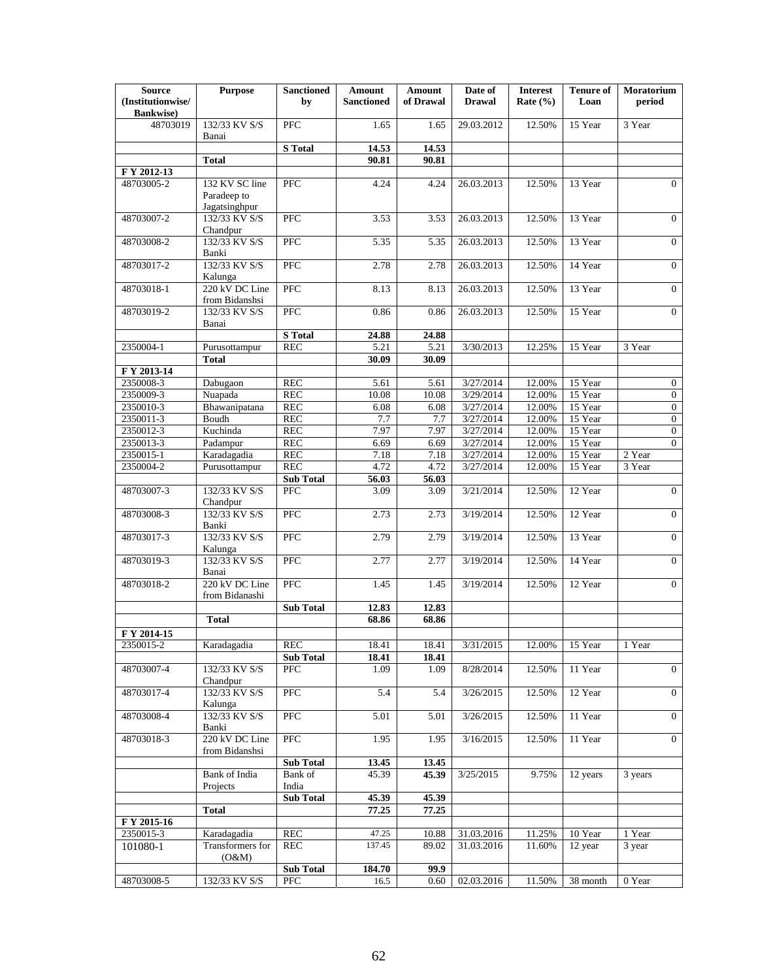| <b>Source</b><br>(Institutionwise/<br><b>Bankwise</b> ) | <b>Purpose</b>                                 | <b>Sanctioned</b><br>by | Amount<br><b>Sanctioned</b> | <b>Amount</b><br>of Drawal | Date of<br><b>Drawal</b> | <b>Interest</b><br>Rate $(\% )$ | <b>Tenure of</b><br>Loan | Moratorium<br>period |
|---------------------------------------------------------|------------------------------------------------|-------------------------|-----------------------------|----------------------------|--------------------------|---------------------------------|--------------------------|----------------------|
| 48703019                                                | 132/33 KV S/S<br>Banai                         | $\overline{PFC}$        | 1.65                        | 1.65                       | 29.03.2012               | 12.50%                          | 15 Year                  | 3 Year               |
|                                                         |                                                | <b>S</b> Total          | 14.53                       | 14.53                      |                          |                                 |                          |                      |
|                                                         | <b>Total</b>                                   |                         | 90.81                       | 90.81                      |                          |                                 |                          |                      |
| F Y 2012-13                                             |                                                |                         |                             |                            |                          |                                 |                          |                      |
| 48703005-2                                              | 132 KV SC line<br>Paradeep to<br>Jagatsinghpur | PFC                     | 4.24                        | 4.24                       | 26.03.2013               | 12.50%                          | 13 Year                  | $\overline{0}$       |
| 48703007-2                                              | 132/33 KV S/S<br>Chandpur                      | <b>PFC</b>              | 3.53                        | 3.53                       | 26.03.2013               | 12.50%                          | 13 Year                  | $\overline{0}$       |
| 48703008-2                                              | 132/33 KV S/S<br>Banki                         | PFC                     | 5.35                        | 5.35                       | 26.03.2013               | 12.50%                          | 13 Year                  | $\overline{0}$       |
| 48703017-2                                              | 132/33 KV S/S<br>Kalunga                       | PFC                     | 2.78                        | 2.78                       | 26.03.2013               | 12.50%                          | 14 Year                  | $\overline{0}$       |
| 48703018-1                                              | 220 kV DC Line<br>from Bidanshsi               | PFC                     | 8.13                        | 8.13                       | 26.03.2013               | 12.50%                          | 13 Year                  | $\overline{0}$       |
| 48703019-2                                              | 132/33 KV S/S<br>Banai                         | PFC                     | 0.86                        | 0.86                       | 26.03.2013               | 12.50%                          | 15 Year                  | $\mathbf{0}$         |
|                                                         |                                                | <b>S</b> Total          | 24.88                       | 24.88                      |                          |                                 |                          |                      |
| 2350004-1                                               | Purusottampur                                  | REC                     | 5.21                        | 5.21                       | 3/30/2013                | 12.25%                          | 15 Year                  | 3 Year               |
|                                                         | <b>Total</b>                                   |                         | 30.09                       | 30.09                      |                          |                                 |                          |                      |
| F Y 2013-14                                             |                                                |                         |                             |                            |                          |                                 |                          |                      |
| 2350008-3                                               | Dabugaon                                       | REC                     | 5.61                        | 5.61                       | 3/27/2014                | 12.00%                          | 15 Year                  | $\mathbf{0}$         |
| 2350009-3                                               | Nuapada                                        | <b>REC</b>              | 10.08                       | 10.08                      | 3/29/2014                | 12.00%                          | 15 Year                  | $\mathbf{0}$         |
| 2350010-3                                               | Bhawanipatana                                  | <b>REC</b>              | 6.08                        | 6.08                       | 3/27/2014                | 12.00%                          | 15 Year                  | $\overline{0}$       |
| 2350011-3                                               | Boudh                                          | <b>REC</b>              | 7.7                         | 7.7                        | 3/27/2014                | 12.00%                          | 15 Year                  | $\mathbf{0}$         |
| 2350012-3                                               | Kuchinda                                       | <b>REC</b>              | 7.97                        | 7.97                       | 3/27/2014                | 12.00%                          | 15 Year                  | $\overline{0}$       |
| 2350013-3                                               | Padampur                                       | <b>REC</b>              | 6.69                        | 6.69                       | 3/27/2014                | 12.00%                          | 15 Year                  | $\Omega$             |
| 2350015-1                                               | Karadagadia                                    | REC                     | 7.18                        | 7.18                       | 3/27/2014                | 12.00%                          | 15 Year                  | 2 Year               |
| 2350004-2                                               | Purusottampur                                  | <b>REC</b>              | 4.72                        | 4.72                       | 3/27/2014                | 12.00%                          | 15 Year                  | 3 Year               |
|                                                         |                                                | <b>Sub Total</b>        | 56.03                       | 56.03                      |                          |                                 |                          |                      |
| 48703007-3                                              | 132/33 KV S/S<br>Chandpur                      | <b>PFC</b>              | 3.09                        | 3.09                       | 3/21/2014                | 12.50%                          | 12 Year                  | $\overline{0}$       |
| 48703008-3                                              | 132/33 KV S/S<br>Banki                         | PFC                     | 2.73                        | 2.73                       | 3/19/2014                | 12.50%                          | 12 Year                  | $\mathbf{0}$         |
| 48703017-3                                              | 132/33 KV S/S<br>Kalunga                       | PFC                     | 2.79                        | 2.79                       | 3/19/2014                | 12.50%                          | 13 Year                  | $\overline{0}$       |
| 48703019-3                                              | 132/33 KV S/S<br>Banai                         | PFC                     | 2.77                        | 2.77                       | 3/19/2014                | 12.50%                          | 14 Year                  | $\overline{0}$       |
| 48703018-2                                              | 220 kV DC Line<br>from Bidanashi               | PFC                     | 1.45                        | 1.45                       | 3/19/2014                | 12.50%                          | 12 Year                  | $\overline{0}$       |
|                                                         |                                                | <b>Sub Total</b>        | 12.83                       | 12.83                      |                          |                                 |                          |                      |
|                                                         | <b>Total</b>                                   |                         | 68.86                       | 68.86                      |                          |                                 |                          |                      |
| F Y 2014-15                                             |                                                |                         |                             |                            |                          |                                 |                          |                      |
| 2350015-2                                               | Karadagadia                                    | REC                     | 18.41                       | 18.41                      | 3/31/2015                | 12.00%                          | 15 Year                  | 1 Year               |
| 48703007-4                                              | 132/33 KV S/S                                  | Sub Total<br><b>PFC</b> | 18.41<br>1.09               | 18.41<br>1.09              | 8/28/2014                | 12.50%                          | 11 Year                  | $\overline{0}$       |
| 48703017-4                                              | Chandpur<br>132/33 KV S/S                      | PFC                     | 5.4                         | 5.4                        | 3/26/2015                | 12.50%                          | 12 Year                  | $\mathbf{0}$         |
| 48703008-4                                              | Kalunga<br>132/33 KV S/S<br>Banki              | PFC                     | 5.01                        | 5.01                       | 3/26/2015                | 12.50%                          | 11 Year                  | $\mathbf{0}$         |
| 48703018-3                                              | 220 kV DC Line<br>from Bidanshsi               | <b>PFC</b>              | 1.95                        | 1.95                       | 3/16/2015                | 12.50%                          | 11 Year                  | $\overline{0}$       |
|                                                         |                                                | <b>Sub Total</b>        | 13.45                       | 13.45                      |                          |                                 |                          |                      |
|                                                         | <b>Bank</b> of India<br>Projects               | Bank of<br>India        | 45.39                       | 45.39                      | 3/25/2015                | 9.75%                           | 12 years                 | 3 years              |
|                                                         |                                                | <b>Sub Total</b>        | 45.39                       | 45.39                      |                          |                                 |                          |                      |
|                                                         | <b>Total</b>                                   |                         | 77.25                       | 77.25                      |                          |                                 |                          |                      |
| F Y 2015-16                                             |                                                |                         |                             |                            |                          |                                 |                          |                      |
| 2350015-3                                               | Karadagadia                                    | <b>REC</b>              | 47.25                       | 10.88                      | 31.03.2016               | 11.25%                          | 10 Year                  | 1 Year               |
| 101080-1                                                | Transformers for<br>(O&M)                      | $\operatorname{REC}$    | 137.45                      | 89.02                      | 31.03.2016               | 11.60%                          | 12 year                  | $\overline{3}$ year  |
|                                                         |                                                | <b>Sub Total</b>        | 184.70                      | 99.9                       |                          |                                 |                          |                      |
| 48703008-5                                              | 132/33 KV S/S                                  | PFC                     | 16.5                        | 0.60                       | 02.03.2016               | 11.50%                          | $38$ month               | $0\ \mathrm{Year}$   |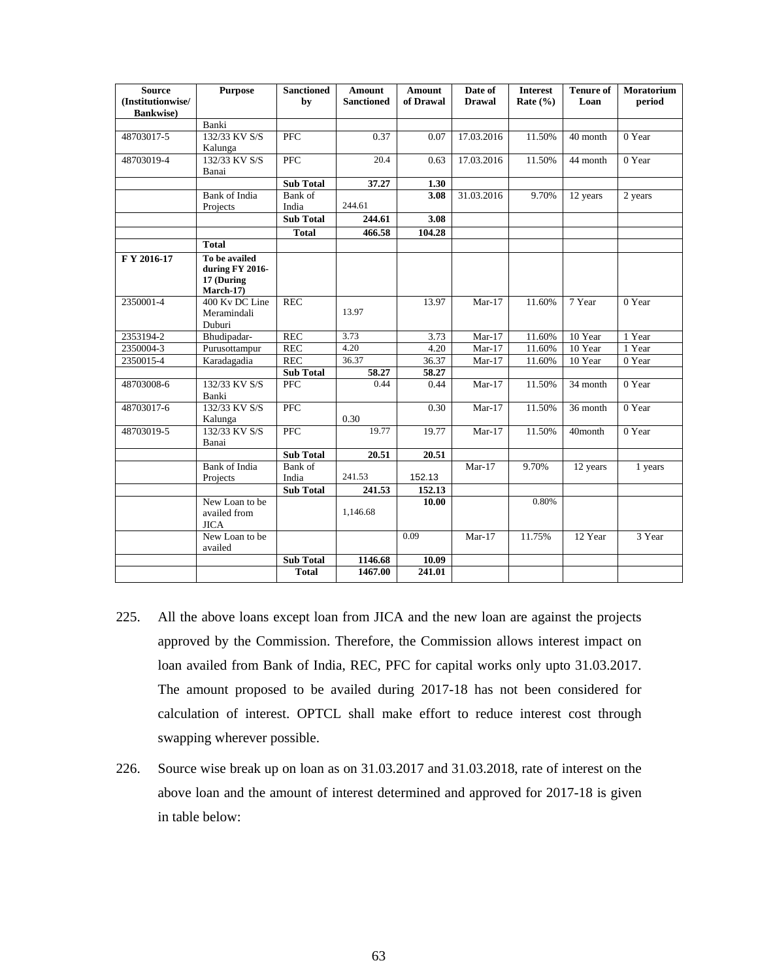| <b>Source</b><br>(Institutionwise/<br><b>Bankwise</b> ) | <b>Purpose</b>                                              | <b>Sanctioned</b><br>by | <b>Amount</b><br><b>Sanctioned</b> | <b>Amount</b><br>of Drawal | Date of<br><b>Drawal</b> | <b>Interest</b><br>Rate $(\% )$ | <b>Tenure of</b><br>Loan | <b>Moratorium</b><br>period |
|---------------------------------------------------------|-------------------------------------------------------------|-------------------------|------------------------------------|----------------------------|--------------------------|---------------------------------|--------------------------|-----------------------------|
|                                                         | Banki                                                       |                         |                                    |                            |                          |                                 |                          |                             |
| 48703017-5                                              | 132/33 KV S/S<br>Kalunga                                    | <b>PFC</b>              | 0.37                               | 0.07                       | 17.03.2016               | 11.50%                          | 40 month                 | 0 Year                      |
| 48703019-4                                              | 132/33 KV S/S<br>Banai                                      | PFC                     | 20.4                               | 0.63                       | 17.03.2016               | 11.50%                          | 44 month                 | 0 Year                      |
|                                                         |                                                             | <b>Sub Total</b>        | 37.27                              | 1.30                       |                          |                                 |                          |                             |
|                                                         | Bank of India                                               | Bank of                 |                                    | 3.08                       | 31.03.2016               | 9.70%                           | 12 years                 | 2 years                     |
|                                                         | Projects                                                    | India                   | 244.61                             |                            |                          |                                 |                          |                             |
|                                                         |                                                             | <b>Sub Total</b>        | 244.61                             | 3.08                       |                          |                                 |                          |                             |
|                                                         |                                                             | <b>Total</b>            | 466.58                             | 104.28                     |                          |                                 |                          |                             |
|                                                         | <b>Total</b>                                                |                         |                                    |                            |                          |                                 |                          |                             |
| F Y 2016-17                                             | To be availed<br>during FY 2016-<br>17 (During<br>March-17) |                         |                                    |                            |                          |                                 |                          |                             |
| 2350001-4                                               | 400 Kv DC Line<br>Meramindali<br>Duburi                     | <b>REC</b>              | 13.97                              | 13.97                      | $Mar-17$                 | 11.60%                          | 7 Year                   | 0 Year                      |
| 2353194-2                                               | Bhudipadar-                                                 | <b>REC</b>              | 3.73                               | 3.73                       | $Mar-17$                 | 11.60%                          | 10 Year                  | 1 Year                      |
| 2350004-3                                               | Purusottampur                                               | <b>REC</b>              | 4.20                               | 4.20                       | $Mar-17$                 | 11.60%                          | 10 Year                  | 1 Year                      |
| 2350015-4                                               | Karadagadia                                                 | <b>REC</b>              | 36.37                              | 36.37                      | $Mar-17$                 | 11.60%                          | 10 Year                  | 0 Year                      |
|                                                         |                                                             | <b>Sub Total</b>        | 58.27                              | 58.27                      |                          |                                 |                          |                             |
| 48703008-6                                              | 132/33 KV S/S<br>Banki                                      | <b>PFC</b>              | 0.44                               | 0.44                       | $Mar-17$                 | 11.50%                          | 34 month                 | 0 Year                      |
| 48703017-6                                              | 132/33 KV S/S<br>Kalunga                                    | PFC                     | 0.30                               | 0.30                       | $Mar-17$                 | 11.50%                          | 36 month                 | $0$ Year                    |
| 48703019-5                                              | 132/33 KV S/S<br>Banai                                      | <b>PFC</b>              | 19.77                              | 19.77                      | $Mar-17$                 | 11.50%                          | 40month                  | $0$ Year                    |
|                                                         |                                                             | <b>Sub Total</b>        | 20.51                              | 20.51                      |                          |                                 |                          |                             |
|                                                         | Bank of India<br>Projects                                   | Bank of<br>India        | 241.53                             | 152.13                     | $Mar-17$                 | 9.70%                           | 12 years                 | 1 years                     |
|                                                         |                                                             | <b>Sub Total</b>        | 241.53                             | 152.13                     |                          |                                 |                          |                             |
|                                                         | New Loan to be<br>availed from<br><b>JICA</b>               |                         | 1,146.68                           | 10.00                      |                          | 0.80%                           |                          |                             |
|                                                         | New Loan to be<br>availed                                   |                         |                                    | 0.09                       | $Mar-17$                 | 11.75%                          | 12 Year                  | 3 Year                      |
|                                                         |                                                             | <b>Sub Total</b>        | 1146.68                            | 10.09                      |                          |                                 |                          |                             |
|                                                         |                                                             | <b>Total</b>            | 1467.00                            | 241.01                     |                          |                                 |                          |                             |

- 225. All the above loans except loan from JICA and the new loan are against the projects approved by the Commission. Therefore, the Commission allows interest impact on loan availed from Bank of India, REC, PFC for capital works only upto 31.03.2017. The amount proposed to be availed during 2017-18 has not been considered for calculation of interest. OPTCL shall make effort to reduce interest cost through swapping wherever possible.
- 226. Source wise break up on loan as on 31.03.2017 and 31.03.2018, rate of interest on the above loan and the amount of interest determined and approved for 2017-18 is given in table below: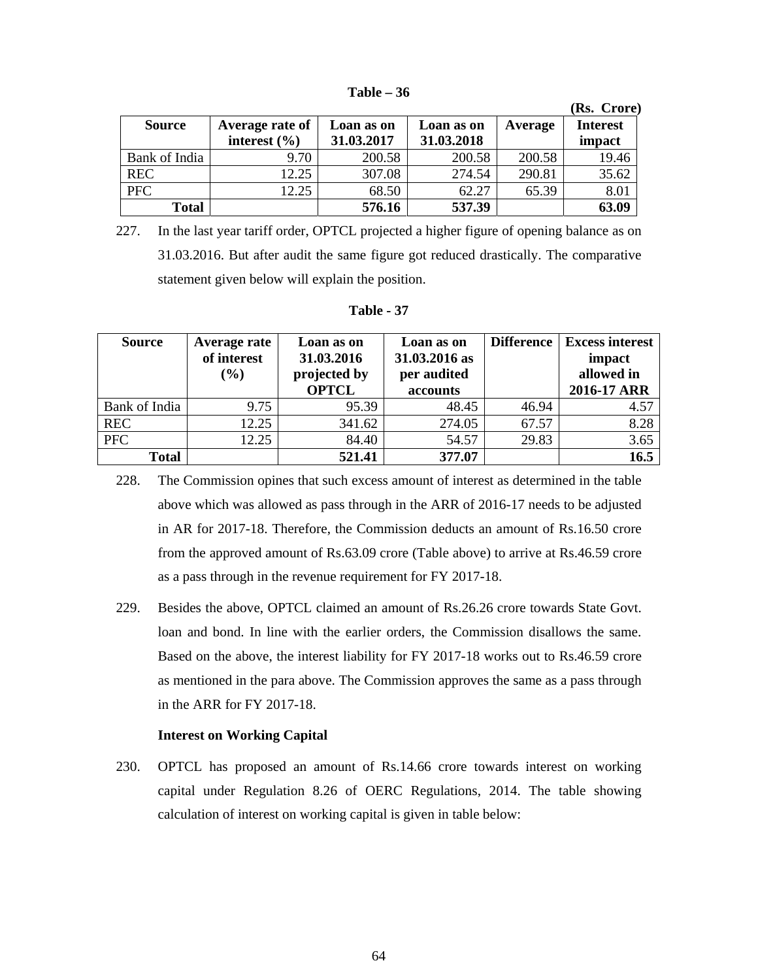|               |                  |            |            |         | (Rs. Crore)     |
|---------------|------------------|------------|------------|---------|-----------------|
| <b>Source</b> | Average rate of  | Loan as on | Loan as on | Average | <b>Interest</b> |
|               | interest $(\% )$ | 31.03.2017 | 31.03.2018 |         | impact          |
| Bank of India | 9.70             | 200.58     | 200.58     | 200.58  | 19.46           |
| <b>REC</b>    | 12.25            | 307.08     | 274.54     | 290.81  | 35.62           |
| <b>PFC</b>    | 12.25            | 68.50      | 62.27      | 65.39   | 8.01            |
| <b>Total</b>  |                  | 576.16     | 537.39     |         | 63.09           |

**Table – 36** 

227. In the last year tariff order, OPTCL projected a higher figure of opening balance as on 31.03.2016. But after audit the same figure got reduced drastically. The comparative statement given below will explain the position.

| anı |  |
|-----|--|
|-----|--|

| <b>Source</b> | Average rate<br>of interest<br>$\left( \frac{0}{0} \right)$ | Loan as on<br>31.03.2016<br>projected by<br><b>OPTCL</b> | Loan as on<br>31.03.2016 as<br>per audited<br>accounts | <b>Difference</b> | <b>Excess interest</b><br>impact<br>allowed in<br>2016-17 ARR |
|---------------|-------------------------------------------------------------|----------------------------------------------------------|--------------------------------------------------------|-------------------|---------------------------------------------------------------|
| Bank of India | 9.75                                                        | 95.39                                                    | 48.45                                                  | 46.94             | 4.57                                                          |
| <b>REC</b>    | 12.25                                                       | 341.62                                                   | 274.05                                                 | 67.57             | 8.28                                                          |
| <b>PFC</b>    | 12.25                                                       | 84.40                                                    | 54.57                                                  | 29.83             | 3.65                                                          |
| <b>Total</b>  |                                                             | 521.41                                                   | 377.07                                                 |                   | 16.5                                                          |

<sup>228.</sup> The Commission opines that such excess amount of interest as determined in the table above which was allowed as pass through in the ARR of 2016-17 needs to be adjusted in AR for 2017-18. Therefore, the Commission deducts an amount of Rs.16.50 crore from the approved amount of Rs.63.09 crore (Table above) to arrive at Rs.46.59 crore as a pass through in the revenue requirement for FY 2017-18.

229. Besides the above, OPTCL claimed an amount of Rs.26.26 crore towards State Govt. loan and bond. In line with the earlier orders, the Commission disallows the same. Based on the above, the interest liability for FY 2017-18 works out to Rs.46.59 crore as mentioned in the para above. The Commission approves the same as a pass through in the ARR for FY 2017-18.

# **Interest on Working Capital**

230. OPTCL has proposed an amount of Rs.14.66 crore towards interest on working capital under Regulation 8.26 of OERC Regulations, 2014. The table showing calculation of interest on working capital is given in table below: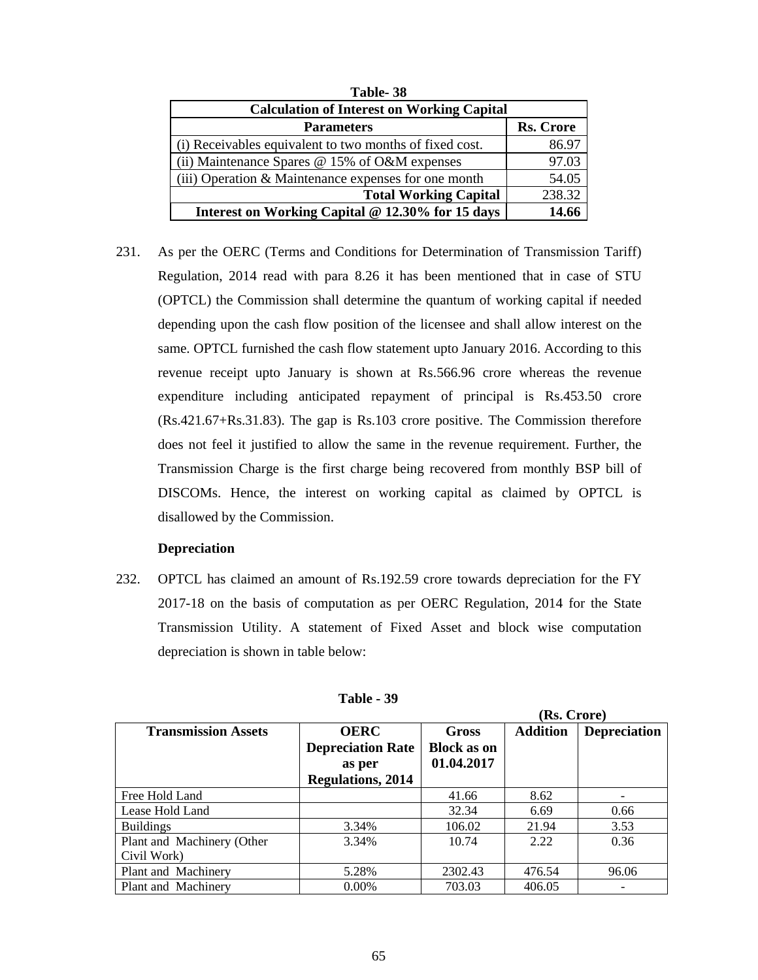| Table-38                                                |                  |  |  |  |
|---------------------------------------------------------|------------------|--|--|--|
| <b>Calculation of Interest on Working Capital</b>       |                  |  |  |  |
| <b>Parameters</b>                                       | <b>Rs. Crore</b> |  |  |  |
| (i) Receivables equivalent to two months of fixed cost. | 86.97            |  |  |  |
| (ii) Maintenance Spares $@$ 15% of O&M expenses         | 97.03            |  |  |  |
| (iii) Operation & Maintenance expenses for one month    | 54.05            |  |  |  |
| <b>Total Working Capital</b>                            | 238.32           |  |  |  |
| Interest on Working Capital @ 12.30% for 15 days        | 14.66            |  |  |  |

231. As per the OERC (Terms and Conditions for Determination of Transmission Tariff) Regulation, 2014 read with para 8.26 it has been mentioned that in case of STU (OPTCL) the Commission shall determine the quantum of working capital if needed depending upon the cash flow position of the licensee and shall allow interest on the same. OPTCL furnished the cash flow statement upto January 2016. According to this revenue receipt upto January is shown at Rs.566.96 crore whereas the revenue expenditure including anticipated repayment of principal is Rs.453.50 crore (Rs.421.67+Rs.31.83). The gap is Rs.103 crore positive. The Commission therefore does not feel it justified to allow the same in the revenue requirement. Further, the Transmission Charge is the first charge being recovered from monthly BSP bill of DISCOMs. Hence, the interest on working capital as claimed by OPTCL is disallowed by the Commission.

# **Depreciation**

232. OPTCL has claimed an amount of Rs.192.59 crore towards depreciation for the FY 2017-18 on the basis of computation as per OERC Regulation, 2014 for the State Transmission Utility. A statement of Fixed Asset and block wise computation depreciation is shown in table below:

|                            |                          |                    | (Rs. Crore)     |                     |
|----------------------------|--------------------------|--------------------|-----------------|---------------------|
| <b>Transmission Assets</b> | <b>OERC</b>              | <b>Gross</b>       | <b>Addition</b> | <b>Depreciation</b> |
|                            | <b>Depreciation Rate</b> | <b>Block as on</b> |                 |                     |
|                            | as per                   | 01.04.2017         |                 |                     |
|                            | <b>Regulations, 2014</b> |                    |                 |                     |
| Free Hold Land             |                          | 41.66              | 8.62            |                     |
| Lease Hold Land            |                          | 32.34              | 6.69            | 0.66                |
| <b>Buildings</b>           | 3.34%                    | 106.02             | 21.94           | 3.53                |
| Plant and Machinery (Other | 3.34%                    | 10.74              | 2.22            | 0.36                |
| Civil Work)                |                          |                    |                 |                     |
| Plant and Machinery        | 5.28%                    | 2302.43            | 476.54          | 96.06               |
| Plant and Machinery        | $0.00\%$                 | 703.03             | 406.05          |                     |

| Table - 39 |
|------------|
|------------|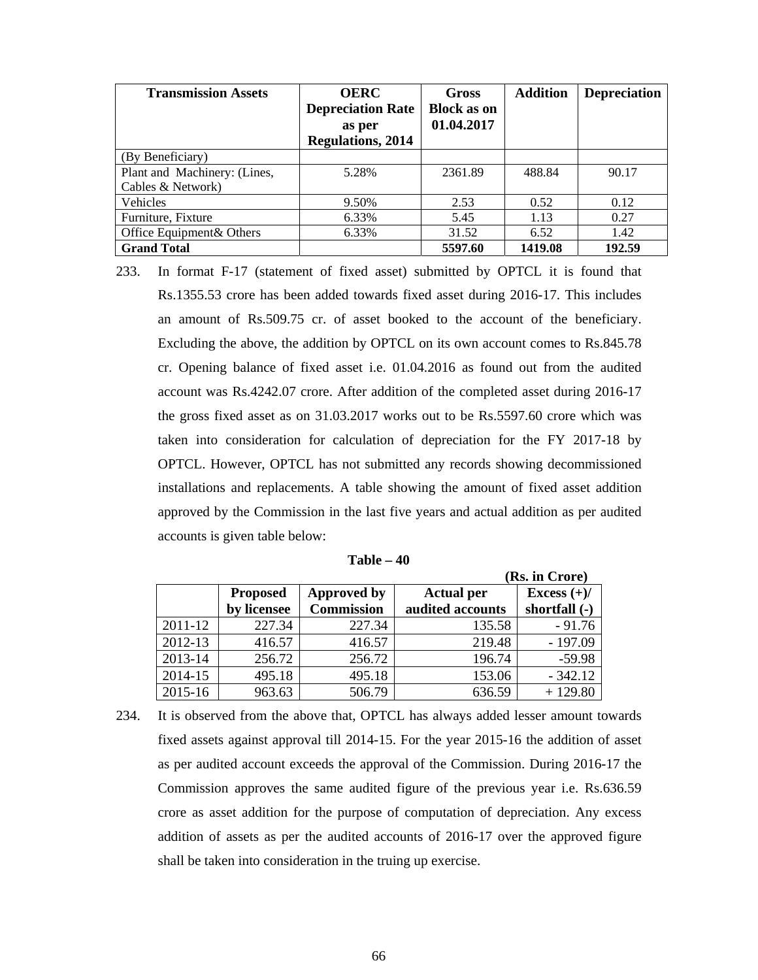| <b>Transmission Assets</b>   | <b>OERC</b><br><b>Depreciation Rate</b><br>as per<br><b>Regulations, 2014</b> | <b>Gross</b><br><b>Block as on</b><br>01.04.2017 | <b>Addition</b> | <b>Depreciation</b> |
|------------------------------|-------------------------------------------------------------------------------|--------------------------------------------------|-----------------|---------------------|
| (By Beneficiary)             |                                                                               |                                                  |                 |                     |
| Plant and Machinery: (Lines, | 5.28%                                                                         | 2361.89                                          | 488.84          | 90.17               |
| Cables & Network)            |                                                                               |                                                  |                 |                     |
| Vehicles                     | 9.50%                                                                         | 2.53                                             | 0.52            | 0.12                |
| Furniture, Fixture           | 6.33%                                                                         | 5.45                                             | 1.13            | 0.27                |
| Office Equipment & Others    | 6.33%                                                                         | 31.52                                            | 6.52            | 1.42                |
| <b>Grand Total</b>           |                                                                               | 5597.60                                          | 1419.08         | 192.59              |

233. In format F-17 (statement of fixed asset) submitted by OPTCL it is found that Rs.1355.53 crore has been added towards fixed asset during 2016-17. This includes an amount of Rs.509.75 cr. of asset booked to the account of the beneficiary. Excluding the above, the addition by OPTCL on its own account comes to Rs.845.78 cr. Opening balance of fixed asset i.e. 01.04.2016 as found out from the audited account was Rs.4242.07 crore. After addition of the completed asset during 2016-17 the gross fixed asset as on 31.03.2017 works out to be Rs.5597.60 crore which was taken into consideration for calculation of depreciation for the FY 2017-18 by OPTCL. However, OPTCL has not submitted any records showing decommissioned installations and replacements. A table showing the amount of fixed asset addition approved by the Commission in the last five years and actual addition as per audited accounts is given table below:

|         |                 |                   |                   | (Rs. in Crore) |
|---------|-----------------|-------------------|-------------------|----------------|
|         | <b>Proposed</b> | Approved by       | <b>Actual per</b> | Excess $(+)/$  |
|         | by licensee     | <b>Commission</b> | audited accounts  | shortfall (-)  |
| 2011-12 | 227.34          | 227.34            | 135.58            | $-91.76$       |
| 2012-13 | 416.57          | 416.57            | 219.48            | $-197.09$      |
| 2013-14 | 256.72          | 256.72            | 196.74            | $-59.98$       |
| 2014-15 | 495.18          | 495.18            | 153.06            | $-342.12$      |
| 2015-16 | 963.63          | 506.79            | 636.59            | $+129.80$      |

| Table – 40 |
|------------|
|            |

234. It is observed from the above that, OPTCL has always added lesser amount towards fixed assets against approval till 2014-15. For the year 2015-16 the addition of asset as per audited account exceeds the approval of the Commission. During 2016-17 the Commission approves the same audited figure of the previous year i.e. Rs.636.59 crore as asset addition for the purpose of computation of depreciation. Any excess addition of assets as per the audited accounts of 2016-17 over the approved figure shall be taken into consideration in the truing up exercise.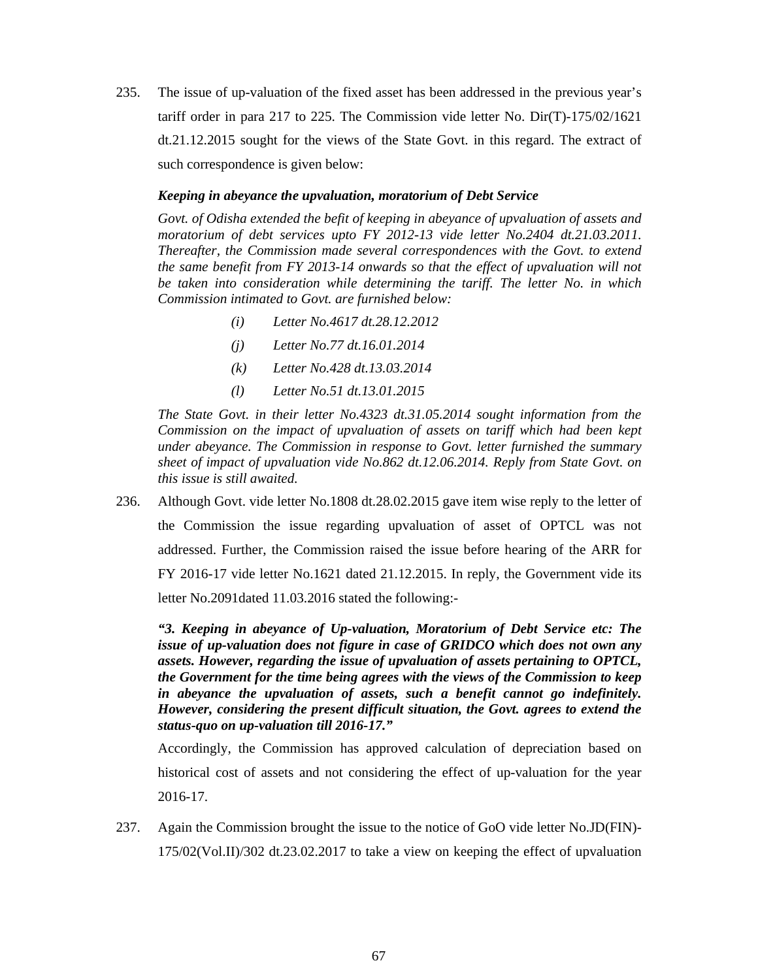235. The issue of up-valuation of the fixed asset has been addressed in the previous year's tariff order in para 217 to 225. The Commission vide letter No. Dir(T)-175/02/1621 dt.21.12.2015 sought for the views of the State Govt. in this regard. The extract of such correspondence is given below:

## *Keeping in abeyance the upvaluation, moratorium of Debt Service*

*Govt. of Odisha extended the befit of keeping in abeyance of upvaluation of assets and moratorium of debt services upto FY 2012-13 vide letter No.2404 dt.21.03.2011. Thereafter, the Commission made several correspondences with the Govt. to extend the same benefit from FY 2013-14 onwards so that the effect of upvaluation will not be taken into consideration while determining the tariff. The letter No. in which Commission intimated to Govt. are furnished below:* 

- *(i) Letter No.4617 dt.28.12.2012*
- *(j) Letter No.77 dt.16.01.2014*
- *(k) Letter No.428 dt.13.03.2014*
- *(l) Letter No.51 dt.13.01.2015*

*The State Govt. in their letter No.4323 dt.31.05.2014 sought information from the Commission on the impact of upvaluation of assets on tariff which had been kept under abeyance. The Commission in response to Govt. letter furnished the summary sheet of impact of upvaluation vide No.862 dt.12.06.2014. Reply from State Govt. on this issue is still awaited.* 

236. Although Govt. vide letter No.1808 dt.28.02.2015 gave item wise reply to the letter of the Commission the issue regarding upvaluation of asset of OPTCL was not addressed. Further, the Commission raised the issue before hearing of the ARR for FY 2016-17 vide letter No.1621 dated 21.12.2015. In reply, the Government vide its letter No.2091dated 11.03.2016 stated the following:-

*"3. Keeping in abeyance of Up-valuation, Moratorium of Debt Service etc: The issue of up-valuation does not figure in case of GRIDCO which does not own any assets. However, regarding the issue of upvaluation of assets pertaining to OPTCL, the Government for the time being agrees with the views of the Commission to keep in abeyance the upvaluation of assets, such a benefit cannot go indefinitely. However, considering the present difficult situation, the Govt. agrees to extend the status-quo on up-valuation till 2016-17."* 

Accordingly, the Commission has approved calculation of depreciation based on historical cost of assets and not considering the effect of up-valuation for the year 2016-17.

237. Again the Commission brought the issue to the notice of GoO vide letter No.JD(FIN)- 175/02(Vol.II)/302 dt.23.02.2017 to take a view on keeping the effect of upvaluation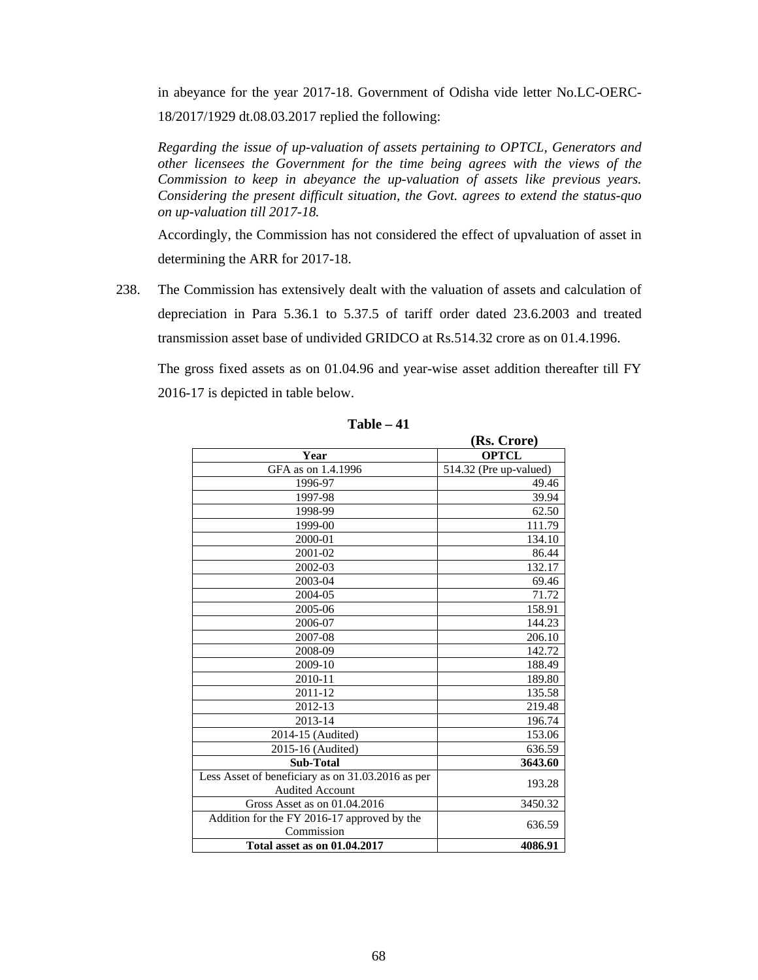in abeyance for the year 2017-18. Government of Odisha vide letter No.LC-OERC-18/2017/1929 dt.08.03.2017 replied the following:

*Regarding the issue of up-valuation of assets pertaining to OPTCL, Generators and other licensees the Government for the time being agrees with the views of the Commission to keep in abeyance the up-valuation of assets like previous years. Considering the present difficult situation, the Govt. agrees to extend the status-quo on up-valuation till 2017-18.* 

Accordingly, the Commission has not considered the effect of upvaluation of asset in determining the ARR for 2017-18.

238. The Commission has extensively dealt with the valuation of assets and calculation of depreciation in Para 5.36.1 to 5.37.5 of tariff order dated 23.6.2003 and treated transmission asset base of undivided GRIDCO at Rs.514.32 crore as on 01.4.1996.

The gross fixed assets as on 01.04.96 and year-wise asset addition thereafter till FY 2016-17 is depicted in table below.

|                                                   | (Rs. Crore)            |  |
|---------------------------------------------------|------------------------|--|
| Year                                              | <b>OPTCL</b>           |  |
| GFA as on 1.4.1996                                | 514.32 (Pre up-valued) |  |
| 1996-97                                           | 49.46                  |  |
| 1997-98                                           | 39.94                  |  |
| 1998-99                                           | 62.50                  |  |
| 1999-00                                           | 111.79                 |  |
| 2000-01                                           | 134.10                 |  |
| 2001-02                                           | 86.44                  |  |
| 2002-03                                           | 132.17                 |  |
| 2003-04                                           | 69.46                  |  |
| 2004-05                                           | 71.72                  |  |
| 2005-06                                           | 158.91                 |  |
| 2006-07                                           | 144.23                 |  |
| 2007-08                                           | 206.10                 |  |
| 2008-09                                           | 142.72                 |  |
| 2009-10                                           | 188.49                 |  |
| 2010-11                                           | 189.80                 |  |
| 2011-12                                           | 135.58                 |  |
| 2012-13                                           | 219.48                 |  |
| 2013-14                                           | 196.74                 |  |
| 2014-15 (Audited)                                 | 153.06                 |  |
| 2015-16 (Audited)                                 | 636.59                 |  |
| <b>Sub-Total</b>                                  | 3643.60                |  |
| Less Asset of beneficiary as on 31.03.2016 as per | 193.28                 |  |
| <b>Audited Account</b>                            |                        |  |
| Gross Asset as on $\overline{01.04.2016}$         | 3450.32                |  |
| Addition for the FY 2016-17 approved by the       | 636.59                 |  |
| Commission                                        |                        |  |
| Total asset as on 01.04.2017                      | 4086.91                |  |

**Table – 41**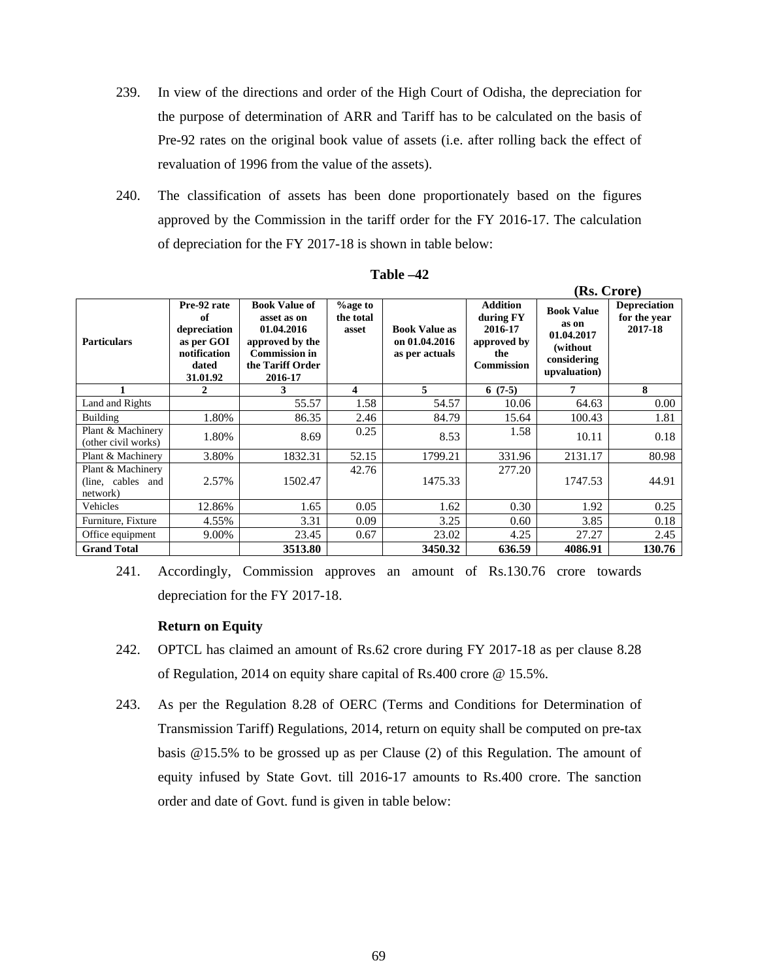- 239. In view of the directions and order of the High Court of Odisha, the depreciation for the purpose of determination of ARR and Tariff has to be calculated on the basis of Pre-92 rates on the original book value of assets (i.e. after rolling back the effect of revaluation of 1996 from the value of the assets).
- 240. The classification of assets has been done proportionately based on the figures approved by the Commission in the tariff order for the FY 2016-17. The calculation of depreciation for the FY 2017-18 is shown in table below:

|                                                    |                                                                                      |                                                                                                                             |                                      |                                                         |                                                                                    | (Rs. Crore)                                                                          |                                                |
|----------------------------------------------------|--------------------------------------------------------------------------------------|-----------------------------------------------------------------------------------------------------------------------------|--------------------------------------|---------------------------------------------------------|------------------------------------------------------------------------------------|--------------------------------------------------------------------------------------|------------------------------------------------|
| <b>Particulars</b>                                 | Pre-92 rate<br>of<br>depreciation<br>as per GOI<br>notification<br>dated<br>31.01.92 | <b>Book Value of</b><br>asset as on<br>01.04.2016<br>approved by the<br><b>Commission in</b><br>the Tariff Order<br>2016-17 | <b>%age to</b><br>the total<br>asset | <b>Book Value as</b><br>on 01.04.2016<br>as per actuals | <b>Addition</b><br>during FY<br>2016-17<br>approved by<br>the<br><b>Commission</b> | <b>Book Value</b><br>as on<br>01.04.2017<br>(without)<br>considering<br>upvaluation) | <b>Depreciation</b><br>for the year<br>2017-18 |
|                                                    | 2                                                                                    | 3                                                                                                                           | 4                                    | 5.                                                      | $6(7-5)$                                                                           | 7                                                                                    | 8                                              |
| Land and Rights                                    |                                                                                      | 55.57                                                                                                                       | 1.58                                 | 54.57                                                   | 10.06                                                                              | 64.63                                                                                | 0.00                                           |
| <b>Building</b>                                    | 1.80%                                                                                | 86.35                                                                                                                       | 2.46                                 | 84.79                                                   | 15.64                                                                              | 100.43                                                                               | 1.81                                           |
| Plant & Machinery<br>(other civil works)           | 1.80%                                                                                | 8.69                                                                                                                        | 0.25                                 | 8.53                                                    | 1.58                                                                               | 10.11                                                                                | 0.18                                           |
| Plant & Machinery                                  | 3.80%                                                                                | 1832.31                                                                                                                     | 52.15                                | 1799.21                                                 | 331.96                                                                             | 2131.17                                                                              | 80.98                                          |
| Plant & Machinery<br>(line, cables and<br>network) | 2.57%                                                                                | 1502.47                                                                                                                     | 42.76                                | 1475.33                                                 | 277.20                                                                             | 1747.53                                                                              | 44.91                                          |
| Vehicles                                           | 12.86%                                                                               | 1.65                                                                                                                        | 0.05                                 | 1.62                                                    | 0.30                                                                               | 1.92                                                                                 | 0.25                                           |
| Furniture, Fixture                                 | 4.55%                                                                                | 3.31                                                                                                                        | 0.09                                 | 3.25                                                    | 0.60                                                                               | 3.85                                                                                 | 0.18                                           |
| Office equipment                                   | 9.00%                                                                                | 23.45                                                                                                                       | 0.67                                 | 23.02                                                   | 4.25                                                                               | 27.27                                                                                | 2.45                                           |
| <b>Grand Total</b>                                 |                                                                                      | 3513.80                                                                                                                     |                                      | 3450.32                                                 | 636.59                                                                             | 4086.91                                                                              | 130.76                                         |

**Table –42** 

241. Accordingly, Commission approves an amount of Rs.130.76 crore towards depreciation for the FY 2017-18.

## **Return on Equity**

- 242. OPTCL has claimed an amount of Rs.62 crore during FY 2017-18 as per clause 8.28 of Regulation, 2014 on equity share capital of Rs.400 crore @ 15.5%.
- 243. As per the Regulation 8.28 of OERC (Terms and Conditions for Determination of Transmission Tariff) Regulations, 2014, return on equity shall be computed on pre-tax basis @15.5% to be grossed up as per Clause (2) of this Regulation. The amount of equity infused by State Govt. till 2016-17 amounts to Rs.400 crore. The sanction order and date of Govt. fund is given in table below: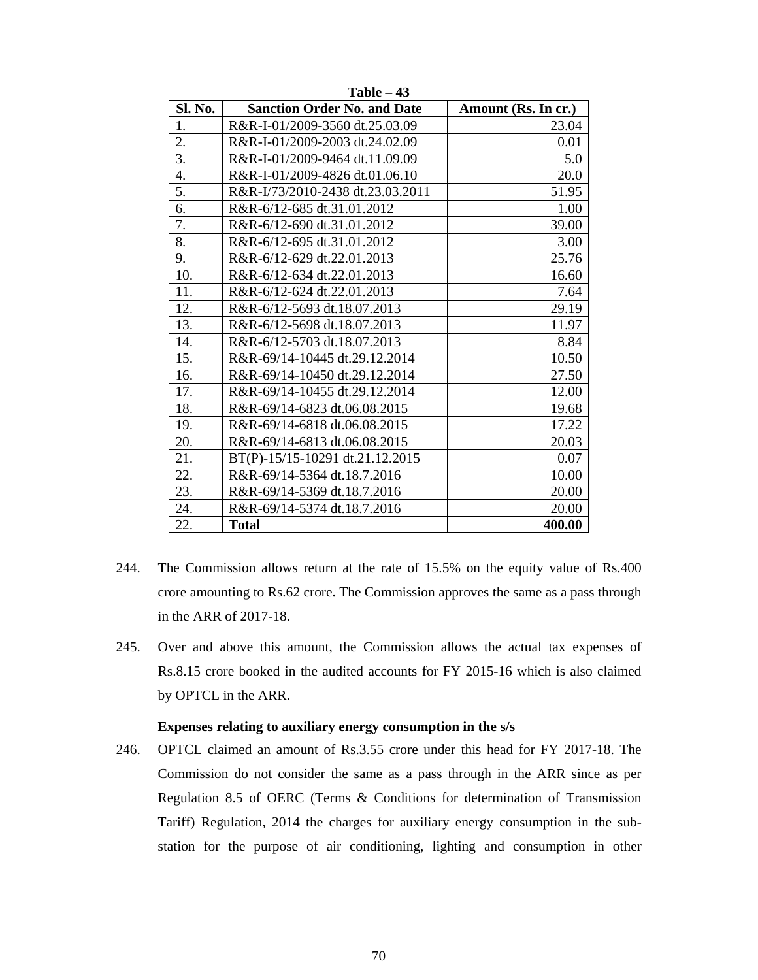| Sl. No. | <b>Sanction Order No. and Date</b> | Amount (Rs. In cr.) |
|---------|------------------------------------|---------------------|
| 1.      | R&R-I-01/2009-3560 dt.25.03.09     | 23.04               |
| 2.      | R&R-I-01/2009-2003 dt.24.02.09     | 0.01                |
| 3.      | R&R-I-01/2009-9464 dt.11.09.09     | 5.0                 |
| 4.      | R&R-I-01/2009-4826 dt.01.06.10     | 20.0                |
| 5.      | R&R-I/73/2010-2438 dt.23.03.2011   | 51.95               |
| 6.      | R&R-6/12-685 dt.31.01.2012         | 1.00                |
| 7.      | R&R-6/12-690 dt.31.01.2012         | 39.00               |
| 8.      | R&R-6/12-695 dt.31.01.2012         | 3.00                |
| 9.      | R&R-6/12-629 dt.22.01.2013         | 25.76               |
| 10.     | R&R-6/12-634 dt.22.01.2013         | 16.60               |
| 11.     | R&R-6/12-624 dt.22.01.2013         | 7.64                |
| 12.     | R&R-6/12-5693 dt.18.07.2013        | 29.19               |
| 13.     | R&R-6/12-5698 dt.18.07.2013        | 11.97               |
| 14.     | R&R-6/12-5703 dt.18.07.2013        | 8.84                |
| 15.     | R&R-69/14-10445 dt.29.12.2014      | 10.50               |
| 16.     | R&R-69/14-10450 dt.29.12.2014      | 27.50               |
| 17.     | R&R-69/14-10455 dt.29.12.2014      | 12.00               |
| 18.     | R&R-69/14-6823 dt.06.08.2015       | 19.68               |
| 19.     | R&R-69/14-6818 dt.06.08.2015       | 17.22               |
| 20.     | R&R-69/14-6813 dt.06.08.2015       | 20.03               |
| 21.     | BT(P)-15/15-10291 dt.21.12.2015    | 0.07                |
| 22.     | R&R-69/14-5364 dt.18.7.2016        | 10.00               |
| 23.     | R&R-69/14-5369 dt.18.7.2016        | 20.00               |
| 24.     | R&R-69/14-5374 dt.18.7.2016        | 20.00               |
| 22.     | <b>Total</b>                       | 400.00              |

**Table – 43** 

- 244. The Commission allows return at the rate of 15.5% on the equity value of Rs.400 crore amounting to Rs.62 crore**.** The Commission approves the same as a pass through in the ARR of 2017-18.
- 245. Over and above this amount, the Commission allows the actual tax expenses of Rs.8.15 crore booked in the audited accounts for FY 2015-16 which is also claimed by OPTCL in the ARR.

## **Expenses relating to auxiliary energy consumption in the s/s**

246. OPTCL claimed an amount of Rs.3.55 crore under this head for FY 2017-18. The Commission do not consider the same as a pass through in the ARR since as per Regulation 8.5 of OERC (Terms & Conditions for determination of Transmission Tariff) Regulation, 2014 the charges for auxiliary energy consumption in the substation for the purpose of air conditioning, lighting and consumption in other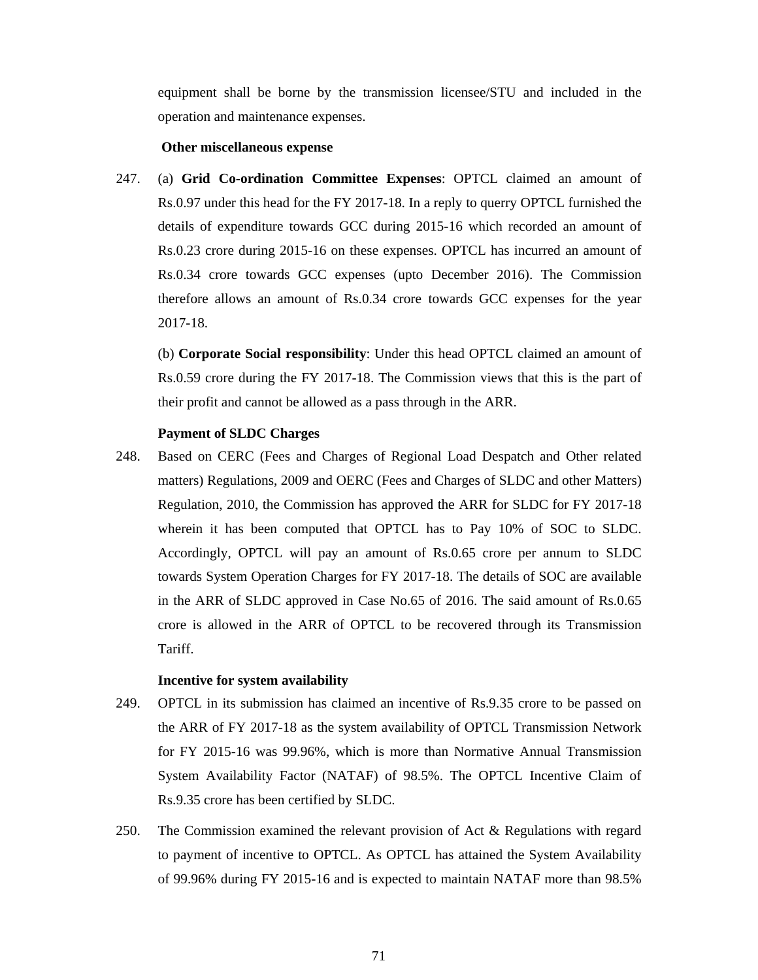equipment shall be borne by the transmission licensee/STU and included in the operation and maintenance expenses.

### **Other miscellaneous expense**

247. (a) **Grid Co-ordination Committee Expenses**: OPTCL claimed an amount of Rs.0.97 under this head for the FY 2017-18. In a reply to querry OPTCL furnished the details of expenditure towards GCC during 2015-16 which recorded an amount of Rs.0.23 crore during 2015-16 on these expenses. OPTCL has incurred an amount of Rs.0.34 crore towards GCC expenses (upto December 2016). The Commission therefore allows an amount of Rs.0.34 crore towards GCC expenses for the year 2017-18.

(b) **Corporate Social responsibility**: Under this head OPTCL claimed an amount of Rs.0.59 crore during the FY 2017-18. The Commission views that this is the part of their profit and cannot be allowed as a pass through in the ARR.

### **Payment of SLDC Charges**

248. Based on CERC (Fees and Charges of Regional Load Despatch and Other related matters) Regulations, 2009 and OERC (Fees and Charges of SLDC and other Matters) Regulation, 2010, the Commission has approved the ARR for SLDC for FY 2017-18 wherein it has been computed that OPTCL has to Pay 10% of SOC to SLDC. Accordingly, OPTCL will pay an amount of Rs.0.65 crore per annum to SLDC towards System Operation Charges for FY 2017-18. The details of SOC are available in the ARR of SLDC approved in Case No.65 of 2016. The said amount of Rs.0.65 crore is allowed in the ARR of OPTCL to be recovered through its Transmission Tariff.

# **Incentive for system availability**

- 249. OPTCL in its submission has claimed an incentive of Rs.9.35 crore to be passed on the ARR of FY 2017-18 as the system availability of OPTCL Transmission Network for FY 2015-16 was 99.96%, which is more than Normative Annual Transmission System Availability Factor (NATAF) of 98.5%. The OPTCL Incentive Claim of Rs.9.35 crore has been certified by SLDC.
- 250. The Commission examined the relevant provision of Act & Regulations with regard to payment of incentive to OPTCL. As OPTCL has attained the System Availability of 99.96% during FY 2015-16 and is expected to maintain NATAF more than 98.5%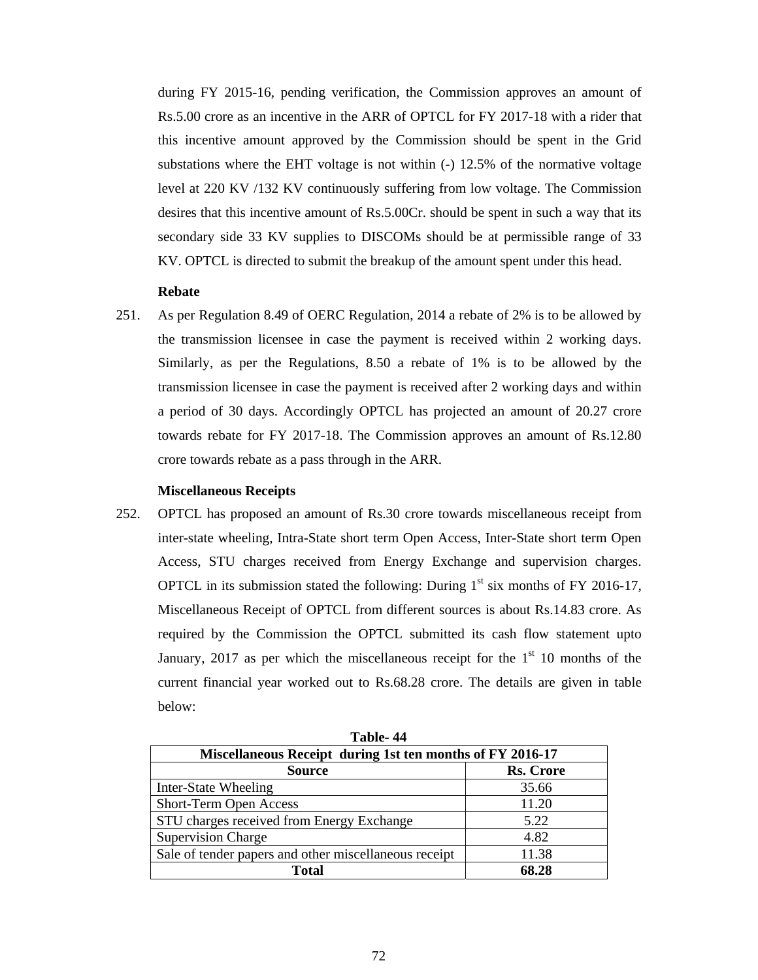during FY 2015-16, pending verification, the Commission approves an amount of Rs.5.00 crore as an incentive in the ARR of OPTCL for FY 2017-18 with a rider that this incentive amount approved by the Commission should be spent in the Grid substations where the EHT voltage is not within  $(-)$  12.5% of the normative voltage level at 220 KV /132 KV continuously suffering from low voltage. The Commission desires that this incentive amount of Rs.5.00Cr. should be spent in such a way that its secondary side 33 KV supplies to DISCOMs should be at permissible range of 33 KV. OPTCL is directed to submit the breakup of the amount spent under this head.

## **Rebate**

251. As per Regulation 8.49 of OERC Regulation, 2014 a rebate of 2% is to be allowed by the transmission licensee in case the payment is received within 2 working days. Similarly, as per the Regulations, 8.50 a rebate of 1% is to be allowed by the transmission licensee in case the payment is received after 2 working days and within a period of 30 days. Accordingly OPTCL has projected an amount of 20.27 crore towards rebate for FY 2017-18. The Commission approves an amount of Rs.12.80 crore towards rebate as a pass through in the ARR.

## **Miscellaneous Receipts**

252. OPTCL has proposed an amount of Rs.30 crore towards miscellaneous receipt from inter-state wheeling, Intra-State short term Open Access, Inter-State short term Open Access, STU charges received from Energy Exchange and supervision charges. OPTCL in its submission stated the following: During  $1<sup>st</sup>$  six months of FY 2016-17, Miscellaneous Receipt of OPTCL from different sources is about Rs.14.83 crore. As required by the Commission the OPTCL submitted its cash flow statement upto January, 2017 as per which the miscellaneous receipt for the  $1<sup>st</sup> 10$  months of the current financial year worked out to Rs.68.28 crore. The details are given in table below:

| Miscellaneous Receipt during 1st ten months of FY 2016-17 |                  |  |  |  |
|-----------------------------------------------------------|------------------|--|--|--|
| <b>Source</b>                                             | <b>Rs. Crore</b> |  |  |  |
| Inter-State Wheeling                                      | 35.66            |  |  |  |
| Short-Term Open Access                                    | 11.20            |  |  |  |
| STU charges received from Energy Exchange                 | 5.22             |  |  |  |
| <b>Supervision Charge</b>                                 | 4.82             |  |  |  |
| Sale of tender papers and other miscellaneous receipt     | 11.38            |  |  |  |
| Total                                                     | 68.28            |  |  |  |

**Table- 44**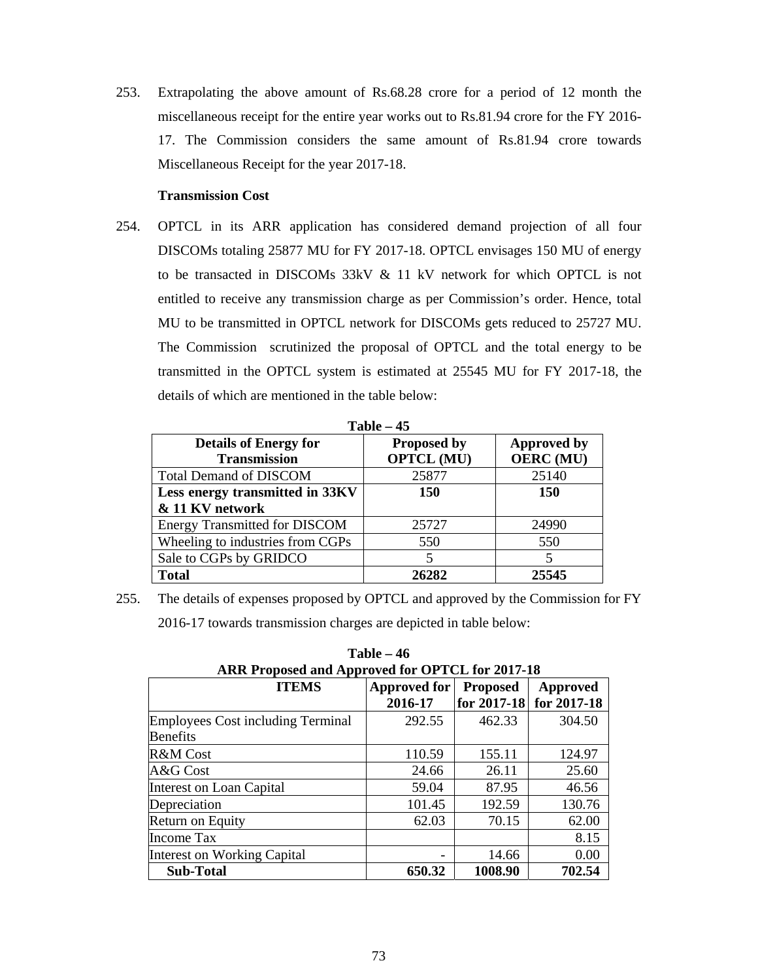253. Extrapolating the above amount of Rs.68.28 crore for a period of 12 month the miscellaneous receipt for the entire year works out to Rs.81.94 crore for the FY 2016- 17. The Commission considers the same amount of Rs.81.94 crore towards Miscellaneous Receipt for the year 2017-18.

## **Transmission Cost**

254. OPTCL in its ARR application has considered demand projection of all four DISCOMs totaling 25877 MU for FY 2017-18. OPTCL envisages 150 MU of energy to be transacted in DISCOMs 33kV & 11 kV network for which OPTCL is not entitled to receive any transmission charge as per Commission's order. Hence, total MU to be transmitted in OPTCL network for DISCOMs gets reduced to 25727 MU. The Commission scrutinized the proposal of OPTCL and the total energy to be transmitted in the OPTCL system is estimated at 25545 MU for FY 2017-18, the details of which are mentioned in the table below:

| $1$ able – 45                                       |                                         |                                        |  |  |  |  |
|-----------------------------------------------------|-----------------------------------------|----------------------------------------|--|--|--|--|
| <b>Details of Energy for</b><br><b>Transmission</b> | <b>Proposed by</b><br><b>OPTCL (MU)</b> | <b>Approved by</b><br><b>OERC</b> (MU) |  |  |  |  |
| <b>Total Demand of DISCOM</b>                       | 25877                                   | 25140                                  |  |  |  |  |
| Less energy transmitted in 33KV                     | <b>150</b>                              | <b>150</b>                             |  |  |  |  |
| & 11 KV network                                     |                                         |                                        |  |  |  |  |
| <b>Energy Transmitted for DISCOM</b>                | 25727                                   | 24990                                  |  |  |  |  |
| Wheeling to industries from CGPs                    | 550                                     | 550                                    |  |  |  |  |
| Sale to CGPs by GRIDCO                              |                                         |                                        |  |  |  |  |
| <b>Total</b>                                        | 26282                                   | 25545                                  |  |  |  |  |

**Table 15** 

255. The details of expenses proposed by OPTCL and approved by the Commission for FY 2016-17 towards transmission charges are depicted in table below:

| ARR Proposed and Approved for OPTCL for 2017-18                    |         |             |             |  |  |  |
|--------------------------------------------------------------------|---------|-------------|-------------|--|--|--|
| <b>ITEMS</b><br><b>Approved for</b><br><b>Proposed</b><br>Approved |         |             |             |  |  |  |
|                                                                    | 2016-17 | for 2017-18 | for 2017-18 |  |  |  |
| Employees Cost including Terminal                                  | 292.55  | 462.33      | 304.50      |  |  |  |
| <b>Benefits</b>                                                    |         |             |             |  |  |  |
| R&M Cost                                                           | 110.59  | 155.11      | 124.97      |  |  |  |
| A&G Cost                                                           | 24.66   | 26.11       | 25.60       |  |  |  |
| Interest on Loan Capital                                           | 59.04   | 87.95       | 46.56       |  |  |  |
| Depreciation                                                       | 101.45  | 192.59      | 130.76      |  |  |  |
| Return on Equity                                                   | 62.03   | 70.15       | 62.00       |  |  |  |
| Income Tax                                                         |         |             | 8.15        |  |  |  |
| Interest on Working Capital                                        |         | 14.66       | 0.00        |  |  |  |
| <b>Sub-Total</b>                                                   | 650.32  | 1008.90     | 702.54      |  |  |  |

**Table – 46**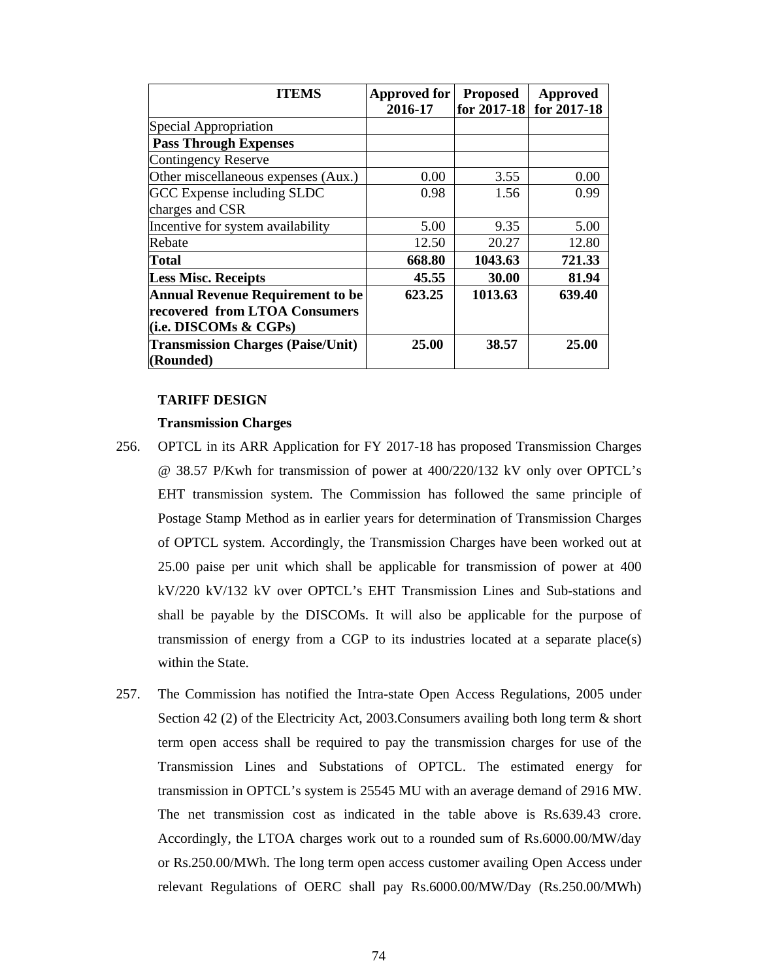| <b>ITEMS</b>                             | <b>Approved for</b><br>2016-17 | <b>Proposed</b><br>for 2017-18 | Approved<br>for 2017-18 |
|------------------------------------------|--------------------------------|--------------------------------|-------------------------|
|                                          |                                |                                |                         |
| Special Appropriation                    |                                |                                |                         |
| <b>Pass Through Expenses</b>             |                                |                                |                         |
| Contingency Reserve                      |                                |                                |                         |
| Other miscellaneous expenses (Aux.)      | 0.00                           | 3.55                           | 0.00                    |
| GCC Expense including SLDC               | 0.98                           | 1.56                           | 0.99                    |
| charges and CSR                          |                                |                                |                         |
| Incentive for system availability        | 5.00                           | 9.35                           | 5.00                    |
| Rebate                                   | 12.50                          | 20.27                          | 12.80                   |
| <b>Total</b>                             | 668.80                         | 1043.63                        | 721.33                  |
| <b>Less Misc. Receipts</b>               | 45.55                          | 30.00                          | 81.94                   |
| <b>Annual Revenue Requirement to be</b>  | 623.25                         | 1013.63                        | 639.40                  |
| recovered from LTOA Consumers            |                                |                                |                         |
| (i.e. DISCOMs & CGPs)                    |                                |                                |                         |
| <b>Transmission Charges (Paise/Unit)</b> | 25.00                          | 38.57                          | 25.00                   |
| (Rounded)                                |                                |                                |                         |

#### **TARIFF DESIGN**

#### **Transmission Charges**

- 256. OPTCL in its ARR Application for FY 2017-18 has proposed Transmission Charges @ 38.57 P/Kwh for transmission of power at 400/220/132 kV only over OPTCL's EHT transmission system. The Commission has followed the same principle of Postage Stamp Method as in earlier years for determination of Transmission Charges of OPTCL system. Accordingly, the Transmission Charges have been worked out at 25.00 paise per unit which shall be applicable for transmission of power at 400 kV/220 kV/132 kV over OPTCL's EHT Transmission Lines and Sub-stations and shall be payable by the DISCOMs. It will also be applicable for the purpose of transmission of energy from a CGP to its industries located at a separate place(s) within the State.
- 257. The Commission has notified the Intra-state Open Access Regulations, 2005 under Section 42 (2) of the Electricity Act, 2003. Consumers availing both long term  $\&$  short term open access shall be required to pay the transmission charges for use of the Transmission Lines and Substations of OPTCL. The estimated energy for transmission in OPTCL's system is 25545 MU with an average demand of 2916 MW. The net transmission cost as indicated in the table above is Rs.639.43 crore. Accordingly, the LTOA charges work out to a rounded sum of Rs.6000.00/MW/day or Rs.250.00/MWh. The long term open access customer availing Open Access under relevant Regulations of OERC shall pay Rs.6000.00/MW/Day (Rs.250.00/MWh)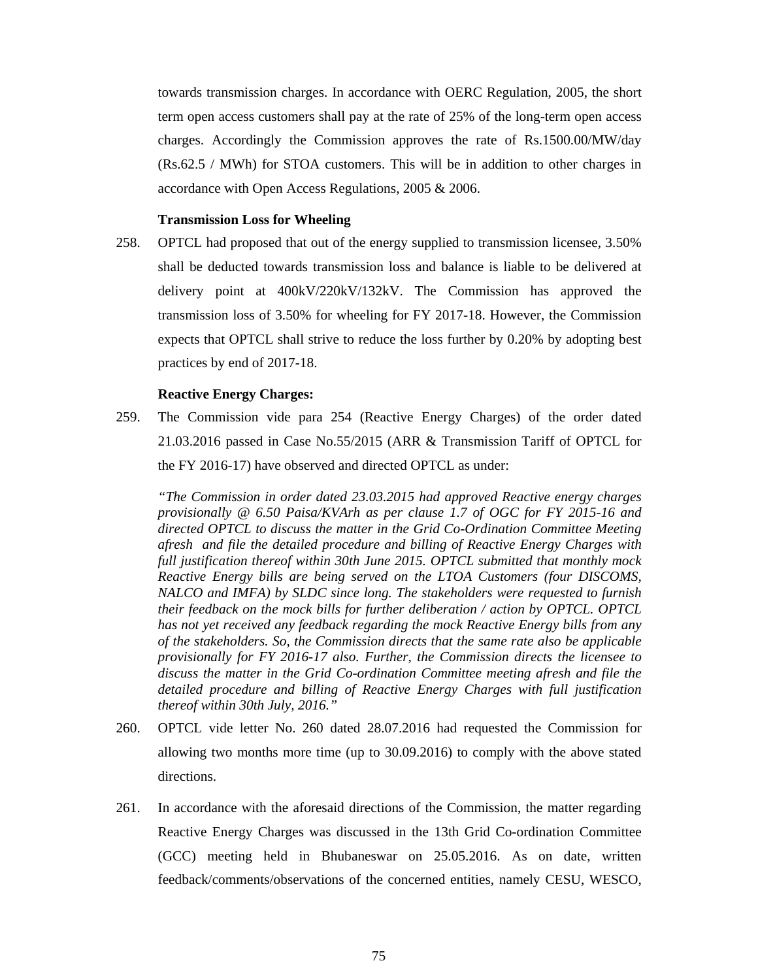towards transmission charges. In accordance with OERC Regulation, 2005, the short term open access customers shall pay at the rate of 25% of the long-term open access charges. Accordingly the Commission approves the rate of Rs.1500.00/MW/day (Rs.62.5 / MWh) for STOA customers. This will be in addition to other charges in accordance with Open Access Regulations, 2005 & 2006.

### **Transmission Loss for Wheeling**

258. OPTCL had proposed that out of the energy supplied to transmission licensee, 3.50% shall be deducted towards transmission loss and balance is liable to be delivered at delivery point at 400kV/220kV/132kV. The Commission has approved the transmission loss of 3.50% for wheeling for FY 2017-18. However, the Commission expects that OPTCL shall strive to reduce the loss further by 0.20% by adopting best practices by end of 2017-18.

## **Reactive Energy Charges:**

259. The Commission vide para 254 (Reactive Energy Charges) of the order dated 21.03.2016 passed in Case No.55/2015 (ARR & Transmission Tariff of OPTCL for the FY 2016-17) have observed and directed OPTCL as under:

*"The Commission in order dated 23.03.2015 had approved Reactive energy charges provisionally @ 6.50 Paisa/KVArh as per clause 1.7 of OGC for FY 2015-16 and directed OPTCL to discuss the matter in the Grid Co-Ordination Committee Meeting afresh and file the detailed procedure and billing of Reactive Energy Charges with full justification thereof within 30th June 2015. OPTCL submitted that monthly mock Reactive Energy bills are being served on the LTOA Customers (four DISCOMS, NALCO and IMFA) by SLDC since long. The stakeholders were requested to furnish their feedback on the mock bills for further deliberation / action by OPTCL. OPTCL has not yet received any feedback regarding the mock Reactive Energy bills from any of the stakeholders. So, the Commission directs that the same rate also be applicable provisionally for FY 2016-17 also. Further, the Commission directs the licensee to discuss the matter in the Grid Co-ordination Committee meeting afresh and file the detailed procedure and billing of Reactive Energy Charges with full justification thereof within 30th July, 2016."* 

- 260. OPTCL vide letter No. 260 dated 28.07.2016 had requested the Commission for allowing two months more time (up to 30.09.2016) to comply with the above stated directions.
- 261. In accordance with the aforesaid directions of the Commission, the matter regarding Reactive Energy Charges was discussed in the 13th Grid Co-ordination Committee (GCC) meeting held in Bhubaneswar on 25.05.2016. As on date, written feedback/comments/observations of the concerned entities, namely CESU, WESCO,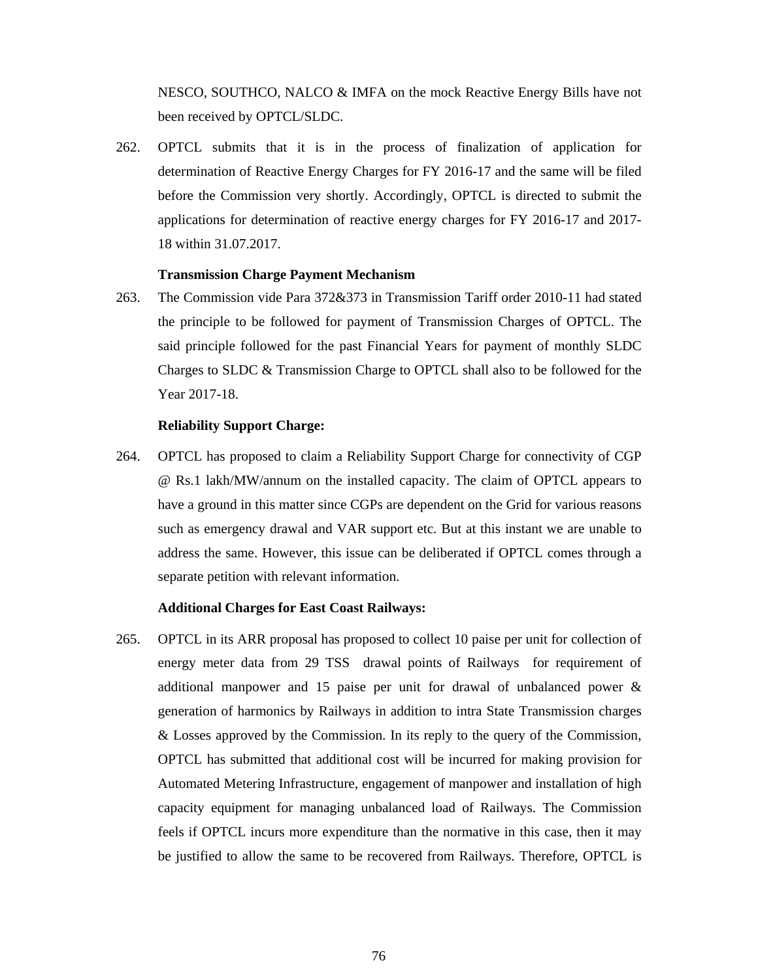NESCO, SOUTHCO, NALCO & IMFA on the mock Reactive Energy Bills have not been received by OPTCL/SLDC.

262. OPTCL submits that it is in the process of finalization of application for determination of Reactive Energy Charges for FY 2016-17 and the same will be filed before the Commission very shortly. Accordingly, OPTCL is directed to submit the applications for determination of reactive energy charges for FY 2016-17 and 2017- 18 within 31.07.2017.

### **Transmission Charge Payment Mechanism**

263. The Commission vide Para 372&373 in Transmission Tariff order 2010-11 had stated the principle to be followed for payment of Transmission Charges of OPTCL. The said principle followed for the past Financial Years for payment of monthly SLDC Charges to SLDC & Transmission Charge to OPTCL shall also to be followed for the Year 2017-18.

## **Reliability Support Charge:**

264. OPTCL has proposed to claim a Reliability Support Charge for connectivity of CGP @ Rs.1 lakh/MW/annum on the installed capacity. The claim of OPTCL appears to have a ground in this matter since CGPs are dependent on the Grid for various reasons such as emergency drawal and VAR support etc. But at this instant we are unable to address the same. However, this issue can be deliberated if OPTCL comes through a separate petition with relevant information.

#### **Additional Charges for East Coast Railways:**

265. OPTCL in its ARR proposal has proposed to collect 10 paise per unit for collection of energy meter data from 29 TSS drawal points of Railways for requirement of additional manpower and 15 paise per unit for drawal of unbalanced power & generation of harmonics by Railways in addition to intra State Transmission charges & Losses approved by the Commission. In its reply to the query of the Commission, OPTCL has submitted that additional cost will be incurred for making provision for Automated Metering Infrastructure, engagement of manpower and installation of high capacity equipment for managing unbalanced load of Railways. The Commission feels if OPTCL incurs more expenditure than the normative in this case, then it may be justified to allow the same to be recovered from Railways. Therefore, OPTCL is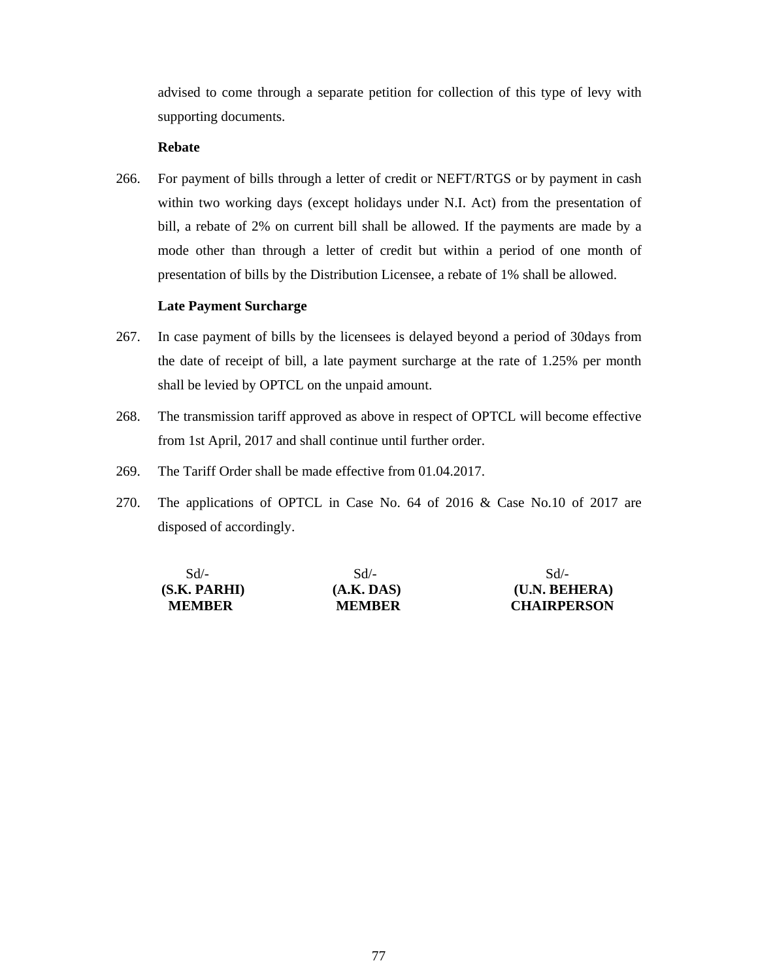advised to come through a separate petition for collection of this type of levy with supporting documents.

## **Rebate**

266. For payment of bills through a letter of credit or NEFT/RTGS or by payment in cash within two working days (except holidays under N.I. Act) from the presentation of bill, a rebate of 2% on current bill shall be allowed. If the payments are made by a mode other than through a letter of credit but within a period of one month of presentation of bills by the Distribution Licensee, a rebate of 1% shall be allowed.

## **Late Payment Surcharge**

- 267. In case payment of bills by the licensees is delayed beyond a period of 30days from the date of receipt of bill, a late payment surcharge at the rate of 1.25% per month shall be levied by OPTCL on the unpaid amount.
- 268. The transmission tariff approved as above in respect of OPTCL will become effective from 1st April, 2017 and shall continue until further order.
- 269. The Tariff Order shall be made effective from 01.04.2017.
- 270. The applications of OPTCL in Case No. 64 of 2016 & Case No.10 of 2017 are disposed of accordingly.

| $Sd/-$        | $Sd/-$        | $Sd/-$             |
|---------------|---------------|--------------------|
| (S.K. PARHI)  | (A.K. DAS)    | (U.N. BEHERA)      |
| <b>MEMBER</b> | <b>MEMBER</b> | <b>CHAIRPERSON</b> |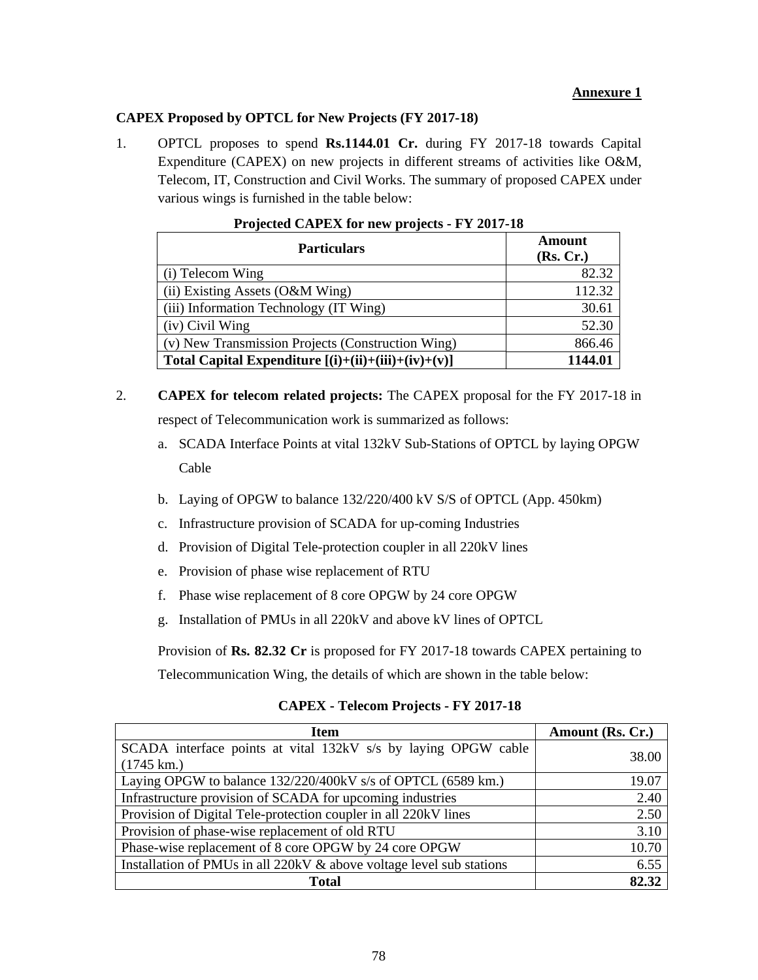## **Annexure 1**

## **CAPEX Proposed by OPTCL for New Projects (FY 2017-18)**

1. OPTCL proposes to spend **Rs.1144.01 Cr.** during FY 2017-18 towards Capital Expenditure (CAPEX) on new projects in different streams of activities like O&M, Telecom, IT, Construction and Civil Works. The summary of proposed CAPEX under various wings is furnished in the table below:

| <b>Particulars</b>                                    | Amount<br>(Rs, Cr.) |
|-------------------------------------------------------|---------------------|
| (i) Telecom Wing                                      | 82.32               |
| (ii) Existing Assets (O&M Wing)                       | 112.32              |
| (iii) Information Technology (IT Wing)                | 30.61               |
| (iv) Civil Wing                                       | 52.30               |
| (v) New Transmission Projects (Construction Wing)     | 866.46              |
| Total Capital Expenditure $[(i)+(ii)+(iii)+(iv)+(v)]$ | 1144.01             |

| Projected CAPEX for new projects - FY 2017-18 |  |  |  |
|-----------------------------------------------|--|--|--|
|                                               |  |  |  |

- 2. **CAPEX for telecom related projects:** The CAPEX proposal for the FY 2017-18 in respect of Telecommunication work is summarized as follows:
	- a. SCADA Interface Points at vital 132kV Sub-Stations of OPTCL by laying OPGW Cable
	- b. Laying of OPGW to balance 132/220/400 kV S/S of OPTCL (App. 450km)
	- c. Infrastructure provision of SCADA for up-coming Industries
	- d. Provision of Digital Tele-protection coupler in all 220kV lines
	- e. Provision of phase wise replacement of RTU
	- f. Phase wise replacement of 8 core OPGW by 24 core OPGW
	- g. Installation of PMUs in all 220kV and above kV lines of OPTCL

Provision of **Rs. 82.32 Cr** is proposed for FY 2017-18 towards CAPEX pertaining to

Telecommunication Wing, the details of which are shown in the table below:

| Item                                                                 | Amount (Rs. Cr.) |
|----------------------------------------------------------------------|------------------|
| SCADA interface points at vital 132kV s/s by laying OPGW cable       | 38.00            |
| $(1745 \text{ km.})$                                                 |                  |
| Laying OPGW to balance 132/220/400kV s/s of OPTCL (6589 km.)         | 19.07            |
| Infrastructure provision of SCADA for upcoming industries            | 2.40             |
| Provision of Digital Tele-protection coupler in all 220kV lines      | 2.50             |
| Provision of phase-wise replacement of old RTU                       | 3.10             |
| Phase-wise replacement of 8 core OPGW by 24 core OPGW                | 10.70            |
| Installation of PMUs in all 220kV & above voltage level sub stations | 6.55             |
| <b>Total</b>                                                         | 82.32            |

**CAPEX - Telecom Projects - FY 2017-18**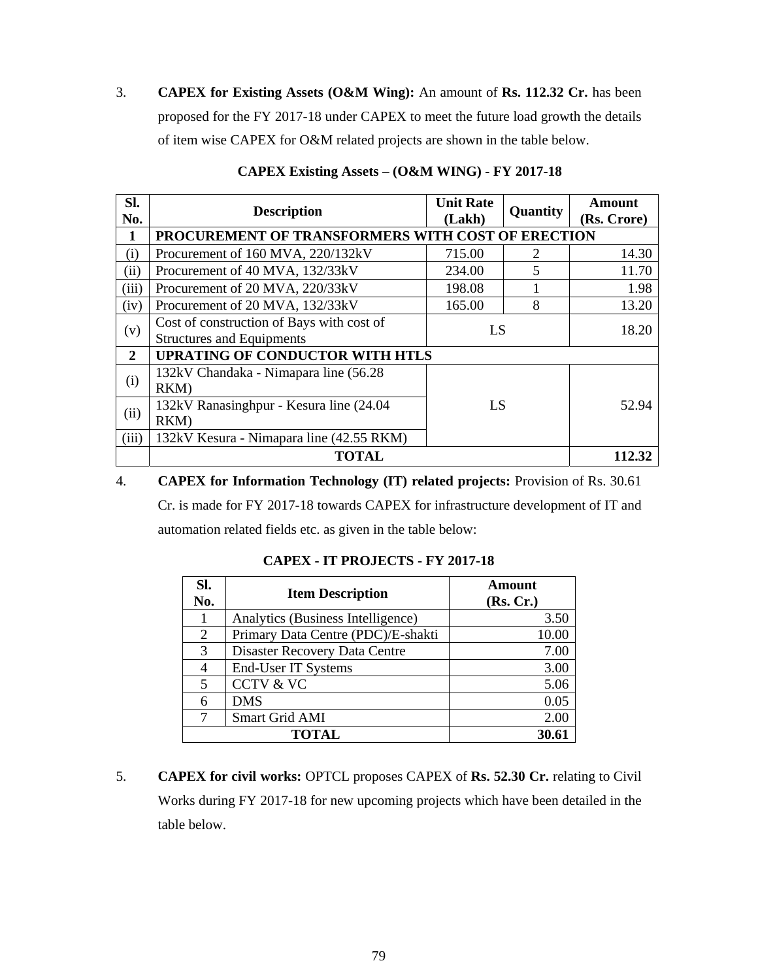3. **CAPEX for Existing Assets (O&M Wing):** An amount of **Rs. 112.32 Cr.** has been proposed for the FY 2017-18 under CAPEX to meet the future load growth the details of item wise CAPEX for O&M related projects are shown in the table below.

| SI.<br>No.     | <b>Description</b>                                                            | <b>Unit Rate</b><br>(Lakh) | Quantity | Amount<br>(Rs. Crore) |
|----------------|-------------------------------------------------------------------------------|----------------------------|----------|-----------------------|
| $\mathbf{1}$   | PROCUREMENT OF TRANSFORMERS WITH COST OF ERECTION                             |                            |          |                       |
| (i)            | Procurement of 160 MVA, 220/132kV                                             | 715.00                     | 2        | 14.30                 |
| (ii)           | Procurement of 40 MVA, 132/33kV                                               | 234.00                     | 5        | 11.70                 |
| (iii)          | Procurement of 20 MVA, 220/33kV                                               | 198.08                     |          | 1.98                  |
| (iv)           | Procurement of 20 MVA, 132/33kV                                               | 165.00                     | 8        | 13.20                 |
| (v)            | Cost of construction of Bays with cost of<br><b>Structures and Equipments</b> | LS                         |          | 18.20                 |
| $\overline{2}$ | <b>UPRATING OF CONDUCTOR WITH HTLS</b>                                        |                            |          |                       |
| (i)            | 132kV Chandaka - Nimapara line (56.28)<br>RKM)                                |                            |          |                       |
| (ii)           | 132kV Ranasinghpur - Kesura line (24.04)<br>RKM)                              | L <sub>S</sub>             |          | 52.94                 |
| (iii)          | 132kV Kesura - Nimapara line (42.55 RKM)                                      |                            |          |                       |
|                | <b>TOTAL</b>                                                                  |                            |          | 112.32                |

**CAPEX Existing Assets – (O&M WING) - FY 2017-18** 

# 4. **CAPEX for Information Technology (IT) related projects:** Provision of Rs. 30.61

Cr. is made for FY 2017-18 towards CAPEX for infrastructure development of IT and automation related fields etc. as given in the table below:

| Sl.<br>No. | <b>Item Description</b>            | Amount<br>(Rs, Cr.) |
|------------|------------------------------------|---------------------|
|            | Analytics (Business Intelligence)  | 3.50                |
| 2          | Primary Data Centre (PDC)/E-shakti | 10.00               |
| 3          | Disaster Recovery Data Centre      | 7.00                |
| 4          | End-User IT Systems                | 3.00                |
| 5          | <b>CCTV &amp; VC</b>               | 5.06                |
| 6          | <b>DMS</b>                         | 0.05                |
| 7          | Smart Grid AMI                     | 2.00                |
|            | <b>TOTAL</b>                       | 30.61               |

## **CAPEX - IT PROJECTS - FY 2017-18**

5. **CAPEX for civil works:** OPTCL proposes CAPEX of **Rs. 52.30 Cr.** relating to Civil Works during FY 2017-18 for new upcoming projects which have been detailed in the table below.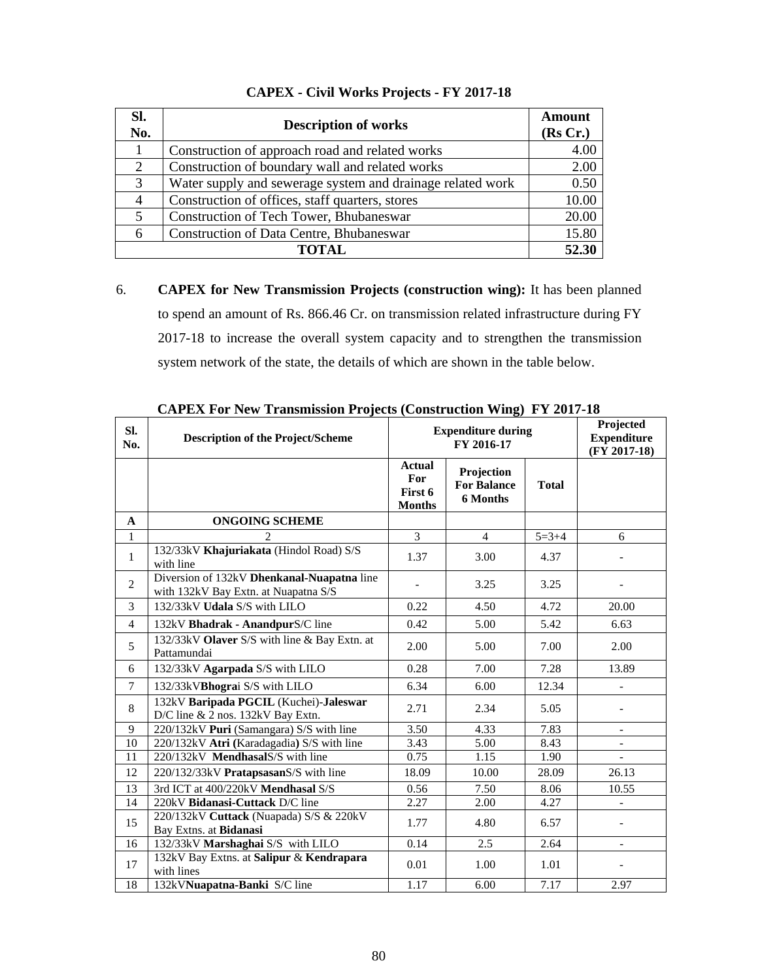| SI.<br>No. | <b>Description of works</b>                                | Amount<br>(Rs Cr.) |
|------------|------------------------------------------------------------|--------------------|
|            | Construction of approach road and related works            | 4.0C               |
| 2          | Construction of boundary wall and related works            | 2.00               |
| 3          | Water supply and sewerage system and drainage related work | 0.50               |
| 4          | Construction of offices, staff quarters, stores            | 10.00              |
| 5          | Construction of Tech Tower, Bhubaneswar                    | 20.00              |
| 6          | Construction of Data Centre, Bhubaneswar                   | 15.80              |
|            | <b>TOTAL</b>                                               | 52.30              |

# **CAPEX - Civil Works Projects - FY 2017-18**

6. **CAPEX for New Transmission Projects (construction wing):** It has been planned to spend an amount of Rs. 866.46 Cr. on transmission related infrastructure during FY 2017-18 to increase the overall system capacity and to strengthen the transmission system network of the state, the details of which are shown in the table below.

| SI.<br>No.      | 2111 1211 1 or 1 few Trumphinggroup 1 rejects (Computation Wing)<br><b>Description of the Project/Scheme</b> |                                                  | <b>Expenditure during</b><br>FY 2016-17             | Projected<br><b>Expenditure</b><br>$(FY 2017-18)$ |                          |
|-----------------|--------------------------------------------------------------------------------------------------------------|--------------------------------------------------|-----------------------------------------------------|---------------------------------------------------|--------------------------|
|                 |                                                                                                              | <b>Actual</b><br>For<br>First 6<br><b>Months</b> | Projection<br><b>For Balance</b><br><b>6 Months</b> | <b>Total</b>                                      |                          |
| $\mathbf{A}$    | <b>ONGOING SCHEME</b>                                                                                        |                                                  |                                                     |                                                   |                          |
| $\mathbf{1}$    |                                                                                                              | $\overline{3}$                                   | $\overline{4}$                                      | $5 = 3 + 4$                                       | 6                        |
| $\mathbf{1}$    | 132/33kV Khajuriakata (Hindol Road) S/S<br>with line                                                         | 1.37                                             | 3.00                                                | 4.37                                              |                          |
| 2               | Diversion of 132kV Dhenkanal-Nuapatna line<br>with 132kV Bay Extn. at Nuapatna S/S                           |                                                  | 3.25                                                | 3.25                                              |                          |
| 3               | 132/33kV Udala S/S with LILO                                                                                 | 0.22                                             | 4.50                                                | 4.72                                              | 20.00                    |
| $\overline{4}$  | 132kV Bhadrak - AnandpurS/C line                                                                             | 0.42                                             | 5.00                                                | 5.42                                              | 6.63                     |
| 5               | 132/33kV Olaver S/S with line & Bay Extn. at<br>Pattamundai                                                  | 2.00                                             | 5.00                                                | 7.00                                              | 2.00                     |
| 6               | 132/33kV Agarpada S/S with LILO                                                                              | 0.28                                             | 7.00                                                | 7.28                                              | 13.89                    |
| $\overline{7}$  | 132/33kVBhograi S/S with LILO                                                                                | 6.34                                             | 6.00                                                | 12.34                                             |                          |
| 8               | 132kV Baripada PGCIL (Kuchei)-Jaleswar<br>D/C line & 2 nos. 132kV Bay Extn.                                  | 2.71                                             | 2.34                                                | 5.05                                              |                          |
| 9               | 220/132kV Puri (Samangara) S/S with line                                                                     | 3.50                                             | 4.33                                                | 7.83                                              | $\overline{\phantom{0}}$ |
| 10              | 220/132kV Atri (Karadagadia) S/S with line                                                                   | 3.43                                             | 5.00                                                | 8.43                                              | $\blacksquare$           |
| $\overline{11}$ | 220/132kV MendhasalS/S with line                                                                             | 0.75                                             | 1.15                                                | 1.90                                              |                          |
| 12              | 220/132/33kV PratapsasanS/S with line                                                                        | 18.09                                            | 10.00                                               | 28.09                                             | 26.13                    |
| 13              | 3rd ICT at 400/220kV Mendhasal S/S                                                                           | 0.56                                             | 7.50                                                | 8.06                                              | 10.55                    |
| 14              | 220kV Bidanasi-Cuttack D/C line                                                                              | 2.27                                             | 2.00                                                | 4.27                                              |                          |
| 15              | 220/132kV Cuttack (Nuapada) S/S & 220kV<br>Bay Extns. at Bidanasi                                            | 1.77                                             | 4.80                                                | 6.57                                              |                          |
| 16              | 132/33kV Marshaghai S/S with LILO                                                                            | 0.14                                             | 2.5                                                 | 2.64                                              | $\overline{\phantom{0}}$ |
| 17              | 132kV Bay Extns. at Salipur & Kendrapara<br>with lines                                                       | 0.01                                             | 1.00                                                | 1.01                                              |                          |
| 18              | 132kVNuapatna-Banki S/C line                                                                                 | 1.17                                             | 6.00                                                | 7.17                                              | 2.97                     |

**CAPEX For New Transmission Projects (Construction Wing) FY 2017-18**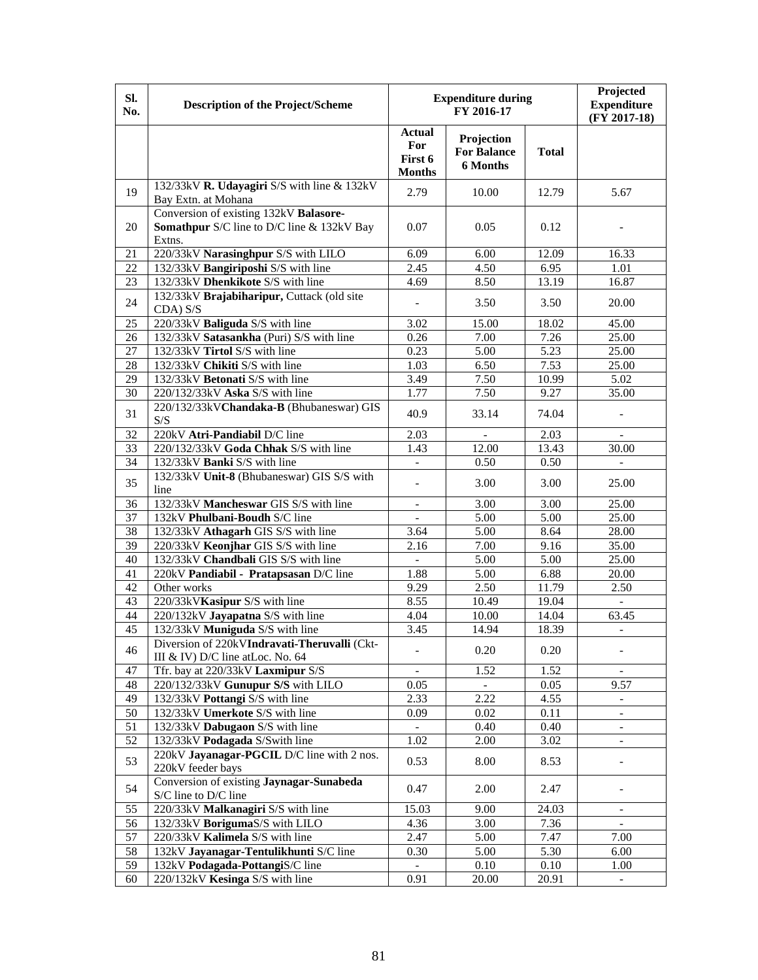| Sl.<br>No.      | <b>Description of the Project/Scheme</b>                                                              | <b>Expenditure during</b>                        | Projected<br><b>Expenditure</b><br>(FY 2017-18)     |              |                          |
|-----------------|-------------------------------------------------------------------------------------------------------|--------------------------------------------------|-----------------------------------------------------|--------------|--------------------------|
|                 |                                                                                                       | <b>Actual</b><br>For<br>First 6<br><b>Months</b> | Projection<br><b>For Balance</b><br><b>6 Months</b> | <b>Total</b> |                          |
| 19              | 132/33kV R. Udayagiri S/S with line & 132kV<br>Bay Extn. at Mohana                                    | 2.79                                             | 10.00                                               | 12.79        | 5.67                     |
| 20              | Conversion of existing 132kV Balasore-<br><b>Somathpur</b> S/C line to D/C line & 132kV Bay<br>Extns. | 0.07                                             | 0.05                                                | 0.12         |                          |
| 21              | 220/33kV Narasinghpur S/S with LILO                                                                   | 6.09                                             | 6.00                                                | 12.09        | 16.33                    |
| 22              | 132/33kV Bangiriposhi S/S with line                                                                   | 2.45                                             | 4.50                                                | 6.95         | 1.01                     |
| 23              | 132/33kV Dhenkikote S/S with line                                                                     | 4.69                                             | 8.50                                                | 13.19        | 16.87                    |
| 24              | 132/33kV Brajabiharipur, Cuttack (old site<br>CDA) S/S                                                |                                                  | 3.50                                                | 3.50         | 20.00                    |
| 25              | 220/33kV Baliguda S/S with line                                                                       | 3.02                                             | 15.00                                               | 18.02        | 45.00                    |
| 26              | 132/33kV Satasankha (Puri) S/S with line                                                              | 0.26                                             | 7.00                                                | 7.26         | 25.00                    |
| 27              | 132/33kV Tirtol S/S with line                                                                         | 0.23                                             | 5.00                                                | 5.23         | 25.00                    |
| 28              | 132/33kV Chikiti S/S with line                                                                        | 1.03                                             | 6.50                                                | 7.53         | 25.00                    |
| 29              | 132/33kV Betonati S/S with line                                                                       | 3.49                                             | 7.50                                                | 10.99        | 5.02                     |
| 30              | 220/132/33kV Aska S/S with line                                                                       | 1.77                                             | 7.50                                                | 9.27         | 35.00                    |
| 31              | 220/132/33kVChandaka-B (Bhubaneswar) GIS<br>S/S                                                       | 40.9                                             | 33.14                                               | 74.04        | $\overline{\phantom{a}}$ |
| 32              | 220kV Atri-Pandiabil D/C line                                                                         | 2.03                                             |                                                     | 2.03         |                          |
| 33              | 220/132/33kV Goda Chhak S/S with line                                                                 | 1.43                                             | 12.00                                               | 13.43        | 30.00                    |
| 34              | 132/33kV Banki S/S with line                                                                          |                                                  | 0.50                                                | 0.50         |                          |
| 35              | 132/33kV Unit-8 (Bhubaneswar) GIS S/S with<br>line                                                    | $\overline{\phantom{0}}$                         | 3.00                                                | 3.00         | 25.00                    |
| 36              | 132/33kV Mancheswar GIS S/S with line                                                                 | $\overline{a}$                                   | 3.00                                                | 3.00         | 25.00                    |
| 37              | 132kV Phulbani-Boudh S/C line                                                                         | $\equiv$                                         | 5.00                                                | 5.00         | 25.00                    |
| 38              | 132/33kV Athagarh GIS S/S with line                                                                   | 3.64                                             | 5.00                                                | 8.64         | 28.00                    |
| 39              | 220/33kV Keonjhar GIS S/S with line                                                                   | 2.16                                             | 7.00                                                | 9.16         | 35.00                    |
| 40              | 132/33kV Chandbali GIS S/S with line                                                                  | $\overline{a}$                                   | 5.00                                                | 5.00         | 25.00                    |
| 41              | 220kV Pandiabil - Pratapsasan D/C line                                                                | 1.88                                             | 5.00                                                | 6.88         | 20.00                    |
| 42              | Other works                                                                                           | 9.29                                             | 2.50                                                | 11.79        | 2.50                     |
| 43              | 220/33kVKasipur S/S with line                                                                         | 8.55                                             | 10.49                                               | 19.04        | $\mathbb{L}^+$           |
| 44              | 220/132kV Jayapatna S/S with line                                                                     | 4.04                                             | 10.00                                               | 14.04        | 63.45                    |
| $\overline{45}$ | 132/33kV Muniguda S/S with line                                                                       | 3.45                                             | 14.94                                               | 18.39        | $\overline{\phantom{a}}$ |
| 46              | Diversion of 220kVIndravati-Theruvalli (Ckt-<br>III & IV) D/C line at Loc. No. 64                     |                                                  | 0.20                                                | 0.20         |                          |
| 47              | Tfr. bay at 220/33kV Laxmipur S/S                                                                     | $\overline{\phantom{0}}$                         | 1.52                                                | 1.52         |                          |
| 48              | 220/132/33kV Gunupur S/S with LILO                                                                    | 0.05                                             |                                                     | 0.05         | 9.57                     |
| 49              | 132/33kV Pottangi S/S with line                                                                       | 2.33                                             | 2.22                                                | 4.55         |                          |
| 50              | 132/33kV Umerkote S/S with line                                                                       | 0.09                                             | 0.02                                                | 0.11         | $\Box$                   |
| 51              | 132/33kV Dabugaon S/S with line                                                                       | $\mathcal{L}^{\mathcal{A}}$                      | 0.40                                                | 0.40         | $\mathbf{r}$             |
| 52              | 132/33kV Podagada S/Swith line                                                                        | 1.02                                             | 2.00                                                | 3.02         | $\overline{\phantom{a}}$ |
| 53              | 220kV Jayanagar-PGCIL D/C line with 2 nos.<br>220kV feeder bays                                       | 0.53                                             | 8.00                                                | 8.53         |                          |
| 54              | Conversion of existing Jaynagar-Sunabeda<br>S/C line to D/C line                                      | 0.47                                             | 2.00                                                | 2.47         |                          |
| 55              | 220/33kV Malkanagiri S/S with line                                                                    | 15.03                                            | 9.00                                                | 24.03        | $\Box$                   |
| 56              | 132/33kV BorigumaS/S with LILO                                                                        | 4.36                                             | 3.00                                                | 7.36         | $\overline{a}$           |
| 57              | 220/33kV Kalimela S/S with line                                                                       | 2.47                                             | 5.00                                                | 7.47         | 7.00                     |
| 58              | 132kV Jayanagar-Tentulikhunti S/C line                                                                | 0.30                                             | 5.00                                                | 5.30         | 6.00                     |
| 59              | 132kV Podagada-PottangiS/C line                                                                       |                                                  | 0.10                                                | 0.10         | 1.00                     |
| 60              | 220/132kV Kesinga S/S with line                                                                       | 0.91                                             | 20.00                                               | 20.91        | $\overline{\phantom{a}}$ |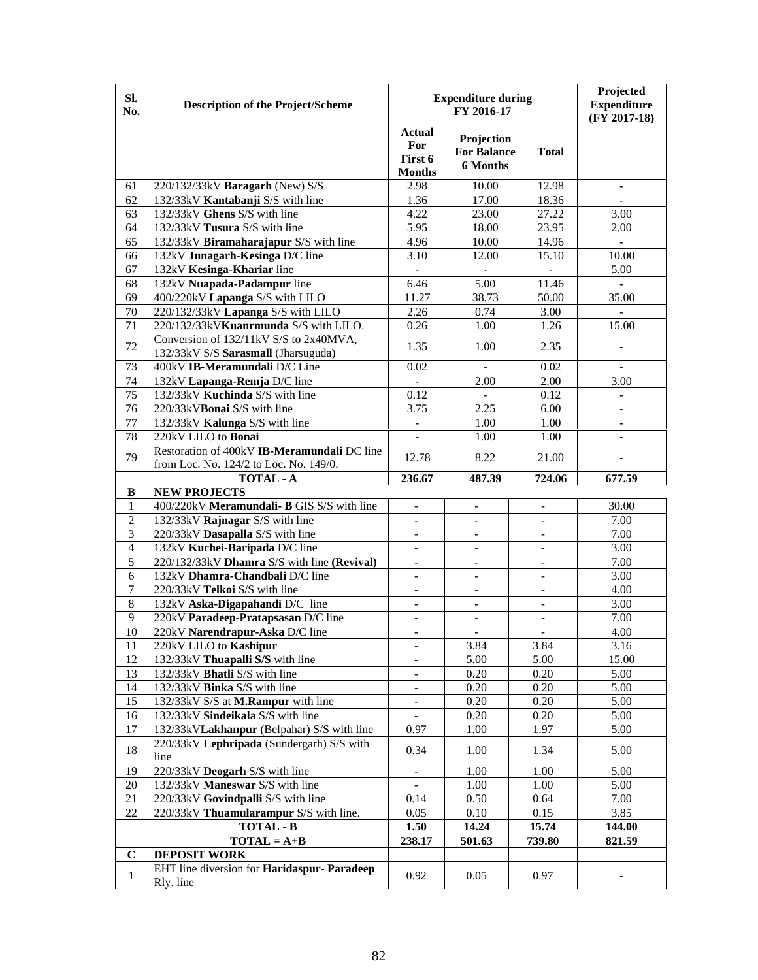| SI.<br>No.      | <b>Description of the Project/Scheme</b>                        | <b>Expenditure during</b>                        | Projected<br><b>Expenditure</b><br>(FY 2017-18)     |                          |                          |
|-----------------|-----------------------------------------------------------------|--------------------------------------------------|-----------------------------------------------------|--------------------------|--------------------------|
|                 |                                                                 | <b>Actual</b><br>For<br>First 6<br><b>Months</b> | Projection<br><b>For Balance</b><br><b>6 Months</b> | <b>Total</b>             |                          |
| 61              | 220/132/33kV Baragarh (New) S/S                                 | 2.98                                             | 10.00                                               | 12.98                    | $\mathbf{r}$             |
| 62              | 132/33kV Kantabanji S/S with line                               | 1.36                                             | 17.00                                               | 18.36                    | $\mathbf{L}$             |
| 63              | 132/33kV Ghens S/S with line                                    | 4.22                                             | 23.00                                               | 27.22                    | 3.00                     |
| 64              | 132/33kV Tusura S/S with line                                   | 5.95                                             | 18.00                                               | 23.95                    | 2.00                     |
| 65              | 132/33kV Biramaharajapur S/S with line                          | 4.96                                             | 10.00                                               | 14.96                    | $\blacksquare$           |
| 66              | 132kV Junagarh-Kesinga D/C line                                 | 3.10                                             | 12.00                                               | 15.10                    | 10.00                    |
| 67              | 132kV Kesinga-Khariar line                                      | $\overline{a}$                                   | $\overline{a}$                                      |                          | 5.00                     |
| 68              | 132kV Nuapada-Padampur line                                     | 6.46                                             | 5.00                                                | 11.46                    |                          |
| 69              | 400/220kV Lapanga S/S with LILO                                 | 11.27                                            | 38.73                                               | $\overline{50.00}$       | 35.00                    |
| 70              | 220/132/33kV Lapanga S/S with LILO                              | 2.26                                             | 0.74                                                | 3.00                     | $\overline{a}$           |
| 71              | 220/132/33kVKuanrmunda S/S with LILO.                           | 0.26                                             | 1.00                                                | 1.26                     | 15.00                    |
|                 | Conversion of 132/11kV S/S to 2x40MVA,                          |                                                  |                                                     |                          |                          |
| 72              | 132/33kV S/S Sarasmall (Jharsuguda)                             | 1.35                                             | 1.00                                                | 2.35                     |                          |
| 73              | 400kV IB-Meramundali D/C Line                                   | 0.02                                             | $\overline{a}$                                      | 0.02                     | $\mathbf{r}$             |
| 74              | 132kV Lapanga-Remja D/C line                                    | $\overline{a}$                                   | 2.00                                                | 2.00                     | 3.00                     |
| 75              | 132/33kV Kuchinda S/S with line                                 | 0.12                                             |                                                     | 0.12                     |                          |
| 76              | 220/33kVBonai S/S with line                                     | 3.75                                             | 2.25                                                | 6.00                     | $\mathbf{r}$             |
| 77              | 132/33kV Kalunga S/S with line                                  | $\equiv$                                         | 1.00                                                | 1.00                     | $\mathbb{L}^2$           |
| 78              | 220kV LILO to Bonai                                             | $\equiv$                                         | 1.00                                                | 1.00                     | $\overline{\phantom{a}}$ |
|                 | Restoration of 400kV IB-Meramundali DC line                     |                                                  |                                                     |                          |                          |
| 79              | from Loc. No. 124/2 to Loc. No. 149/0.                          | 12.78                                            | 8.22                                                | 21.00                    |                          |
|                 | <b>TOTAL - A</b>                                                | 236.67                                           | 487.39                                              | 724.06                   | 677.59                   |
| В               | <b>NEW PROJECTS</b>                                             |                                                  |                                                     |                          |                          |
| 1               | 400/220kV Meramundali- B GIS S/S with line                      | $\blacksquare$                                   | $\overline{\phantom{0}}$                            |                          | 30.00                    |
| $\overline{2}$  | 132/33kV Rajnagar S/S with line                                 | $\overline{\phantom{a}}$                         | $\equiv$                                            | $\overline{a}$           | 7.00                     |
| $\mathfrak{Z}$  | 220/33kV Dasapalla S/S with line                                | $\blacksquare$                                   | $\overline{a}$                                      | $\overline{\phantom{0}}$ | 7.00                     |
| $\overline{4}$  | 132kV Kuchei-Baripada D/C line                                  | $\overline{\phantom{a}}$                         | $\blacksquare$                                      | $\overline{\phantom{a}}$ | 3.00                     |
| 5               | 220/132/33kV Dhamra S/S with line (Revival)                     | $\overline{\phantom{a}}$                         | $\frac{1}{2}$                                       | $\overline{\phantom{a}}$ | 7.00                     |
| 6               | 132kV Dhamra-Chandbali D/C line                                 | $\qquad \qquad -$                                | $\overline{\phantom{0}}$                            | $\overline{\phantom{0}}$ | 3.00                     |
| $\overline{7}$  | 220/33kV Telkoi S/S with line                                   | $\blacksquare$                                   | $\overline{\phantom{0}}$                            | $\overline{\phantom{0}}$ | 4.00                     |
| 8               | 132kV Aska-Digapahandi D/C line                                 | $\overline{\phantom{a}}$                         | $\overline{\phantom{0}}$                            | $\overline{a}$           | 3.00                     |
| 9               | 220kV Paradeep-Pratapsasan D/C line                             | $\overline{\phantom{a}}$                         | $\overline{\phantom{0}}$                            | $\overline{\phantom{a}}$ | 7.00                     |
| $\overline{10}$ | 220kV Narendrapur-Aska D/C line                                 | $\overline{\phantom{a}}$                         | $\overline{a}$                                      | $\overline{a}$           | 4.00                     |
| 11              | 220kV LILO to Kashipur                                          |                                                  | 3.84                                                | 3.84                     | 3.16                     |
| 12              | 132/33kV Thuapalli S/S with line                                | $\overline{\phantom{a}}$                         | 5.00                                                | 5.00                     | 15.00                    |
| 13              | 132/33kV Bhatli S/S with line                                   | $\overline{\phantom{a}}$                         | 0.20                                                | 0.20                     | 5.00                     |
| 14              | 132/33kV Binka S/S with line                                    | $\overline{\phantom{a}}$                         | 0.20                                                | 0.20                     | 5.00                     |
| 15              | 132/33kV S/S at M.Rampur with line                              | $\overline{\phantom{a}}$                         | 0.20                                                | 0.20                     | 5.00                     |
| 16              | 132/33kV Sindeikala S/S with line                               | $\overline{\phantom{a}}$                         | 0.20                                                | 0.20                     | 5.00                     |
| 17              | 132/33kVLakhanpur (Belpahar) S/S with line                      | 0.97                                             | 1.00                                                | 1.97                     | 5.00                     |
| 18              | 220/33kV Lephripada (Sundergarh) S/S with<br>line               | 0.34                                             | 1.00                                                | 1.34                     | 5.00                     |
| 19              | 220/33kV Deogarh S/S with line                                  | $\overline{\phantom{a}}$                         | 1.00                                                | 1.00                     | 5.00                     |
| 20              | 132/33kV Maneswar S/S with line                                 | $\overline{\phantom{a}}$                         | 1.00                                                | 1.00                     | 5.00                     |
| 21              | 220/33kV Govindpalli S/S with line                              | 0.14                                             | 0.50                                                | 0.64                     | 7.00                     |
| 22              | 220/33kV Thuamularampur S/S with line.                          | 0.05                                             | 0.10                                                | 0.15                     | 3.85                     |
|                 | <b>TOTAL - B</b>                                                | 1.50                                             | 14.24                                               | 15.74                    | 144.00                   |
|                 | $TOTAL = A+B$                                                   | 238.17                                           | 501.63                                              | 739.80                   | 821.59                   |
| $\mathbf C$     | <b>DEPOSIT WORK</b>                                             |                                                  |                                                     |                          |                          |
| $\mathbf{1}$    | EHT line diversion for <b>Haridaspur- Paradeep</b><br>Rly. line | 0.92                                             | 0.05                                                | 0.97                     |                          |
|                 |                                                                 |                                                  |                                                     |                          |                          |